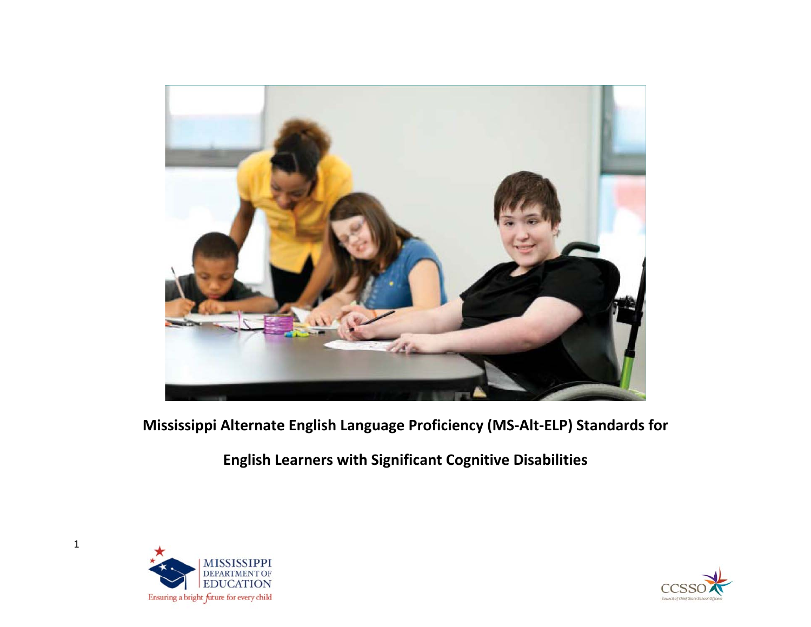

**Mississippi Alternate English Language Proficiency (MS-Alt-ELP) Standards for**

**English Learners with Significant Cognitive Disabilities**



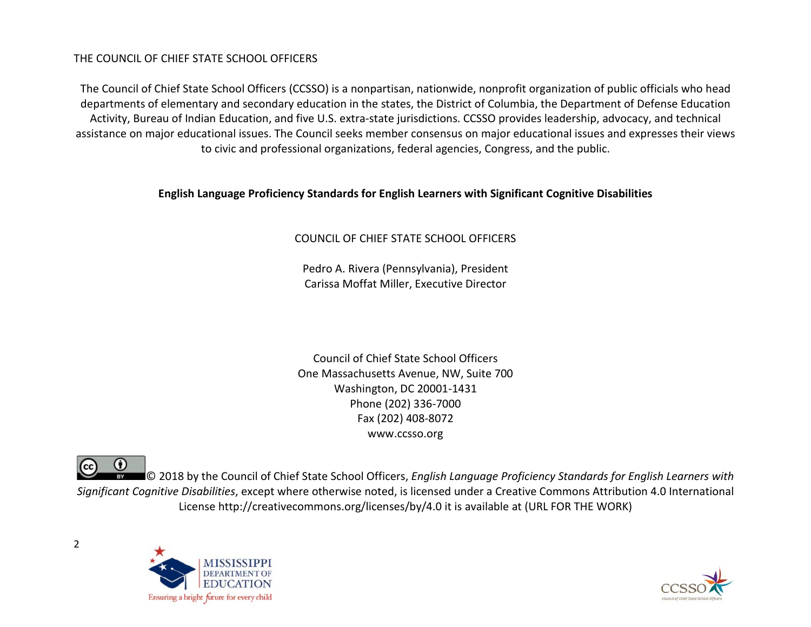## THE COUNCIL OF CHIEF STATE SCHOOL OFFICERS

The Council of Chief State School Officers (CCSSO) is a nonpartisan, nationwide, nonprofit organization of public officials who head departments of elementary and secondary education in the states, the District of Columbia, the Department of Defense Education Activity, Bureau of Indian Education, and five U.S. extra-state jurisdictions. CCSSO provides leadership, advocacy, and technical assistance on major educational issues. The Council seeks member consensus on major educational issues and expresses their views to civic and professional organizations, federal agencies, Congress, and the public.

### **English Language Proficiency Standards for English Learners with Significant Cognitive Disabilities**

## COUNCIL OF CHIEF STATE SCHOOL OFFICERS

Pedro A. Rivera (Pennsylvania), President Carissa Moffat Miller, Executive Director

Council of Chief State School Officers One Massachusetts Avenue, NW, Suite 700 Washington, DC 20001-1431 Phone (202) 336-7000 Fax (202) 408-8072 www.ccsso.org

(cc) © 2018 by the Council of Chief State School Officers, *English Language Proficiency Standards for English Learners with Significant Cognitive Disabilities*, except where otherwise noted, is licensed under a Creative Commons Attribution 4.0 International License http://creativecommons.org/licenses/by/4.0 it is available at (URL FOR THE WORK)



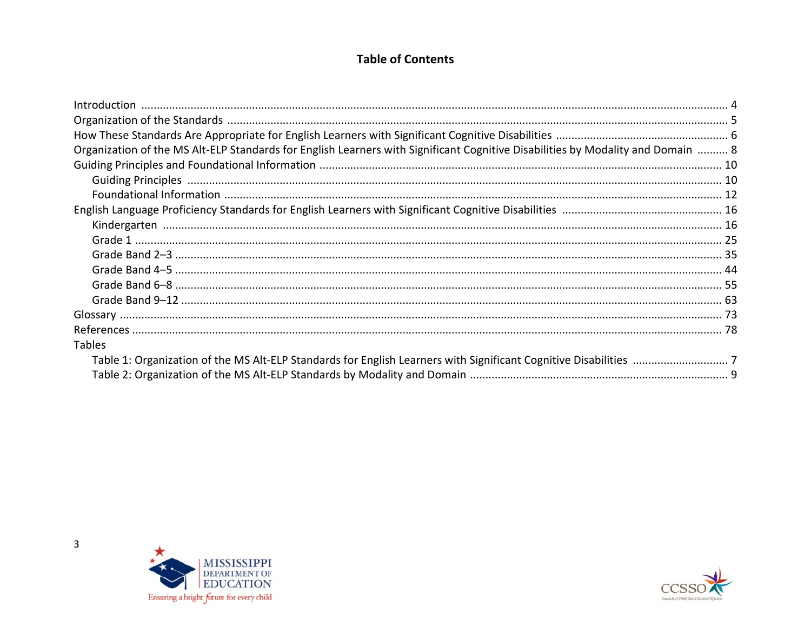# **Table of Contents**

| Organization of the MS Alt-ELP Standards for English Learners with Significant Cognitive Disabilities by Modality and Domain  8 |  |
|---------------------------------------------------------------------------------------------------------------------------------|--|
|                                                                                                                                 |  |
|                                                                                                                                 |  |
|                                                                                                                                 |  |
|                                                                                                                                 |  |
|                                                                                                                                 |  |
|                                                                                                                                 |  |
|                                                                                                                                 |  |
|                                                                                                                                 |  |
|                                                                                                                                 |  |
|                                                                                                                                 |  |
|                                                                                                                                 |  |
|                                                                                                                                 |  |
| <b>Tables</b>                                                                                                                   |  |
|                                                                                                                                 |  |
|                                                                                                                                 |  |





 $\overline{3}$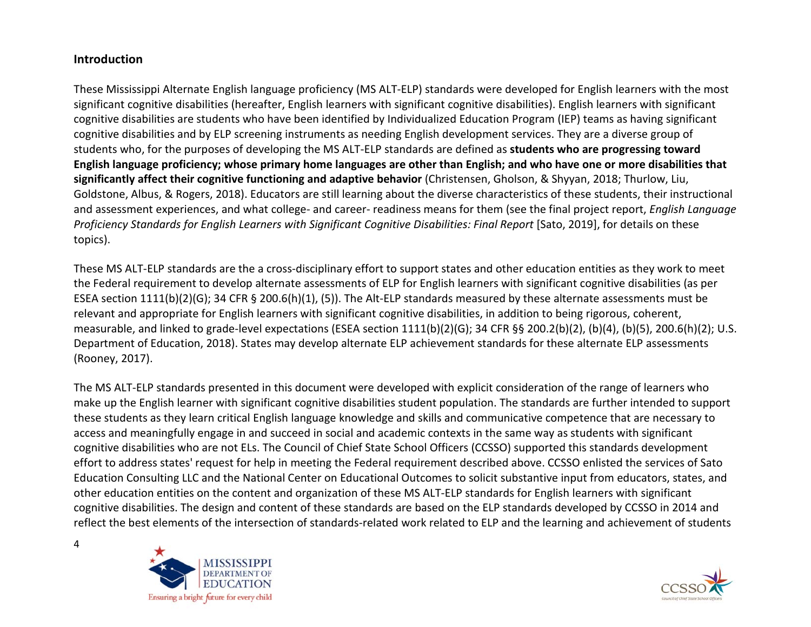## **Introduction**

4

These Mississippi Alternate English language proficiency (MS ALT-ELP) standards were developed for English learners with the most significant cognitive disabilities (hereafter, English learners with significant cognitive disabilities). English learners with significant cognitive disabilities are students who have been identified by Individualized Education Program (IEP) teams as having significant cognitive disabilities and by ELP screening instruments as needing English development services. They are a diverse group of students who, for the purposes of developing the MS ALT-ELP standards are defined as **students who are progressing toward English language proficiency; whose primary home languages are other than English; and who have one or more disabilities that significantly affect their cognitive functioning and adaptive behavior** (Christensen, Gholson, & Shyyan, 2018; Thurlow, Liu, Goldstone, Albus, & Rogers, 2018). Educators are still learning about the diverse characteristics of these students, their instructional and assessment experiences, and what college- and career- readiness means for them (see the final project report, *English Language Proficiency Standards for English Learners with Significant Cognitive Disabilities: Final Report* [Sato, 2019], for details on these topics).

These MS ALT-ELP standards are the a cross-disciplinary effort to support states and other education entities as they work to meet the Federal requirement to develop alternate assessments of ELP for English learners with significant cognitive disabilities (as per ESEA section 1111(b)(2)(G); 34 CFR § 200.6(h)(1), (5)). The Alt-ELP standards measured by these alternate assessments must be relevant and appropriate for English learners with significant cognitive disabilities, in addition to being rigorous, coherent, measurable, and linked to grade-level expectations (ESEA section 1111(b)(2)(G); 34 CFR §§ 200.2(b)(2), (b)(4), (b)(5), 200.6(h)(2); U.S. Department of Education, 2018). States may develop alternate ELP achievement standards for these alternate ELP assessments (Rooney, 2017).

The MS ALT-ELP standards presented in this document were developed with explicit consideration of the range of learners who make up the English learner with significant cognitive disabilities student population. The standards are further intended to support these students as they learn critical English language knowledge and skills and communicative competence that are necessary to access and meaningfully engage in and succeed in social and academic contexts in the same way as students with significant cognitive disabilities who are not ELs. The Council of Chief State School Officers (CCSSO) supported this standards development effort to address states' request for help in meeting the Federal requirement described above. CCSSO enlisted the services of Sato Education Consulting LLC and the National Center on Educational Outcomes to solicit substantive input from educators, states, and other education entities on the content and organization of these MS ALT-ELP standards for English learners with significant cognitive disabilities. The design and content of these standards are based on the ELP standards developed by CCSSO in 2014 and reflect the best elements of the intersection of standards-related work related to ELP and the learning and achievement of students



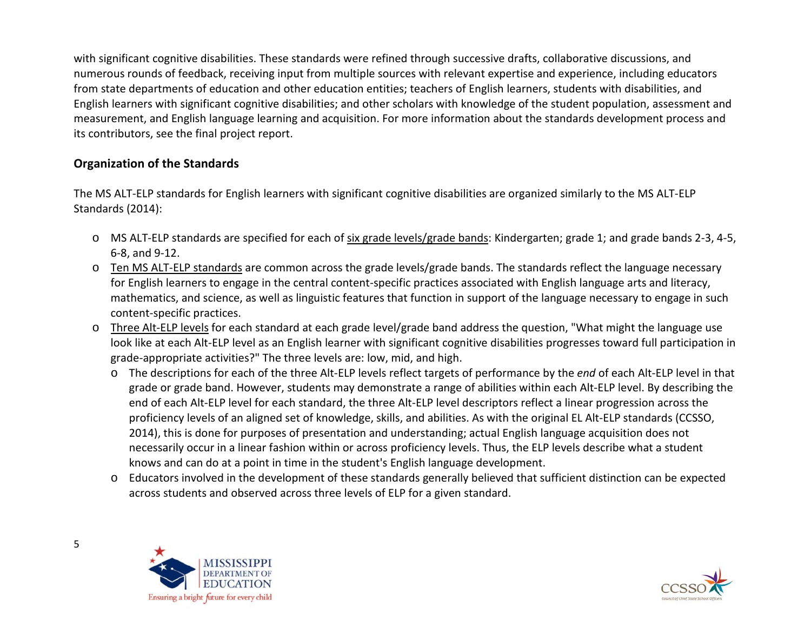with significant cognitive disabilities. These standards were refined through successive drafts, collaborative discussions, and numerous rounds of feedback, receiving input from multiple sources with relevant expertise and experience, including educators from state departments of education and other education entities; teachers of English learners, students with disabilities, and English learners with significant cognitive disabilities; and other scholars with knowledge of the student population, assessment and measurement, and English language learning and acquisition. For more information about the standards development process and its contributors, see the final project report.

## **Organization of the Standards**

The MS ALT-ELP standards for English learners with significant cognitive disabilities are organized similarly to the MS ALT-ELP Standards (2014):

- o MS ALT-ELP standards are specified for each of six grade levels/grade bands: Kindergarten; grade 1; and grade bands 2-3, 4-5, 6-8, and 9-12.
- o Ten MS ALT-ELP standards are common across the grade levels/grade bands. The standards reflect the language necessary for English learners to engage in the central content-specific practices associated with English language arts and literacy, mathematics, and science, as well as linguistic features that function in support of the language necessary to engage in such content-specific practices.
- o Three Alt-ELP levels for each standard at each grade level/grade band address the question, "What might the language use look like at each Alt-ELP level as an English learner with significant cognitive disabilities progresses toward full participation in grade-appropriate activities?" The three levels are: low, mid, and high.
	- o The descriptions for each of the three Alt-ELP levels reflect targets of performance by the *end* of each Alt-ELP level in that grade or grade band. However, students may demonstrate a range of abilities within each Alt-ELP level. By describing the end of each Alt-ELP level for each standard, the three Alt-ELP level descriptors reflect a linear progression across the proficiency levels of an aligned set of knowledge, skills, and abilities. As with the original EL Alt-ELP standards (CCSSO, 2014), this is done for purposes of presentation and understanding; actual English language acquisition does not necessarily occur in a linear fashion within or across proficiency levels. Thus, the ELP levels describe what a student knows and can do at a point in time in the student's English language development.
	- o Educators involved in the development of these standards generally believed that sufficient distinction can be expected across students and observed across three levels of ELP for a given standard.



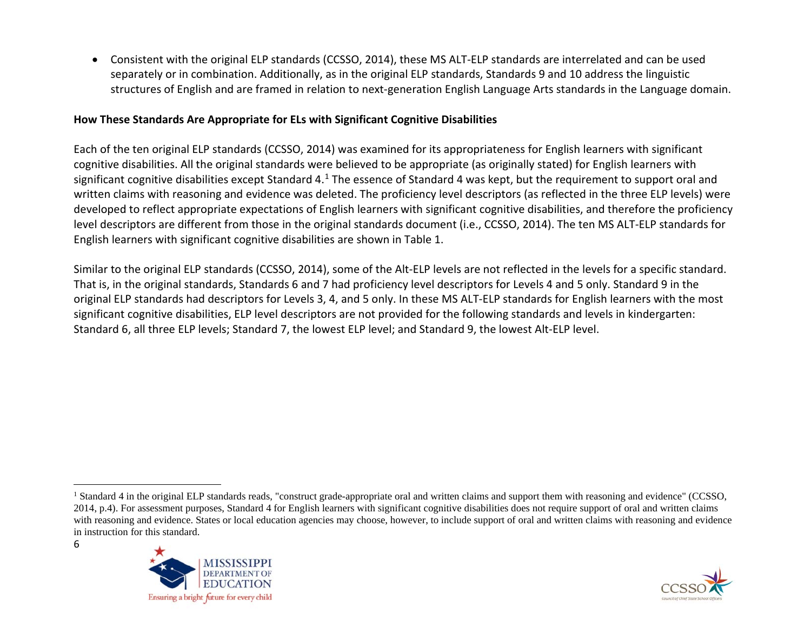<span id="page-5-0"></span>• Consistent with the original ELP standards (CCSSO, 2014), these MS ALT-ELP standards are interrelated and can be used separately or in combination. Additionally, as in the original ELP standards, Standards 9 and 10 address the linguistic structures of English and are framed in relation to next-generation English Language Arts standards in the Language domain.

### **How These Standards Are Appropriate for ELs with Significant Cognitive Disabilities**

Each of the ten original ELP standards (CCSSO, 2014) was examined for its appropriateness for English learners with significant cognitive disabilities. All the original standards were believed to be appropriate (as originally stated) for English learners with significant cognitive disabilities except Standard 4.<sup>[1](#page-5-0)</sup> The essence of Standard 4 was kept, but the requirement to support oral and written claims with reasoning and evidence was deleted. The proficiency level descriptors (as reflected in the three ELP levels) were developed to reflect appropriate expectations of English learners with significant cognitive disabilities, and therefore the proficiency level descriptors are different from those in the original standards document (i.e., CCSSO, 2014). The ten MS ALT-ELP standards for English learners with significant cognitive disabilities are shown in Table 1.

Similar to the original ELP standards (CCSSO, 2014), some of the Alt-ELP levels are not reflected in the levels for a specific standard. That is, in the original standards, Standards 6 and 7 had proficiency level descriptors for Levels 4 and 5 only. Standard 9 in the original ELP standards had descriptors for Levels 3, 4, and 5 only. In these MS ALT-ELP standards for English learners with the most significant cognitive disabilities, ELP level descriptors are not provided for the following standards and levels in kindergarten: Standard 6, all three ELP levels; Standard 7, the lowest ELP level; and Standard 9, the lowest Alt-ELP level.

<sup>&</sup>lt;sup>1</sup> Standard 4 in the original ELP standards reads, "construct grade-appropriate oral and written claims and support them with reasoning and evidence" (CCSSO, 2014, p.4). For assessment purposes, Standard 4 for English learners with significant cognitive disabilities does not require support of oral and written claims with reasoning and evidence. States or local education agencies may choose, however, to include support of oral and written claims with reasoning and evidence in instruction for this standard.



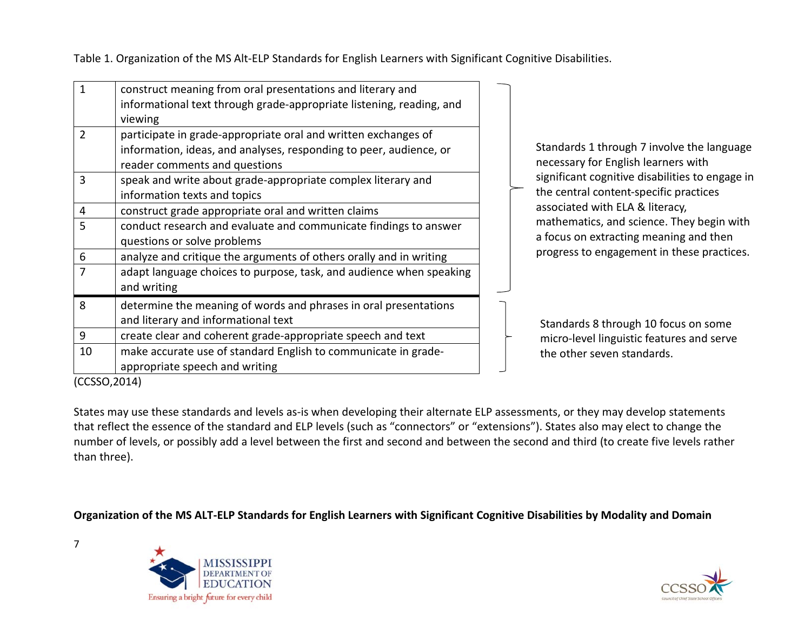Table 1. Organization of the MS Alt-ELP Standards for English Learners with Significant Cognitive Disabilities.

| 1             | construct meaning from oral presentations and literary and           |
|---------------|----------------------------------------------------------------------|
|               | informational text through grade-appropriate listening, reading, and |
|               | viewing                                                              |
| $\mathcal{P}$ | participate in grade-appropriate oral and written exchanges of       |
|               | information, ideas, and analyses, responding to peer, audience, or   |
|               | reader comments and questions                                        |
| 3             | speak and write about grade-appropriate complex literary and         |
|               | information texts and topics                                         |
| 4             | construct grade appropriate oral and written claims                  |
| 5             | conduct research and evaluate and communicate findings to answer     |
|               | questions or solve problems                                          |
| 6             | analyze and critique the arguments of others orally and in writing   |
| 7             | adapt language choices to purpose, task, and audience when speaking  |
|               | and writing                                                          |
| 8             | determine the meaning of words and phrases in oral presentations     |
|               | and literary and informational text                                  |
| 9             | create clear and coherent grade-appropriate speech and text          |
| 10            | make accurate use of standard English to communicate in grade-       |
|               | appropriate speech and writing                                       |

Standards 1 through 7 involve the language necessary for English learners with significant cognitive disabilities to engage in the central content-specific practices associated with ELA & literacy, mathematics, and science. They begin with a focus on extracting meaning and then progress to engagement in these practices.

Standards 8 through 10 focus on some micro-level linguistic features and serve the other seven standards.

(CCSSO,2014)

7

States may use these standards and levels as-is when developing their alternate ELP assessments, or they may develop statements that reflect the essence of the standard and ELP levels (such as "connectors" or "extensions"). States also may elect to change the number of levels, or possibly add a level between the first and second and between the second and third (to create five levels rather than three).

**Organization of the MS ALT-ELP Standards for English Learners with Significant Cognitive Disabilities by Modality and Domain** 



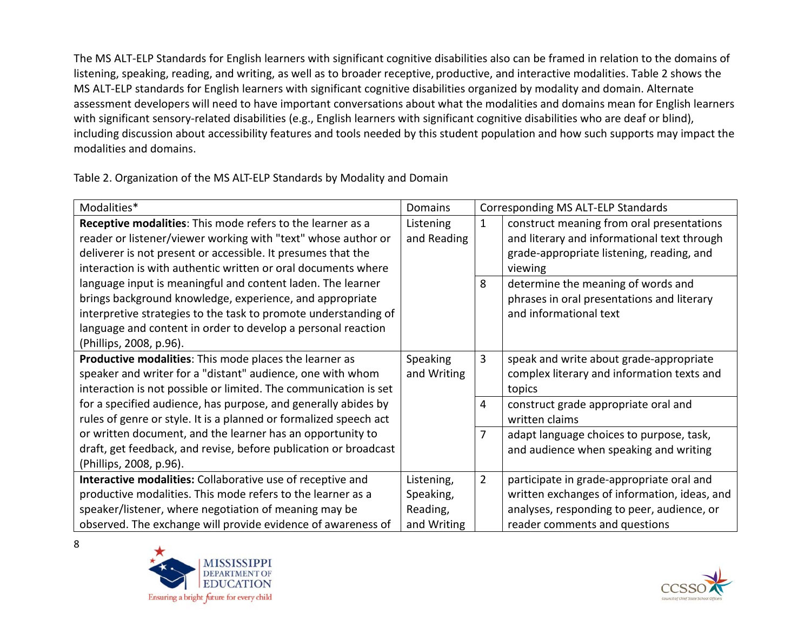The MS ALT-ELP Standards for English learners with significant cognitive disabilities also can be framed in relation to the domains of listening, speaking, reading, and writing, as well as to broader receptive, productive, and interactive modalities. Table 2 shows the MS ALT-ELP standards for English learners with significant cognitive disabilities organized by modality and domain. Alternate assessment developers will need to have important conversations about what the modalities and domains mean for English learners with significant sensory-related disabilities (e.g., English learners with significant cognitive disabilities who are deaf or blind), including discussion about accessibility features and tools needed by this student population and how such supports may impact the modalities and domains.

Table 2. Organization of the MS ALT-ELP Standards by Modality and Domain

| Modalities*                                                       | Domains     |                | Corresponding MS ALT-ELP Standards           |
|-------------------------------------------------------------------|-------------|----------------|----------------------------------------------|
| Receptive modalities: This mode refers to the learner as a        | Listening   | 1              | construct meaning from oral presentations    |
| reader or listener/viewer working with "text" whose author or     | and Reading |                | and literary and informational text through  |
| deliverer is not present or accessible. It presumes that the      |             |                | grade-appropriate listening, reading, and    |
| interaction is with authentic written or oral documents where     |             |                | viewing                                      |
| language input is meaningful and content laden. The learner       |             | 8              | determine the meaning of words and           |
| brings background knowledge, experience, and appropriate          |             |                | phrases in oral presentations and literary   |
| interpretive strategies to the task to promote understanding of   |             |                | and informational text                       |
| language and content in order to develop a personal reaction      |             |                |                                              |
| (Phillips, 2008, p.96).                                           |             |                |                                              |
| Productive modalities: This mode places the learner as            | Speaking    | 3              | speak and write about grade-appropriate      |
| speaker and writer for a "distant" audience, one with whom        | and Writing |                | complex literary and information texts and   |
| interaction is not possible or limited. The communication is set  |             |                | topics                                       |
| for a specified audience, has purpose, and generally abides by    |             | 4              | construct grade appropriate oral and         |
| rules of genre or style. It is a planned or formalized speech act |             |                | written claims                               |
| or written document, and the learner has an opportunity to        |             | 7              | adapt language choices to purpose, task,     |
| draft, get feedback, and revise, before publication or broadcast  |             |                | and audience when speaking and writing       |
| (Phillips, 2008, p.96).                                           |             |                |                                              |
| Interactive modalities: Collaborative use of receptive and        | Listening,  | $\overline{2}$ | participate in grade-appropriate oral and    |
| productive modalities. This mode refers to the learner as a       | Speaking,   |                | written exchanges of information, ideas, and |
| speaker/listener, where negotiation of meaning may be             | Reading,    |                | analyses, responding to peer, audience, or   |
| observed. The exchange will provide evidence of awareness of      | and Writing |                | reader comments and questions                |



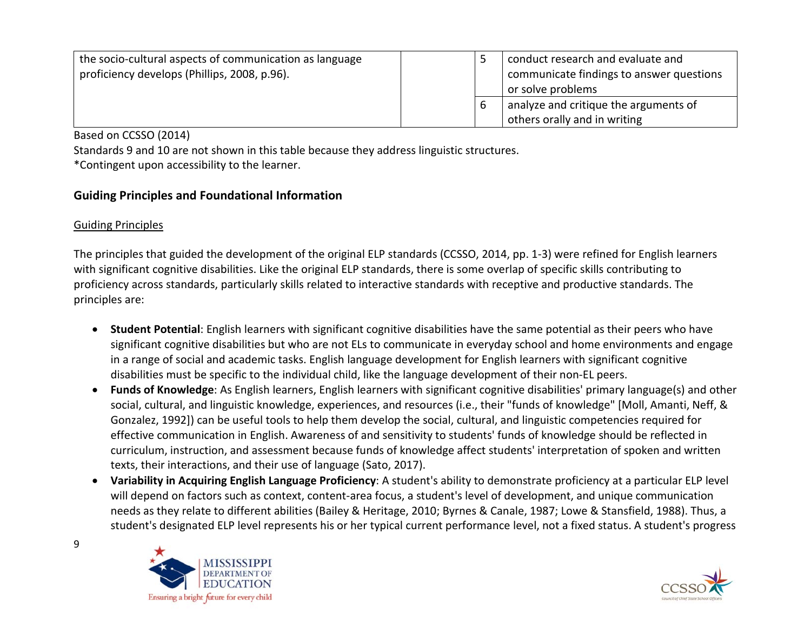| the socio-cultural aspects of communication as language<br>proficiency develops (Phillips, 2008, p.96). |   | conduct research and evaluate and<br>communicate findings to answer questions<br>or solve problems |
|---------------------------------------------------------------------------------------------------------|---|----------------------------------------------------------------------------------------------------|
|                                                                                                         | b | analyze and critique the arguments of<br>others orally and in writing                              |

Based on CCSSO (2014)

Standards 9 and 10 are not shown in this table because they address linguistic structures.

\*Contingent upon accessibility to the learner.

## **Guiding Principles and Foundational Information**

## Guiding Principles

The principles that guided the development of the original ELP standards (CCSSO, 2014, pp. 1-3) were refined for English learners with significant cognitive disabilities. Like the original ELP standards, there is some overlap of specific skills contributing to proficiency across standards, particularly skills related to interactive standards with receptive and productive standards. The principles are:

- **Student Potential**: English learners with significant cognitive disabilities have the same potential as their peers who have significant cognitive disabilities but who are not ELs to communicate in everyday school and home environments and engage in a range of social and academic tasks. English language development for English learners with significant cognitive disabilities must be specific to the individual child, like the language development of their non-EL peers.
- **Funds of Knowledge**: As English learners, English learners with significant cognitive disabilities' primary language(s) and other social, cultural, and linguistic knowledge, experiences, and resources (i.e., their "funds of knowledge" [Moll, Amanti, Neff, & Gonzalez, 1992]) can be useful tools to help them develop the social, cultural, and linguistic competencies required for effective communication in English. Awareness of and sensitivity to students' funds of knowledge should be reflected in curriculum, instruction, and assessment because funds of knowledge affect students' interpretation of spoken and written texts, their interactions, and their use of language (Sato, 2017).
- **Variability in Acquiring English Language Proficiency**: A student's ability to demonstrate proficiency at a particular ELP level will depend on factors such as context, content-area focus, a student's level of development, and unique communication needs as they relate to different abilities (Bailey & Heritage, 2010; Byrnes & Canale, 1987; Lowe & Stansfield, 1988). Thus, a student's designated ELP level represents his or her typical current performance level, not a fixed status. A student's progress



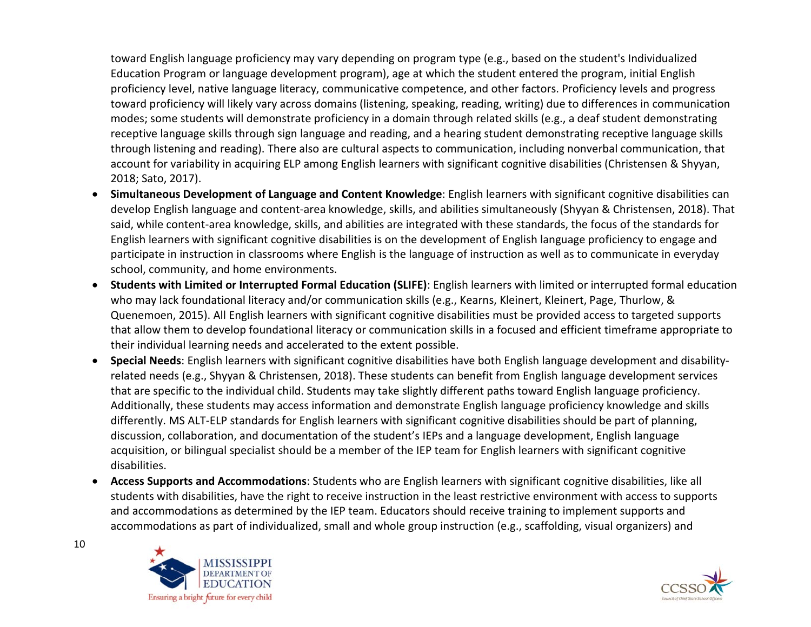toward English language proficiency may vary depending on program type (e.g., based on the student's Individualized Education Program or language development program), age at which the student entered the program, initial English proficiency level, native language literacy, communicative competence, and other factors. Proficiency levels and progress toward proficiency will likely vary across domains (listening, speaking, reading, writing) due to differences in communication modes; some students will demonstrate proficiency in a domain through related skills (e.g., a deaf student demonstrating receptive language skills through sign language and reading, and a hearing student demonstrating receptive language skills through listening and reading). There also are cultural aspects to communication, including nonverbal communication, that account for variability in acquiring ELP among English learners with significant cognitive disabilities (Christensen & Shyyan, 2018; Sato, 2017).

- **Simultaneous Development of Language and Content Knowledge**: English learners with significant cognitive disabilities can develop English language and content-area knowledge, skills, and abilities simultaneously (Shyyan & Christensen, 2018). That said, while content-area knowledge, skills, and abilities are integrated with these standards, the focus of the standards for English learners with significant cognitive disabilities is on the development of English language proficiency to engage and participate in instruction in classrooms where English is the language of instruction as well as to communicate in everyday school, community, and home environments.
- **Students with Limited or Interrupted Formal Education (SLIFE)**: English learners with limited or interrupted formal education who may lack foundational literacy and/or communication skills (e.g., Kearns, Kleinert, Kleinert, Page, Thurlow, & Quenemoen, 2015). All English learners with significant cognitive disabilities must be provided access to targeted supports that allow them to develop foundational literacy or communication skills in a focused and efficient timeframe appropriate to their individual learning needs and accelerated to the extent possible.
- **Special Needs**: English learners with significant cognitive disabilities have both English language development and disabilityrelated needs (e.g., Shyyan & Christensen, 2018). These students can benefit from English language development services that are specific to the individual child. Students may take slightly different paths toward English language proficiency. Additionally, these students may access information and demonstrate English language proficiency knowledge and skills differently. MS ALT-ELP standards for English learners with significant cognitive disabilities should be part of planning, discussion, collaboration, and documentation of the student's IEPs and a language development, English language acquisition, or bilingual specialist should be a member of the IEP team for English learners with significant cognitive disabilities.
- **Access Supports and Accommodations**: Students who are English learners with significant cognitive disabilities, like all students with disabilities, have the right to receive instruction in the least restrictive environment with access to supports and accommodations as determined by the IEP team. Educators should receive training to implement supports and accommodations as part of individualized, small and whole group instruction (e.g., scaffolding, visual organizers) and



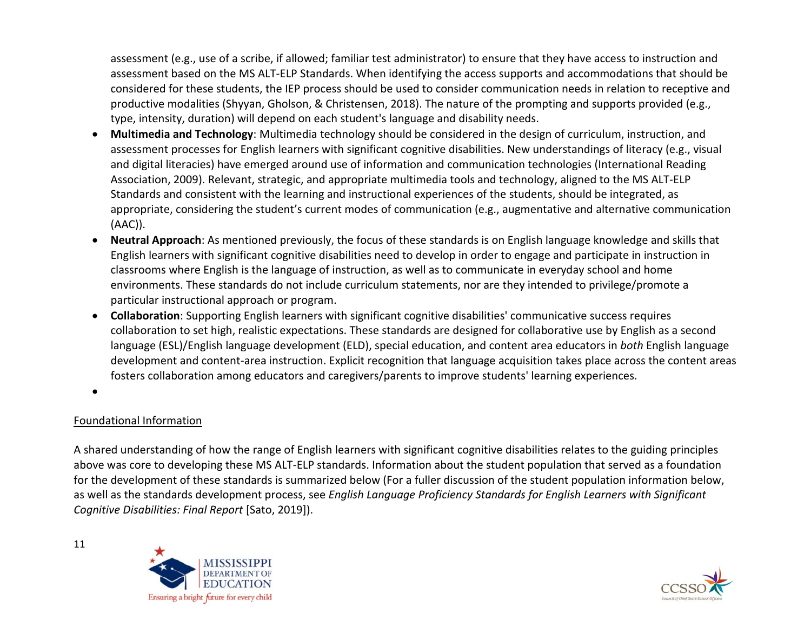assessment (e.g., use of a scribe, if allowed; familiar test administrator) to ensure that they have access to instruction and assessment based on the MS ALT-ELP Standards. When identifying the access supports and accommodations that should be considered for these students, the IEP process should be used to consider communication needs in relation to receptive and productive modalities (Shyyan, Gholson, & Christensen, 2018). The nature of the prompting and supports provided (e.g., type, intensity, duration) will depend on each student's language and disability needs.

- **Multimedia and Technology**: Multimedia technology should be considered in the design of curriculum, instruction, and assessment processes for English learners with significant cognitive disabilities. New understandings of literacy (e.g., visual and digital literacies) have emerged around use of information and communication technologies (International Reading Association, 2009). Relevant, strategic, and appropriate multimedia tools and technology, aligned to the MS ALT-ELP Standards and consistent with the learning and instructional experiences of the students, should be integrated, as appropriate, considering the student's current modes of communication (e.g., augmentative and alternative communication (AAC)).
- **Neutral Approach**: As mentioned previously, the focus of these standards is on English language knowledge and skills that English learners with significant cognitive disabilities need to develop in order to engage and participate in instruction in classrooms where English is the language of instruction, as well as to communicate in everyday school and home environments. These standards do not include curriculum statements, nor are they intended to privilege/promote a particular instructional approach or program.
- **Collaboration**: Supporting English learners with significant cognitive disabilities' communicative success requires collaboration to set high, realistic expectations. These standards are designed for collaborative use by English as a second language (ESL)/English language development (ELD), special education, and content area educators in *both* English language development and content-area instruction. Explicit recognition that language acquisition takes place across the content areas fosters collaboration among educators and caregivers/parents to improve students' learning experiences.

•

#### Foundational Information

A shared understanding of how the range of English learners with significant cognitive disabilities relates to the guiding principles above was core to developing these MS ALT-ELP standards. Information about the student population that served as a foundation for the development of these standards is summarized below (For a fuller discussion of the student population information below, as well as the standards development process, see *English Language Proficiency Standards for English Learners with Significant Cognitive Disabilities: Final Report* [Sato, 2019]).



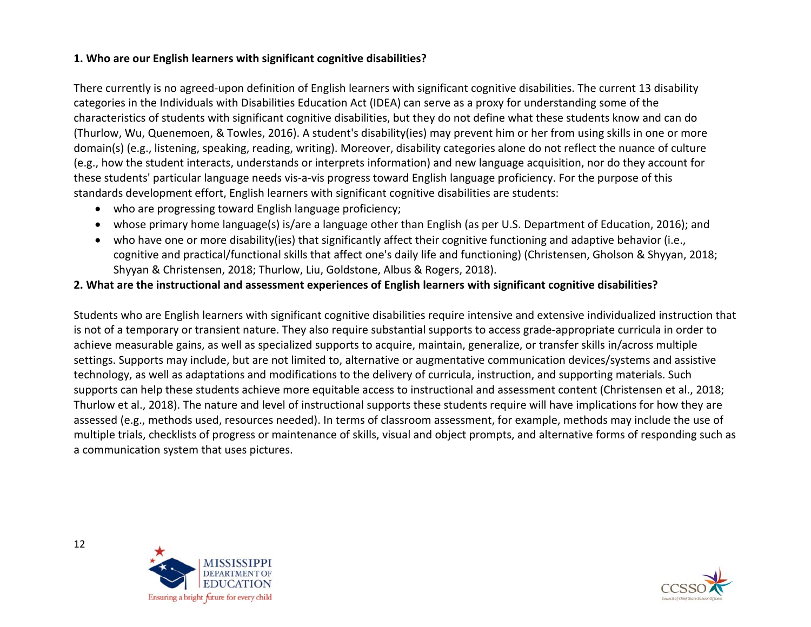### **1. Who are our English learners with significant cognitive disabilities?**

There currently is no agreed-upon definition of English learners with significant cognitive disabilities. The current 13 disability categories in the Individuals with Disabilities Education Act (IDEA) can serve as a proxy for understanding some of the characteristics of students with significant cognitive disabilities, but they do not define what these students know and can do (Thurlow, Wu, Quenemoen, & Towles, 2016). A student's disability(ies) may prevent him or her from using skills in one or more domain(s) (e.g., listening, speaking, reading, writing). Moreover, disability categories alone do not reflect the nuance of culture (e.g., how the student interacts, understands or interprets information) and new language acquisition, nor do they account for these students' particular language needs vis-a-vis progress toward English language proficiency. For the purpose of this standards development effort, English learners with significant cognitive disabilities are students:

- who are progressing toward English language proficiency;
- whose primary home language(s) is/are a language other than English (as per U.S. Department of Education, 2016); and
- who have one or more disability(ies) that significantly affect their cognitive functioning and adaptive behavior (i.e., cognitive and practical/functional skills that affect one's daily life and functioning) (Christensen, Gholson & Shyyan, 2018; Shyyan & Christensen, 2018; Thurlow, Liu, Goldstone, Albus & Rogers, 2018).

#### **2. What are the instructional and assessment experiences of English learners with significant cognitive disabilities?**

Students who are English learners with significant cognitive disabilities require intensive and extensive individualized instruction that is not of a temporary or transient nature. They also require substantial supports to access grade-appropriate curricula in order to achieve measurable gains, as well as specialized supports to acquire, maintain, generalize, or transfer skills in/across multiple settings. Supports may include, but are not limited to, alternative or augmentative communication devices/systems and assistive technology, as well as adaptations and modifications to the delivery of curricula, instruction, and supporting materials. Such supports can help these students achieve more equitable access to instructional and assessment content (Christensen et al., 2018; Thurlow et al., 2018). The nature and level of instructional supports these students require will have implications for how they are assessed (e.g., methods used, resources needed). In terms of classroom assessment, for example, methods may include the use of multiple trials, checklists of progress or maintenance of skills, visual and object prompts, and alternative forms of responding such as a communication system that uses pictures.



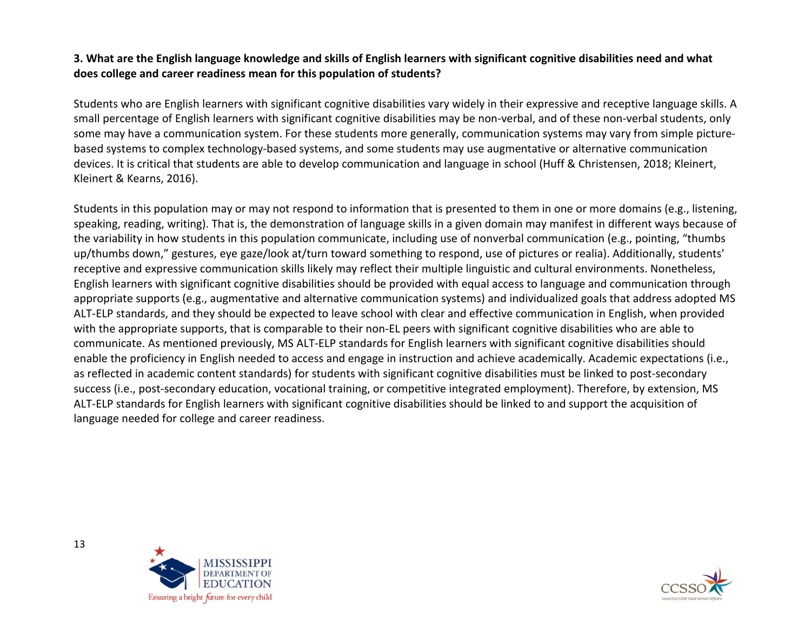### **3. What are the English language knowledge and skills of English learners with significant cognitive disabilities need and what does college and career readiness mean for this population of students?**

Students who are English learners with significant cognitive disabilities vary widely in their expressive and receptive language skills. A small percentage of English learners with significant cognitive disabilities may be non-verbal, and of these non-verbal students, only some may have a communication system. For these students more generally, communication systems may vary from simple picturebased systems to complex technology-based systems, and some students may use augmentative or alternative communication devices. It is critical that students are able to develop communication and language in school (Huff & Christensen, 2018; Kleinert, Kleinert & Kearns, 2016).

Students in this population may or may not respond to information that is presented to them in one or more domains (e.g., listening, speaking, reading, writing). That is, the demonstration of language skills in a given domain may manifest in different ways because of the variability in how students in this population communicate, including use of nonverbal communication (e.g., pointing, "thumbs up/thumbs down," gestures, eye gaze/look at/turn toward something to respond, use of pictures or realia). Additionally, students' receptive and expressive communication skills likely may reflect their multiple linguistic and cultural environments. Nonetheless, English learners with significant cognitive disabilities should be provided with equal access to language and communication through appropriate supports (e.g., augmentative and alternative communication systems) and individualized goals that address adopted MS ALT-ELP standards, and they should be expected to leave school with clear and effective communication in English, when provided with the appropriate supports, that is comparable to their non-EL peers with significant cognitive disabilities who are able to communicate. As mentioned previously, MS ALT-ELP standards for English learners with significant cognitive disabilities should enable the proficiency in English needed to access and engage in instruction and achieve academically. Academic expectations (i.e., as reflected in academic content standards) for students with significant cognitive disabilities must be linked to post-secondary success (i.e., post-secondary education, vocational training, or competitive integrated employment). Therefore, by extension, MS ALT-ELP standards for English learners with significant cognitive disabilities should be linked to and support the acquisition of language needed for college and career readiness.



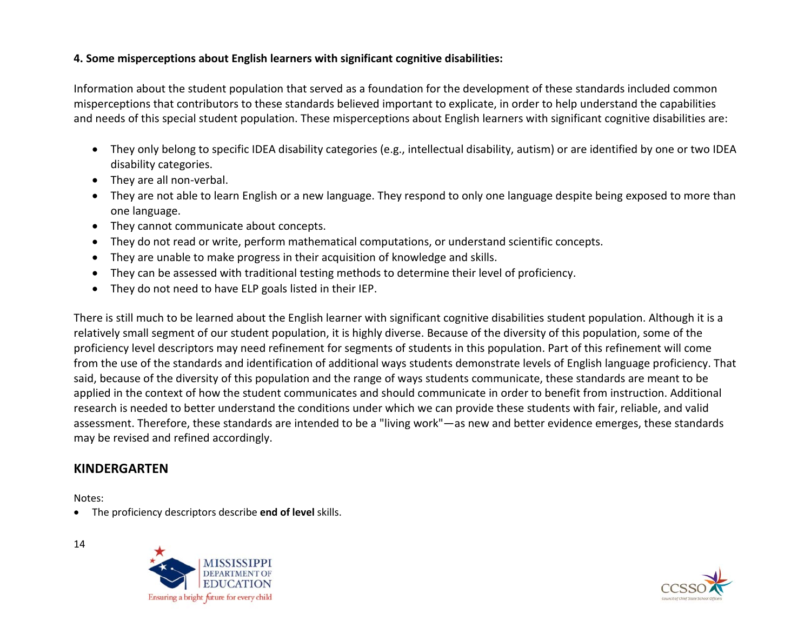#### **4. Some misperceptions about English learners with significant cognitive disabilities:**

Information about the student population that served as a foundation for the development of these standards included common misperceptions that contributors to these standards believed important to explicate, in order to help understand the capabilities and needs of this special student population. These misperceptions about English learners with significant cognitive disabilities are:

- They only belong to specific IDEA disability categories (e.g., intellectual disability, autism) or are identified by one or two IDEA disability categories.
- They are all non-verbal.
- They are not able to learn English or a new language. They respond to only one language despite being exposed to more than one language.
- They cannot communicate about concepts.
- They do not read or write, perform mathematical computations, or understand scientific concepts.
- They are unable to make progress in their acquisition of knowledge and skills.
- They can be assessed with traditional testing methods to determine their level of proficiency.
- They do not need to have ELP goals listed in their IEP.

There is still much to be learned about the English learner with significant cognitive disabilities student population. Although it is a relatively small segment of our student population, it is highly diverse. Because of the diversity of this population, some of the proficiency level descriptors may need refinement for segments of students in this population. Part of this refinement will come from the use of the standards and identification of additional ways students demonstrate levels of English language proficiency. That said, because of the diversity of this population and the range of ways students communicate, these standards are meant to be applied in the context of how the student communicates and should communicate in order to benefit from instruction. Additional research is needed to better understand the conditions under which we can provide these students with fair, reliable, and valid assessment. Therefore, these standards are intended to be a "living work"—as new and better evidence emerges, these standards may be revised and refined accordingly.

# **KINDERGARTEN**

Notes:

• The proficiency descriptors describe **end of level** skills.



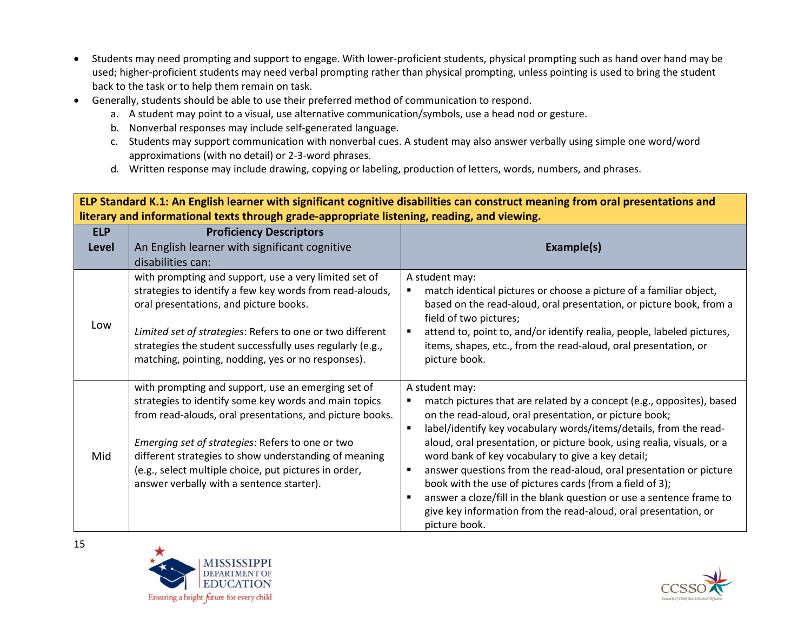- Students may need prompting and support to engage. With lower-proficient students, physical prompting such as hand over hand may be used; higher-proficient students may need verbal prompting rather than physical prompting, unless pointing is used to bring the student back to the task or to help them remain on task.
- Generally, students should be able to use their preferred method of communication to respond.
	- a. A student may point to a visual, use alternative communication/symbols, use a head nod or gesture.
	- b. Nonverbal responses may include self-generated language.
	- c. Students may support communication with nonverbal cues. A student may also answer verbally using simple one word/word approximations (with no detail) or 2-3-word phrases.
	- d. Written response may include drawing, copying or labeling, production of letters, words, numbers, and phrases.

**ELP Standard K.1: An English learner with significant cognitive disabilities can construct meaning from oral presentations and literary and informational texts through grade-appropriate listening, reading, and viewing.**

| <b>ELP</b>   | <b>Proficiency Descriptors</b>                                                                                                                                                                                                                                                                                                                                                             |                                                                                                                                                                                                                                                                                                                                                                                                                                                                                                                                                                                                                                                                            |
|--------------|--------------------------------------------------------------------------------------------------------------------------------------------------------------------------------------------------------------------------------------------------------------------------------------------------------------------------------------------------------------------------------------------|----------------------------------------------------------------------------------------------------------------------------------------------------------------------------------------------------------------------------------------------------------------------------------------------------------------------------------------------------------------------------------------------------------------------------------------------------------------------------------------------------------------------------------------------------------------------------------------------------------------------------------------------------------------------------|
| <b>Level</b> | An English learner with significant cognitive                                                                                                                                                                                                                                                                                                                                              | Example(s)                                                                                                                                                                                                                                                                                                                                                                                                                                                                                                                                                                                                                                                                 |
|              | disabilities can:                                                                                                                                                                                                                                                                                                                                                                          |                                                                                                                                                                                                                                                                                                                                                                                                                                                                                                                                                                                                                                                                            |
| Low          | with prompting and support, use a very limited set of<br>strategies to identify a few key words from read-alouds,<br>oral presentations, and picture books.<br>Limited set of strategies: Refers to one or two different<br>strategies the student successfully uses regularly (e.g.,<br>matching, pointing, nodding, yes or no responses).                                                | A student may:<br>match identical pictures or choose a picture of a familiar object,<br>based on the read-aloud, oral presentation, or picture book, from a<br>field of two pictures;<br>attend to, point to, and/or identify realia, people, labeled pictures,<br>items, shapes, etc., from the read-aloud, oral presentation, or<br>picture book.                                                                                                                                                                                                                                                                                                                        |
| Mid          | with prompting and support, use an emerging set of<br>strategies to identify some key words and main topics<br>from read-alouds, oral presentations, and picture books.<br>Emerging set of strategies: Refers to one or two<br>different strategies to show understanding of meaning<br>(e.g., select multiple choice, put pictures in order,<br>answer verbally with a sentence starter). | A student may:<br>match pictures that are related by a concept (e.g., opposites), based<br>on the read-aloud, oral presentation, or picture book;<br>label/identify key vocabulary words/items/details, from the read-<br>$\blacksquare$<br>aloud, oral presentation, or picture book, using realia, visuals, or a<br>word bank of key vocabulary to give a key detail;<br>answer questions from the read-aloud, oral presentation or picture<br>٠<br>book with the use of pictures cards (from a field of 3);<br>answer a cloze/fill in the blank question or use a sentence frame to<br>give key information from the read-aloud, oral presentation, or<br>picture book. |



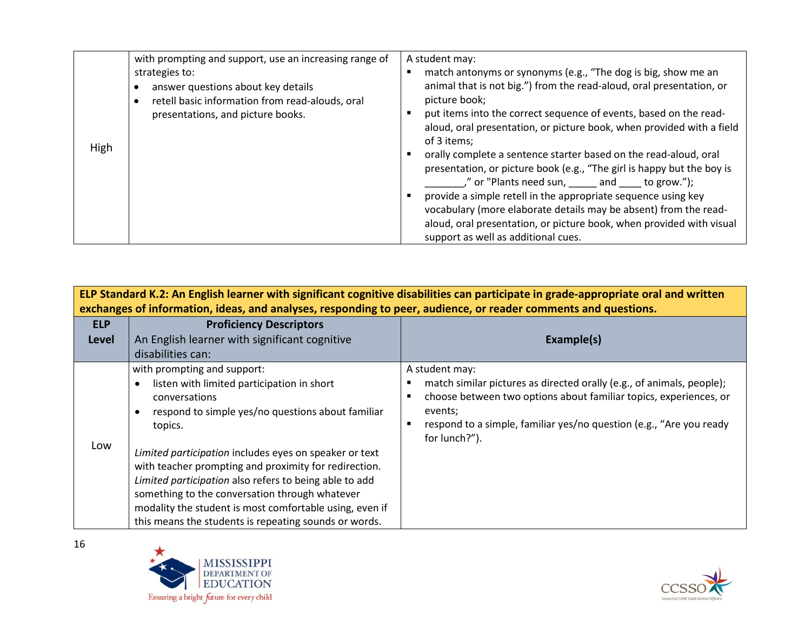|      | with prompting and support, use an increasing range of                                                                                       | A student may:                                                                                                                                                                                                                                                                                                                                                                                                                                                                                                                                                                                                                                                                                                                                                            |
|------|----------------------------------------------------------------------------------------------------------------------------------------------|---------------------------------------------------------------------------------------------------------------------------------------------------------------------------------------------------------------------------------------------------------------------------------------------------------------------------------------------------------------------------------------------------------------------------------------------------------------------------------------------------------------------------------------------------------------------------------------------------------------------------------------------------------------------------------------------------------------------------------------------------------------------------|
| High | strategies to:<br>answer questions about key details<br>retell basic information from read-alouds, oral<br>presentations, and picture books. | match antonyms or synonyms (e.g., "The dog is big, show me an<br>animal that is not big.") from the read-aloud, oral presentation, or<br>picture book;<br>put items into the correct sequence of events, based on the read-<br>aloud, oral presentation, or picture book, when provided with a field<br>of 3 items;<br>orally complete a sentence starter based on the read-aloud, oral<br>presentation, or picture book (e.g., "The girl is happy but the boy is<br>," or "Plants need sun, earnally and to grow.");<br>provide a simple retell in the appropriate sequence using key<br>vocabulary (more elaborate details may be absent) from the read-<br>aloud, oral presentation, or picture book, when provided with visual<br>support as well as additional cues. |

|                            | ELP Standard K.2: An English learner with significant cognitive disabilities can participate in grade-appropriate oral and written<br>exchanges of information, ideas, and analyses, responding to peer, audience, or reader comments and questions.                                                                                                                                                                                                                                                          |                                                                                                                                                                                                                                                                 |  |
|----------------------------|---------------------------------------------------------------------------------------------------------------------------------------------------------------------------------------------------------------------------------------------------------------------------------------------------------------------------------------------------------------------------------------------------------------------------------------------------------------------------------------------------------------|-----------------------------------------------------------------------------------------------------------------------------------------------------------------------------------------------------------------------------------------------------------------|--|
| <b>ELP</b><br><b>Level</b> | <b>Proficiency Descriptors</b><br>An English learner with significant cognitive<br>disabilities can:                                                                                                                                                                                                                                                                                                                                                                                                          | Example(s)                                                                                                                                                                                                                                                      |  |
| Low                        | with prompting and support:<br>listen with limited participation in short<br>conversations<br>respond to simple yes/no questions about familiar<br>topics.<br>Limited participation includes eyes on speaker or text<br>with teacher prompting and proximity for redirection.<br>Limited participation also refers to being able to add<br>something to the conversation through whatever<br>modality the student is most comfortable using, even if<br>this means the students is repeating sounds or words. | A student may:<br>match similar pictures as directed orally (e.g., of animals, people);<br>choose between two options about familiar topics, experiences, or<br>events;<br>respond to a simple, familiar yes/no question (e.g., "Are you ready<br>for lunch?"). |  |



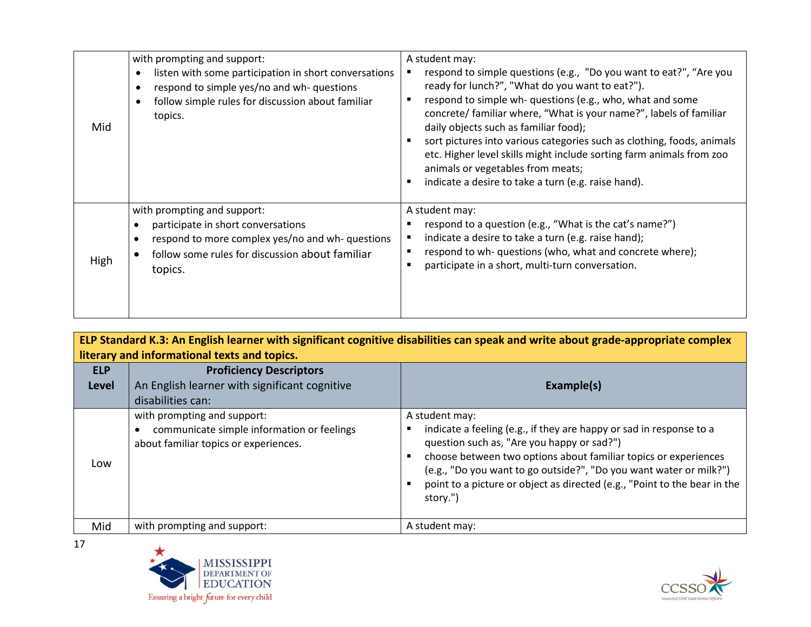| Mid  | with prompting and support:<br>listen with some participation in short conversations<br>$\bullet$<br>respond to simple yes/no and wh- questions<br>$\bullet$<br>follow simple rules for discussion about familiar<br>$\bullet$<br>topics. | A student may:<br>respond to simple questions (e.g., "Do you want to eat?", "Are you<br>ready for lunch?", "What do you want to eat?").<br>respond to simple wh- questions (e.g., who, what and some<br>concrete/ familiar where, "What is your name?", labels of familiar<br>daily objects such as familiar food);<br>sort pictures into various categories such as clothing, foods, animals<br>etc. Higher level skills might include sorting farm animals from zoo<br>animals or vegetables from meats;<br>indicate a desire to take a turn (e.g. raise hand). |
|------|-------------------------------------------------------------------------------------------------------------------------------------------------------------------------------------------------------------------------------------------|-------------------------------------------------------------------------------------------------------------------------------------------------------------------------------------------------------------------------------------------------------------------------------------------------------------------------------------------------------------------------------------------------------------------------------------------------------------------------------------------------------------------------------------------------------------------|
| High | with prompting and support:<br>participate in short conversations<br>respond to more complex yes/no and wh-questions<br>follow some rules for discussion about familiar<br>topics.                                                        | A student may:<br>respond to a question (e.g., "What is the cat's name?")<br>indicate a desire to take a turn (e.g. raise hand);<br>respond to wh- questions (who, what and concrete where);<br>participate in a short, multi-turn conversation.                                                                                                                                                                                                                                                                                                                  |

|                            | ELP Standard K.3: An English learner with significant cognitive disabilities can speak and write about grade-appropriate complex<br>literary and informational texts and topics. |                                                                                                                                                                                                                                                                                                                                                                       |  |
|----------------------------|----------------------------------------------------------------------------------------------------------------------------------------------------------------------------------|-----------------------------------------------------------------------------------------------------------------------------------------------------------------------------------------------------------------------------------------------------------------------------------------------------------------------------------------------------------------------|--|
| <b>ELP</b><br><b>Level</b> | <b>Proficiency Descriptors</b><br>An English learner with significant cognitive<br>disabilities can:                                                                             | Example(s)                                                                                                                                                                                                                                                                                                                                                            |  |
| Low                        | with prompting and support:<br>communicate simple information or feelings<br>about familiar topics or experiences.                                                               | A student may:<br>indicate a feeling (e.g., if they are happy or sad in response to a<br>question such as, "Are you happy or sad?")<br>choose between two options about familiar topics or experiences<br>(e.g., "Do you want to go outside?", "Do you want water or milk?")<br>point to a picture or object as directed (e.g., "Point to the bear in the<br>story.") |  |
| Mid                        | with prompting and support:                                                                                                                                                      | A student may:                                                                                                                                                                                                                                                                                                                                                        |  |



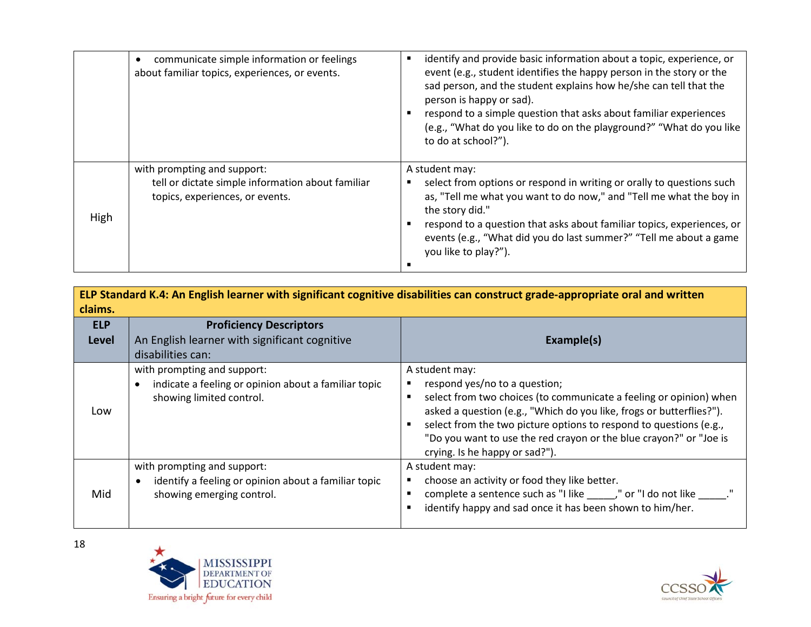|      | communicate simple information or feelings<br>about familiar topics, experiences, or events.                        | identify and provide basic information about a topic, experience, or<br>event (e.g., student identifies the happy person in the story or the<br>sad person, and the student explains how he/she can tell that the<br>person is happy or sad).<br>respond to a simple question that asks about familiar experiences<br>(e.g., "What do you like to do on the playground?" "What do you like<br>to do at school?"). |
|------|---------------------------------------------------------------------------------------------------------------------|-------------------------------------------------------------------------------------------------------------------------------------------------------------------------------------------------------------------------------------------------------------------------------------------------------------------------------------------------------------------------------------------------------------------|
| High | with prompting and support:<br>tell or dictate simple information about familiar<br>topics, experiences, or events. | A student may:<br>select from options or respond in writing or orally to questions such<br>as, "Tell me what you want to do now," and "Tell me what the boy in<br>the story did."<br>respond to a question that asks about familiar topics, experiences, or<br>events (e.g., "What did you do last summer?" "Tell me about a game<br>you like to play?").                                                         |

| claims.                    |                                                                                                                  | ELP Standard K.4: An English learner with significant cognitive disabilities can construct grade-appropriate oral and written                                                                                                                                                                                                                                                                 |
|----------------------------|------------------------------------------------------------------------------------------------------------------|-----------------------------------------------------------------------------------------------------------------------------------------------------------------------------------------------------------------------------------------------------------------------------------------------------------------------------------------------------------------------------------------------|
| <b>ELP</b><br><b>Level</b> | <b>Proficiency Descriptors</b><br>An English learner with significant cognitive                                  | Example(s)                                                                                                                                                                                                                                                                                                                                                                                    |
|                            | disabilities can:                                                                                                |                                                                                                                                                                                                                                                                                                                                                                                               |
| Low                        | with prompting and support:<br>indicate a feeling or opinion about a familiar topic<br>showing limited control.  | A student may:<br>respond yes/no to a question;<br>select from two choices (to communicate a feeling or opinion) when<br>$\blacksquare$<br>asked a question (e.g., "Which do you like, frogs or butterflies?").<br>select from the two picture options to respond to questions (e.g.,<br>"Do you want to use the red crayon or the blue crayon?" or "Joe is<br>crying. Is he happy or sad?"). |
| Mid                        | with prompting and support:<br>identify a feeling or opinion about a familiar topic<br>showing emerging control. | A student may:<br>choose an activity or food they like better.<br>٠<br>complete a sentence such as "I like ______," or "I do not like ______."<br>identify happy and sad once it has been shown to him/her.                                                                                                                                                                                   |



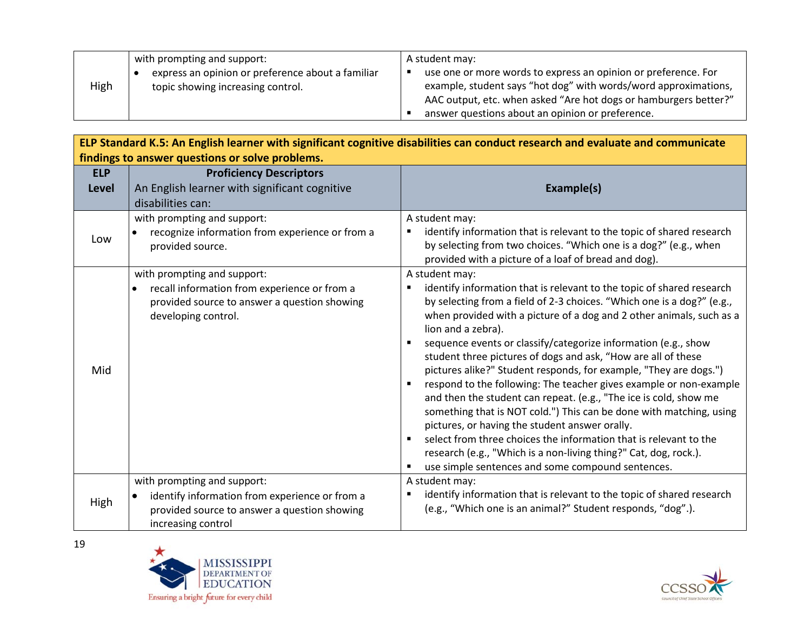|      | with prompting and support:                                                            | A student may:                                                                                                                                                                                                                                            |
|------|----------------------------------------------------------------------------------------|-----------------------------------------------------------------------------------------------------------------------------------------------------------------------------------------------------------------------------------------------------------|
| High | express an opinion or preference about a familiar<br>topic showing increasing control. | use one or more words to express an opinion or preference. For<br>example, student says "hot dog" with words/word approximations,<br>AAC output, etc. when asked "Are hot dogs or hamburgers better?"<br>answer questions about an opinion or preference. |

| ELP Standard K.5: An English learner with significant cognitive disabilities can conduct research and evaluate and communicate |                                                                                                                                                     |                                                                                                                                                                                                                                                                                                                                                                                                                                                                                                                                                                                                                                                                                                                                                                                                                                                                                                                                           |  |
|--------------------------------------------------------------------------------------------------------------------------------|-----------------------------------------------------------------------------------------------------------------------------------------------------|-------------------------------------------------------------------------------------------------------------------------------------------------------------------------------------------------------------------------------------------------------------------------------------------------------------------------------------------------------------------------------------------------------------------------------------------------------------------------------------------------------------------------------------------------------------------------------------------------------------------------------------------------------------------------------------------------------------------------------------------------------------------------------------------------------------------------------------------------------------------------------------------------------------------------------------------|--|
|                                                                                                                                | findings to answer questions or solve problems.                                                                                                     |                                                                                                                                                                                                                                                                                                                                                                                                                                                                                                                                                                                                                                                                                                                                                                                                                                                                                                                                           |  |
| <b>ELP</b><br>Level                                                                                                            | <b>Proficiency Descriptors</b><br>An English learner with significant cognitive<br>disabilities can:                                                | Example(s)                                                                                                                                                                                                                                                                                                                                                                                                                                                                                                                                                                                                                                                                                                                                                                                                                                                                                                                                |  |
| Low                                                                                                                            | with prompting and support:<br>recognize information from experience or from a<br>provided source.                                                  | A student may:<br>identify information that is relevant to the topic of shared research<br>by selecting from two choices. "Which one is a dog?" (e.g., when<br>provided with a picture of a loaf of bread and dog).                                                                                                                                                                                                                                                                                                                                                                                                                                                                                                                                                                                                                                                                                                                       |  |
| Mid                                                                                                                            | with prompting and support:<br>recall information from experience or from a<br>provided source to answer a question showing<br>developing control.  | A student may:<br>identify information that is relevant to the topic of shared research<br>by selecting from a field of 2-3 choices. "Which one is a dog?" (e.g.,<br>when provided with a picture of a dog and 2 other animals, such as a<br>lion and a zebra).<br>sequence events or classify/categorize information (e.g., show<br>student three pictures of dogs and ask, "How are all of these<br>pictures alike?" Student responds, for example, "They are dogs.")<br>respond to the following: The teacher gives example or non-example<br>and then the student can repeat. (e.g., "The ice is cold, show me<br>something that is NOT cold.") This can be done with matching, using<br>pictures, or having the student answer orally.<br>select from three choices the information that is relevant to the<br>research (e.g., "Which is a non-living thing?" Cat, dog, rock.).<br>use simple sentences and some compound sentences. |  |
| High                                                                                                                           | with prompting and support:<br>identify information from experience or from a<br>provided source to answer a question showing<br>increasing control | A student may:<br>identify information that is relevant to the topic of shared research<br>(e.g., "Which one is an animal?" Student responds, "dog".).                                                                                                                                                                                                                                                                                                                                                                                                                                                                                                                                                                                                                                                                                                                                                                                    |  |



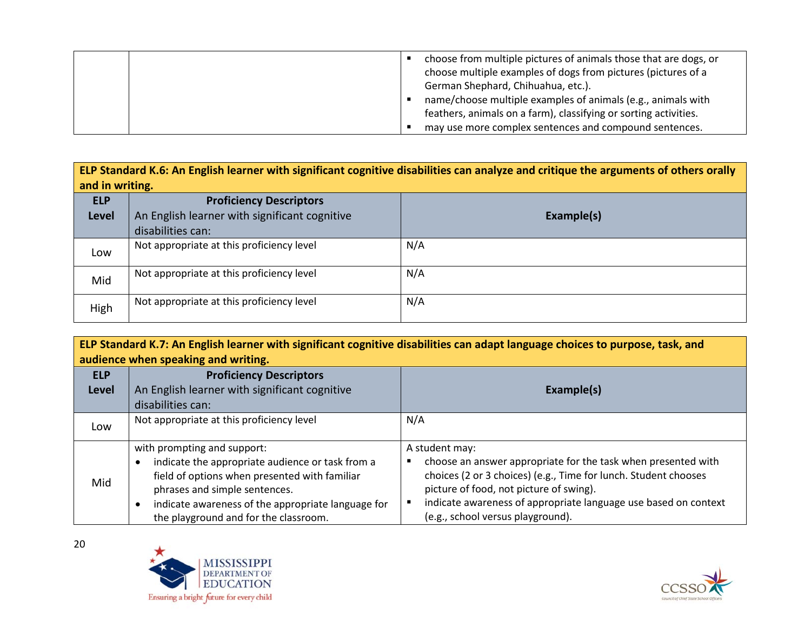|  | choose from multiple pictures of animals those that are dogs, or<br>choose multiple examples of dogs from pictures (pictures of a<br>German Shephard, Chihuahua, etc.).<br>name/choose multiple examples of animals (e.g., animals with<br>feathers, animals on a farm), classifying or sorting activities. |
|--|-------------------------------------------------------------------------------------------------------------------------------------------------------------------------------------------------------------------------------------------------------------------------------------------------------------|
|  | may use more complex sentences and compound sentences.                                                                                                                                                                                                                                                      |

**ELP Standard K.6: An English learner with significant cognitive disabilities can analyze and critique the arguments of others orally and in writing.**

| <b>ELP</b><br><b>Level</b> | <b>Proficiency Descriptors</b><br>An English learner with significant cognitive<br>disabilities can: | Example(s) |
|----------------------------|------------------------------------------------------------------------------------------------------|------------|
| Low                        | Not appropriate at this proficiency level                                                            | N/A        |
| Mid                        | Not appropriate at this proficiency level                                                            | N/A        |
| High                       | Not appropriate at this proficiency level                                                            | N/A        |

**ELP Standard K.7: An English learner with significant cognitive disabilities can adapt language choices to purpose, task, and audience when speaking and writing.**

| <b>ELP</b>   | <b>Proficiency Descriptors</b>                                                                                                                                                                                                                                   |                                                                                                                                                                                                                                                                                                       |
|--------------|------------------------------------------------------------------------------------------------------------------------------------------------------------------------------------------------------------------------------------------------------------------|-------------------------------------------------------------------------------------------------------------------------------------------------------------------------------------------------------------------------------------------------------------------------------------------------------|
| <b>Level</b> | An English learner with significant cognitive                                                                                                                                                                                                                    | Example(s)                                                                                                                                                                                                                                                                                            |
|              | disabilities can:                                                                                                                                                                                                                                                |                                                                                                                                                                                                                                                                                                       |
| Low          | Not appropriate at this proficiency level                                                                                                                                                                                                                        | N/A                                                                                                                                                                                                                                                                                                   |
| Mid          | with prompting and support:<br>indicate the appropriate audience or task from a<br>field of options when presented with familiar<br>phrases and simple sentences.<br>indicate awareness of the appropriate language for<br>the playground and for the classroom. | A student may:<br>choose an answer appropriate for the task when presented with<br>choices (2 or 3 choices) (e.g., Time for lunch. Student chooses<br>picture of food, not picture of swing).<br>indicate awareness of appropriate language use based on context<br>(e.g., school versus playground). |



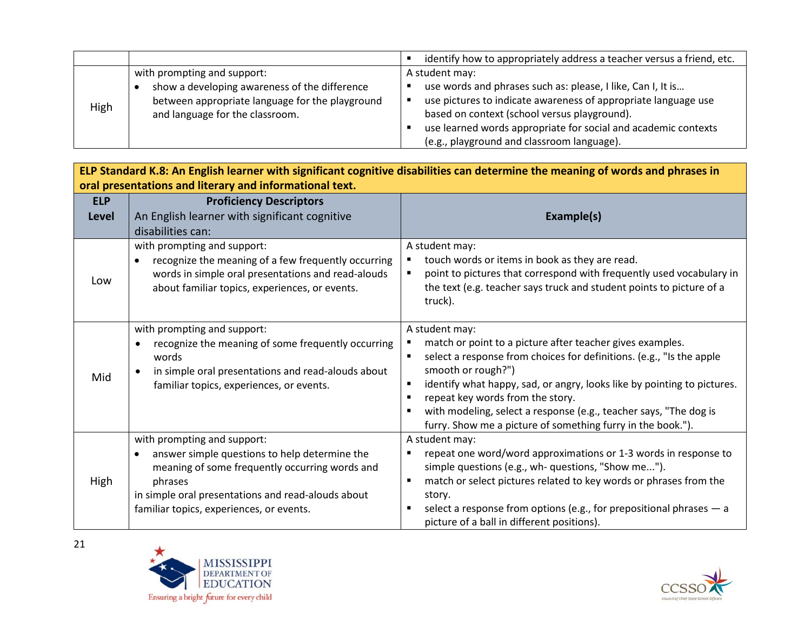|      |                                                 | identify how to appropriately address a teacher versus a friend, etc.<br>п |
|------|-------------------------------------------------|----------------------------------------------------------------------------|
| High | with prompting and support:                     | A student may:                                                             |
|      | show a developing awareness of the difference   | use words and phrases such as: please, I like, Can I, It is                |
|      | between appropriate language for the playground | use pictures to indicate awareness of appropriate language use             |
|      | and language for the classroom.                 | based on context (school versus playground).                               |
|      |                                                 | use learned words appropriate for social and academic contexts             |
|      |                                                 | (e.g., playground and classroom language).                                 |

| ELP Standard K.8: An English learner with significant cognitive disabilities can determine the meaning of words and phrases in |                                                                                                                                                                                                                                                          |                                                                                                                                                                                                                                                                                                                                                                                                                                                                            |
|--------------------------------------------------------------------------------------------------------------------------------|----------------------------------------------------------------------------------------------------------------------------------------------------------------------------------------------------------------------------------------------------------|----------------------------------------------------------------------------------------------------------------------------------------------------------------------------------------------------------------------------------------------------------------------------------------------------------------------------------------------------------------------------------------------------------------------------------------------------------------------------|
| <b>ELP</b>                                                                                                                     | oral presentations and literary and informational text.<br><b>Proficiency Descriptors</b>                                                                                                                                                                |                                                                                                                                                                                                                                                                                                                                                                                                                                                                            |
| Level                                                                                                                          | An English learner with significant cognitive                                                                                                                                                                                                            | Example(s)                                                                                                                                                                                                                                                                                                                                                                                                                                                                 |
|                                                                                                                                | disabilities can:                                                                                                                                                                                                                                        |                                                                                                                                                                                                                                                                                                                                                                                                                                                                            |
| Low                                                                                                                            | with prompting and support:<br>recognize the meaning of a few frequently occurring<br>words in simple oral presentations and read-alouds<br>about familiar topics, experiences, or events.                                                               | A student may:<br>touch words or items in book as they are read.<br>٠<br>point to pictures that correspond with frequently used vocabulary in<br>٠<br>the text (e.g. teacher says truck and student points to picture of a<br>truck).                                                                                                                                                                                                                                      |
| Mid                                                                                                                            | with prompting and support:<br>recognize the meaning of some frequently occurring<br>words<br>in simple oral presentations and read-alouds about<br>familiar topics, experiences, or events.                                                             | A student may:<br>match or point to a picture after teacher gives examples.<br>٠<br>select a response from choices for definitions. (e.g., "Is the apple<br>smooth or rough?")<br>identify what happy, sad, or angry, looks like by pointing to pictures.<br>$\blacksquare$<br>repeat key words from the story.<br>$\blacksquare$<br>with modeling, select a response (e.g., teacher says, "The dog is<br>٠<br>furry. Show me a picture of something furry in the book."). |
| High                                                                                                                           | with prompting and support:<br>answer simple questions to help determine the<br>$\bullet$<br>meaning of some frequently occurring words and<br>phrases<br>in simple oral presentations and read-alouds about<br>familiar topics, experiences, or events. | A student may:<br>repeat one word/word approximations or 1-3 words in response to<br>٠<br>simple questions (e.g., wh- questions, "Show me").<br>match or select pictures related to key words or phrases from the<br>٠<br>story.<br>select a response from options (e.g., for prepositional phrases $-$ a<br>$\blacksquare$<br>picture of a ball in different positions).                                                                                                  |



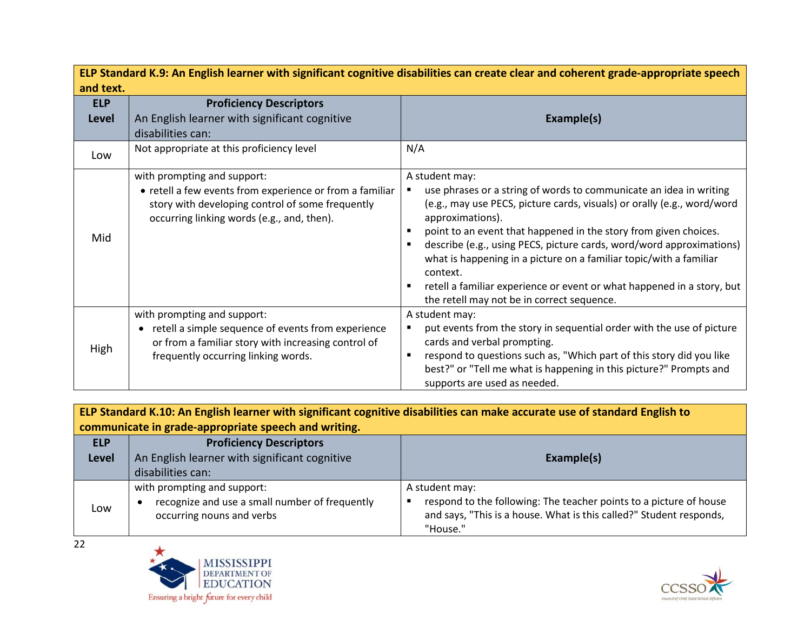| ELP Standard K.9: An English learner with significant cognitive disabilities can create clear and coherent grade-appropriate speech |                                                                                                                                                                                              |                                                                                                                                                                                                                                                                                                                                                                                                                                                                                                                                                     |
|-------------------------------------------------------------------------------------------------------------------------------------|----------------------------------------------------------------------------------------------------------------------------------------------------------------------------------------------|-----------------------------------------------------------------------------------------------------------------------------------------------------------------------------------------------------------------------------------------------------------------------------------------------------------------------------------------------------------------------------------------------------------------------------------------------------------------------------------------------------------------------------------------------------|
| and text.                                                                                                                           |                                                                                                                                                                                              |                                                                                                                                                                                                                                                                                                                                                                                                                                                                                                                                                     |
| <b>ELP</b>                                                                                                                          | <b>Proficiency Descriptors</b>                                                                                                                                                               |                                                                                                                                                                                                                                                                                                                                                                                                                                                                                                                                                     |
| <b>Level</b>                                                                                                                        | An English learner with significant cognitive                                                                                                                                                | Example(s)                                                                                                                                                                                                                                                                                                                                                                                                                                                                                                                                          |
|                                                                                                                                     | disabilities can:                                                                                                                                                                            |                                                                                                                                                                                                                                                                                                                                                                                                                                                                                                                                                     |
| Low                                                                                                                                 | Not appropriate at this proficiency level                                                                                                                                                    | N/A                                                                                                                                                                                                                                                                                                                                                                                                                                                                                                                                                 |
| Mid                                                                                                                                 | with prompting and support:<br>• retell a few events from experience or from a familiar<br>story with developing control of some frequently<br>occurring linking words (e.g., and, then).    | A student may:<br>use phrases or a string of words to communicate an idea in writing<br>(e.g., may use PECS, picture cards, visuals) or orally (e.g., word/word<br>approximations).<br>point to an event that happened in the story from given choices.<br>٠<br>describe (e.g., using PECS, picture cards, word/word approximations)<br>what is happening in a picture on a familiar topic/with a familiar<br>context.<br>retell a familiar experience or event or what happened in a story, but<br>٠<br>the retell may not be in correct sequence. |
| High                                                                                                                                | with prompting and support:<br>retell a simple sequence of events from experience<br>$\bullet$<br>or from a familiar story with increasing control of<br>frequently occurring linking words. | A student may:<br>put events from the story in sequential order with the use of picture<br>cards and verbal prompting.<br>respond to questions such as, "Which part of this story did you like<br>$\blacksquare$<br>best?" or "Tell me what is happening in this picture?" Prompts and<br>supports are used as needed.                                                                                                                                                                                                                              |

**ELP Standard K.10: An English learner with significant cognitive disabilities can make accurate use of standard English to communicate in grade-appropriate speech and writing.**

| <b>ELP</b><br><b>Level</b> | <b>Proficiency Descriptors</b><br>An English learner with significant cognitive<br>disabilities can:       | Example(s)                                                                                                                                                              |
|----------------------------|------------------------------------------------------------------------------------------------------------|-------------------------------------------------------------------------------------------------------------------------------------------------------------------------|
| Low                        | with prompting and support:<br>recognize and use a small number of frequently<br>occurring nouns and verbs | A student may:<br>respond to the following: The teacher points to a picture of house<br>and says, "This is a house. What is this called?" Student responds,<br>"House." |

 $\overline{22}$ 



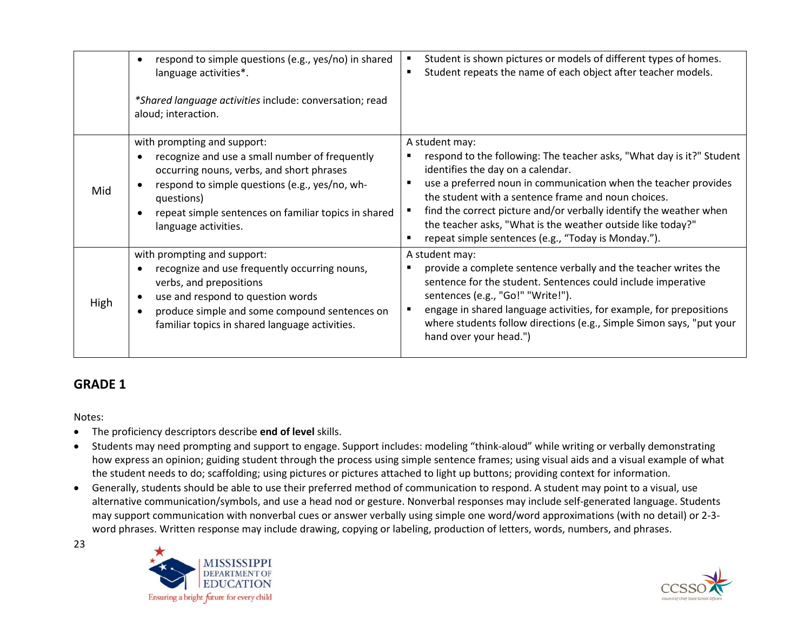|      | respond to simple questions (e.g., yes/no) in shared<br>$\bullet$<br>language activities*.<br>*Shared language activities include: conversation; read<br>aloud; interaction.                                                                                               | Student is shown pictures or models of different types of homes.<br>٠<br>Student repeats the name of each object after teacher models.                                                                                                                                                                                                                                                                                                             |
|------|----------------------------------------------------------------------------------------------------------------------------------------------------------------------------------------------------------------------------------------------------------------------------|----------------------------------------------------------------------------------------------------------------------------------------------------------------------------------------------------------------------------------------------------------------------------------------------------------------------------------------------------------------------------------------------------------------------------------------------------|
| Mid  | with prompting and support:<br>recognize and use a small number of frequently<br>occurring nouns, verbs, and short phrases<br>respond to simple questions (e.g., yes/no, wh-<br>questions)<br>repeat simple sentences on familiar topics in shared<br>language activities. | A student may:<br>respond to the following: The teacher asks, "What day is it?" Student<br>identifies the day on a calendar.<br>use a preferred noun in communication when the teacher provides<br>the student with a sentence frame and noun choices.<br>find the correct picture and/or verbally identify the weather when<br>the teacher asks, "What is the weather outside like today?"<br>repeat simple sentences (e.g., "Today is Monday."). |
| High | with prompting and support:<br>recognize and use frequently occurring nouns,<br>verbs, and prepositions<br>use and respond to question words<br>$\bullet$<br>produce simple and some compound sentences on<br>familiar topics in shared language activities.               | A student may:<br>provide a complete sentence verbally and the teacher writes the<br>sentence for the student. Sentences could include imperative<br>sentences (e.g., "Go!" "Write!").<br>engage in shared language activities, for example, for prepositions<br>where students follow directions (e.g., Simple Simon says, "put your<br>hand over your head.")                                                                                    |

# **GRADE 1**

Notes:

- The proficiency descriptors describe **end of level** skills.
- Students may need prompting and support to engage. Support includes: modeling "think-aloud" while writing or verbally demonstrating how express an opinion; guiding student through the process using simple sentence frames; using visual aids and a visual example of what the student needs to do; scaffolding; using pictures or pictures attached to light up buttons; providing context for information.
- Generally, students should be able to use their preferred method of communication to respond. A student may point to a visual, use alternative communication/symbols, and use a head nod or gesture. Nonverbal responses may include self-generated language. Students may support communication with nonverbal cues or answer verbally using simple one word/word approximations (with no detail) or 2-3 word phrases. Written response may include drawing, copying or labeling, production of letters, words, numbers, and phrases.



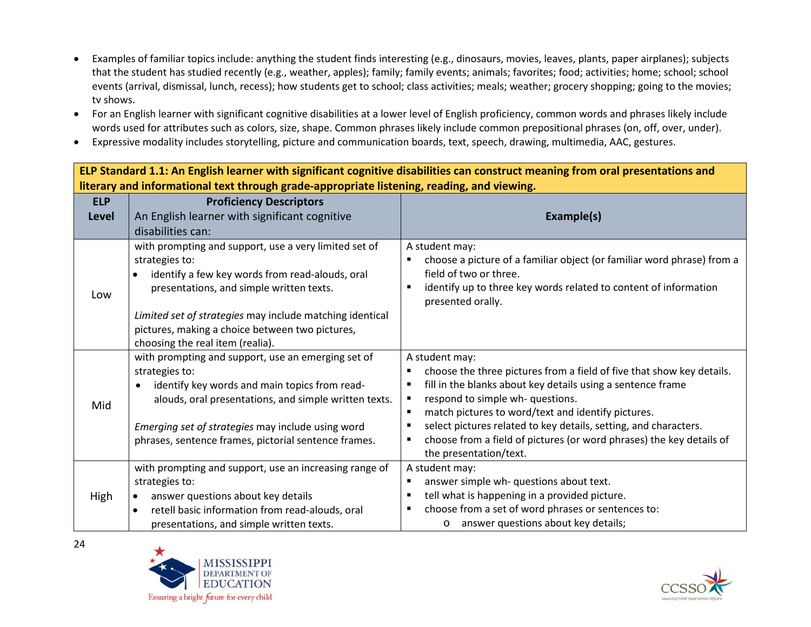- Examples of familiar topics include: anything the student finds interesting (e.g., dinosaurs, movies, leaves, plants, paper airplanes); subjects that the student has studied recently (e.g., weather, apples); family; family events; animals; favorites; food; activities; home; school; school events (arrival, dismissal, lunch, recess); how students get to school; class activities; meals; weather; grocery shopping; going to the movies; tv shows.
- For an English learner with significant cognitive disabilities at a lower level of English proficiency, common words and phrases likely include words used for attributes such as colors, size, shape. Common phrases likely include common prepositional phrases (on, off, over, under).
- Expressive modality includes storytelling, picture and communication boards, text, speech, drawing, multimedia, AAC, gestures.

**ELP Standard 1.1: An English learner with significant cognitive disabilities can construct meaning from oral presentations and literary and informational text through grade-appropriate listening, reading, and viewing. ELP Level Proficiency Descriptors** An English learner with significant cognitive disabilities can: **Example(s)** Low with prompting and support, use a very limited set of strategies to: • identify a few key words from read-alouds, oral presentations, and simple written texts. *Limited set of strategies* may include matching identical pictures, making a choice between two pictures, choosing the real item (realia). A student may: choose a picture of a familiar object (or familiar word phrase) from a field of two or three. identify up to three key words related to content of information presented orally. Mid with prompting and support, use an emerging set of strategies to: • identify key words and main topics from readalouds, oral presentations, and simple written texts. *Emerging set of strategies* may include using word phrases, sentence frames, pictorial sentence frames. A student may: choose the three pictures from a field of five that show key details. **Fill in the blanks about key details using a sentence frame F** respond to simple wh-questions. ■ match pictures to word/text and identify pictures. select pictures related to key details, setting, and characters. choose from a field of pictures (or word phrases) the key details of the presentation/text. High with prompting and support, use an increasing range of strategies to: answer questions about key details • retell basic information from read-alouds, oral presentations, and simple written texts. A student may: **answer simple wh- questions about text.**  tell what is happening in a provided picture. choose from a set of word phrases or sentences to: o answer questions about key details;



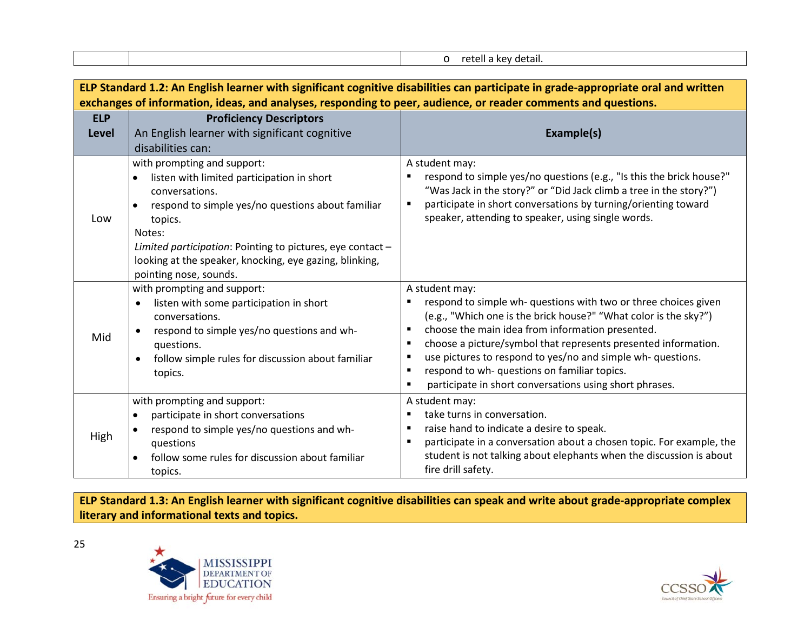| detail. |
|---------|
|---------|

| ELP Standard 1.2: An English learner with significant cognitive disabilities can participate in grade-appropriate oral and written |                                                                                  |                                                                                                                                                      |
|------------------------------------------------------------------------------------------------------------------------------------|----------------------------------------------------------------------------------|------------------------------------------------------------------------------------------------------------------------------------------------------|
| exchanges of information, ideas, and analyses, responding to peer, audience, or reader comments and questions.                     |                                                                                  |                                                                                                                                                      |
| <b>ELP</b>                                                                                                                         | <b>Proficiency Descriptors</b>                                                   |                                                                                                                                                      |
| Level                                                                                                                              | An English learner with significant cognitive                                    | Example(s)                                                                                                                                           |
|                                                                                                                                    | disabilities can:                                                                |                                                                                                                                                      |
|                                                                                                                                    | with prompting and support:                                                      | A student may:                                                                                                                                       |
|                                                                                                                                    | listen with limited participation in short                                       | respond to simple yes/no questions (e.g., "Is this the brick house?"                                                                                 |
|                                                                                                                                    | conversations.<br>respond to simple yes/no questions about familiar<br>$\bullet$ | "Was Jack in the story?" or "Did Jack climb a tree in the story?")<br>participate in short conversations by turning/orienting toward<br>п            |
| Low                                                                                                                                | topics.                                                                          | speaker, attending to speaker, using single words.                                                                                                   |
|                                                                                                                                    | Notes:                                                                           |                                                                                                                                                      |
|                                                                                                                                    | Limited participation: Pointing to pictures, eye contact -                       |                                                                                                                                                      |
|                                                                                                                                    | looking at the speaker, knocking, eye gazing, blinking,                          |                                                                                                                                                      |
|                                                                                                                                    | pointing nose, sounds.                                                           |                                                                                                                                                      |
|                                                                                                                                    | with prompting and support:                                                      | A student may:                                                                                                                                       |
|                                                                                                                                    | listen with some participation in short                                          | respond to simple wh- questions with two or three choices given<br>п                                                                                 |
|                                                                                                                                    | conversations.                                                                   | (e.g., "Which one is the brick house?" "What color is the sky?")                                                                                     |
| Mid                                                                                                                                | respond to simple yes/no questions and wh-                                       | choose the main idea from information presented.<br>٠                                                                                                |
|                                                                                                                                    | questions.                                                                       | choose a picture/symbol that represents presented information.<br>$\blacksquare$<br>use pictures to respond to yes/no and simple wh- questions.<br>п |
|                                                                                                                                    | follow simple rules for discussion about familiar<br>$\bullet$                   | respond to wh- questions on familiar topics.<br>$\blacksquare$                                                                                       |
|                                                                                                                                    | topics.                                                                          | participate in short conversations using short phrases.                                                                                              |
|                                                                                                                                    | with prompting and support:                                                      | A student may:                                                                                                                                       |
| High                                                                                                                               | participate in short conversations                                               | take turns in conversation.<br>٠                                                                                                                     |
|                                                                                                                                    | respond to simple yes/no questions and wh-                                       | raise hand to indicate a desire to speak.<br>$\blacksquare$                                                                                          |
|                                                                                                                                    | questions                                                                        | participate in a conversation about a chosen topic. For example, the                                                                                 |
|                                                                                                                                    | follow some rules for discussion about familiar                                  | student is not talking about elephants when the discussion is about                                                                                  |
|                                                                                                                                    | topics.                                                                          | fire drill safety.                                                                                                                                   |

**ELP Standard 1.3: An English learner with significant cognitive disabilities can speak and write about grade-appropriate complex literary and informational texts and topics.**



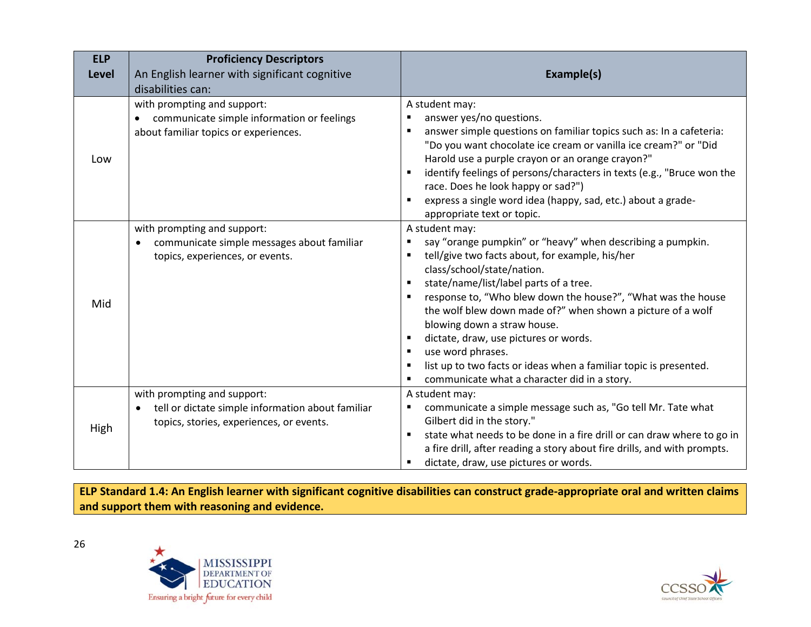| <b>ELP</b>   | <b>Proficiency Descriptors</b>                                                                                               |                                                                                                                                                                                                                                                                                                                                                                                                                                                                                                                                                                                             |
|--------------|------------------------------------------------------------------------------------------------------------------------------|---------------------------------------------------------------------------------------------------------------------------------------------------------------------------------------------------------------------------------------------------------------------------------------------------------------------------------------------------------------------------------------------------------------------------------------------------------------------------------------------------------------------------------------------------------------------------------------------|
| <b>Level</b> | An English learner with significant cognitive                                                                                | Example(s)                                                                                                                                                                                                                                                                                                                                                                                                                                                                                                                                                                                  |
|              | disabilities can:                                                                                                            |                                                                                                                                                                                                                                                                                                                                                                                                                                                                                                                                                                                             |
| Low          | with prompting and support:<br>communicate simple information or feelings<br>about familiar topics or experiences.           | A student may:<br>answer yes/no questions.<br>answer simple questions on familiar topics such as: In a cafeteria:<br>"Do you want chocolate ice cream or vanilla ice cream?" or "Did<br>Harold use a purple crayon or an orange crayon?"<br>identify feelings of persons/characters in texts (e.g., "Bruce won the<br>race. Does he look happy or sad?")<br>express a single word idea (happy, sad, etc.) about a grade-                                                                                                                                                                    |
| Mid          | with prompting and support:<br>communicate simple messages about familiar<br>topics, experiences, or events.                 | appropriate text or topic.<br>A student may:<br>say "orange pumpkin" or "heavy" when describing a pumpkin.<br>tell/give two facts about, for example, his/her<br>٠<br>class/school/state/nation.<br>state/name/list/label parts of a tree.<br>response to, "Who blew down the house?", "What was the house<br>the wolf blew down made of?" when shown a picture of a wolf<br>blowing down a straw house.<br>dictate, draw, use pictures or words.<br>use word phrases.<br>list up to two facts or ideas when a familiar topic is presented.<br>communicate what a character did in a story. |
| High         | with prompting and support:<br>tell or dictate simple information about familiar<br>topics, stories, experiences, or events. | A student may:<br>communicate a simple message such as, "Go tell Mr. Tate what<br>Gilbert did in the story."<br>state what needs to be done in a fire drill or can draw where to go in<br>$\blacksquare$<br>a fire drill, after reading a story about fire drills, and with prompts.<br>dictate, draw, use pictures or words.<br>٠                                                                                                                                                                                                                                                          |

**ELP Standard 1.4: An English learner with significant cognitive disabilities can construct grade-appropriate oral and written claims and support them with reasoning and evidence.**



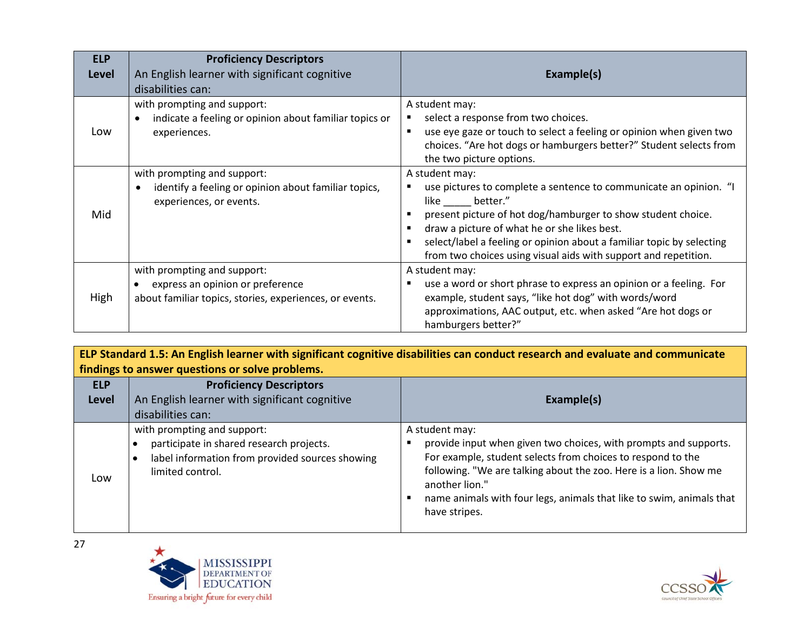| <b>ELP</b><br>Level | <b>Proficiency Descriptors</b><br>An English learner with significant cognitive<br>disabilities can:                       | Example(s)                                                                                                                                                                                                                                                                                                                                                            |
|---------------------|----------------------------------------------------------------------------------------------------------------------------|-----------------------------------------------------------------------------------------------------------------------------------------------------------------------------------------------------------------------------------------------------------------------------------------------------------------------------------------------------------------------|
| Low                 | with prompting and support:<br>indicate a feeling or opinion about familiar topics or<br>experiences.                      | A student may:<br>select a response from two choices.<br>use eye gaze or touch to select a feeling or opinion when given two<br>choices. "Are hot dogs or hamburgers better?" Student selects from<br>the two picture options.                                                                                                                                        |
| Mid                 | with prompting and support:<br>identify a feeling or opinion about familiar topics,<br>experiences, or events.             | A student may:<br>use pictures to complete a sentence to communicate an opinion. "I<br>like better."<br>present picture of hot dog/hamburger to show student choice.<br>draw a picture of what he or she likes best.<br>select/label a feeling or opinion about a familiar topic by selecting<br>٠<br>from two choices using visual aids with support and repetition. |
| High                | with prompting and support:<br>express an opinion or preference<br>about familiar topics, stories, experiences, or events. | A student may:<br>use a word or short phrase to express an opinion or a feeling. For<br>example, student says, "like hot dog" with words/word<br>approximations, AAC output, etc. when asked "Are hot dogs or<br>hamburgers better?"                                                                                                                                  |

| ELP Standard 1.5: An English learner with significant cognitive disabilities can conduct research and evaluate and communicate |                                                                                                                                                |                                                                                                                                                                                                                                                                                                                                   |  |  |
|--------------------------------------------------------------------------------------------------------------------------------|------------------------------------------------------------------------------------------------------------------------------------------------|-----------------------------------------------------------------------------------------------------------------------------------------------------------------------------------------------------------------------------------------------------------------------------------------------------------------------------------|--|--|
|                                                                                                                                | findings to answer questions or solve problems.                                                                                                |                                                                                                                                                                                                                                                                                                                                   |  |  |
| <b>ELP</b>                                                                                                                     | <b>Proficiency Descriptors</b>                                                                                                                 |                                                                                                                                                                                                                                                                                                                                   |  |  |
| <b>Level</b>                                                                                                                   | An English learner with significant cognitive                                                                                                  | Example(s)                                                                                                                                                                                                                                                                                                                        |  |  |
|                                                                                                                                | disabilities can:                                                                                                                              |                                                                                                                                                                                                                                                                                                                                   |  |  |
| Low                                                                                                                            | with prompting and support:<br>participate in shared research projects.<br>label information from provided sources showing<br>limited control. | A student may:<br>provide input when given two choices, with prompts and supports.<br>For example, student selects from choices to respond to the<br>following. "We are talking about the zoo. Here is a lion. Show me<br>another lion."<br>name animals with four legs, animals that like to swim, animals that<br>have stripes. |  |  |



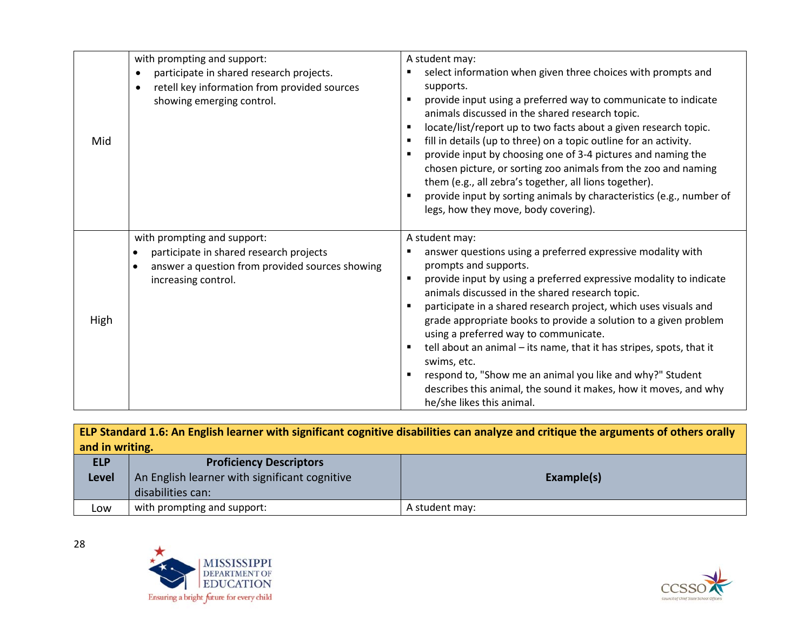| Mid  | with prompting and support:<br>participate in shared research projects.<br>$\bullet$<br>retell key information from provided sources<br>showing emerging control.          | A student may:<br>select information when given three choices with prompts and<br>supports.<br>provide input using a preferred way to communicate to indicate<br>animals discussed in the shared research topic.<br>locate/list/report up to two facts about a given research topic.<br>fill in details (up to three) on a topic outline for an activity.<br>provide input by choosing one of 3-4 pictures and naming the<br>chosen picture, or sorting zoo animals from the zoo and naming<br>them (e.g., all zebra's together, all lions together).<br>provide input by sorting animals by characteristics (e.g., number of<br>legs, how they move, body covering).      |
|------|----------------------------------------------------------------------------------------------------------------------------------------------------------------------------|----------------------------------------------------------------------------------------------------------------------------------------------------------------------------------------------------------------------------------------------------------------------------------------------------------------------------------------------------------------------------------------------------------------------------------------------------------------------------------------------------------------------------------------------------------------------------------------------------------------------------------------------------------------------------|
| High | with prompting and support:<br>participate in shared research projects<br>$\bullet$<br>answer a question from provided sources showing<br>$\bullet$<br>increasing control. | A student may:<br>answer questions using a preferred expressive modality with<br>prompts and supports.<br>provide input by using a preferred expressive modality to indicate<br>٠<br>animals discussed in the shared research topic.<br>participate in a shared research project, which uses visuals and<br>grade appropriate books to provide a solution to a given problem<br>using a preferred way to communicate.<br>tell about an animal – its name, that it has stripes, spots, that it<br>swims, etc.<br>respond to, "Show me an animal you like and why?" Student<br>describes this animal, the sound it makes, how it moves, and why<br>he/she likes this animal. |

| ELP Standard 1.6: An English learner with significant cognitive disabilities can analyze and critique the arguments of others orally |                                                             |  |  |  |  |  |
|--------------------------------------------------------------------------------------------------------------------------------------|-------------------------------------------------------------|--|--|--|--|--|
| and in writing.                                                                                                                      |                                                             |  |  |  |  |  |
| <b>ELP</b>                                                                                                                           | <b>Proficiency Descriptors</b>                              |  |  |  |  |  |
| <b>Level</b>                                                                                                                         | An English learner with significant cognitive<br>Example(s) |  |  |  |  |  |
|                                                                                                                                      | disabilities can:                                           |  |  |  |  |  |
| Low                                                                                                                                  | with prompting and support:<br>A student may:               |  |  |  |  |  |



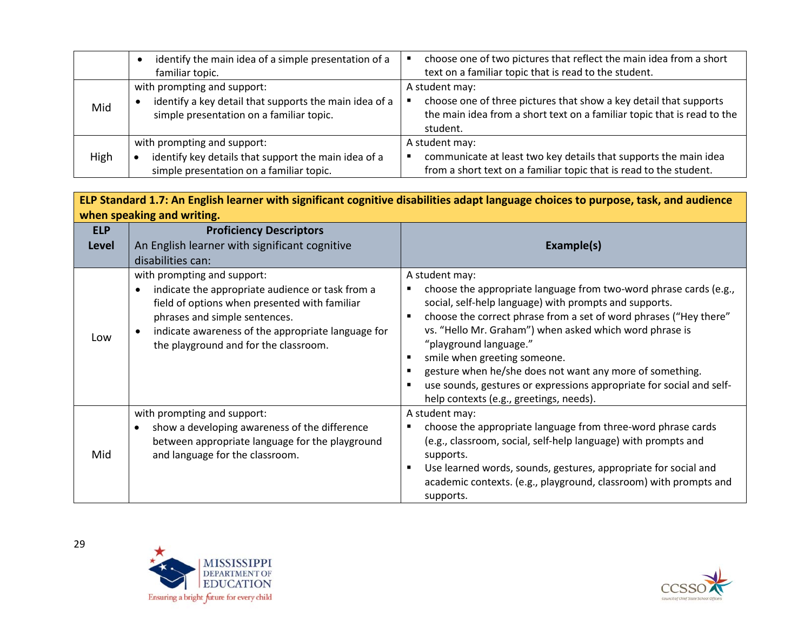|      | identify the main idea of a simple presentation of a<br>familiar topic.                                                           | choose one of two pictures that reflect the main idea from a short<br>text on a familiar topic that is read to the student.                                                |
|------|-----------------------------------------------------------------------------------------------------------------------------------|----------------------------------------------------------------------------------------------------------------------------------------------------------------------------|
| Mid  | with prompting and support:<br>identify a key detail that supports the main idea of a<br>simple presentation on a familiar topic. | A student may:<br>choose one of three pictures that show a key detail that supports<br>the main idea from a short text on a familiar topic that is read to the<br>student. |
| High | with prompting and support:<br>identify key details that support the main idea of a<br>simple presentation on a familiar topic.   | A student may:<br>communicate at least two key details that supports the main idea<br>from a short text on a familiar topic that is read to the student.                   |

| ELP Standard 1.7: An English learner with significant cognitive disabilities adapt language choices to purpose, task, and audience |                                                                                                                                                                                                                                                                  |                                                                                                                                                                                                                                                                                                                                                                                                                                                                                       |  |
|------------------------------------------------------------------------------------------------------------------------------------|------------------------------------------------------------------------------------------------------------------------------------------------------------------------------------------------------------------------------------------------------------------|---------------------------------------------------------------------------------------------------------------------------------------------------------------------------------------------------------------------------------------------------------------------------------------------------------------------------------------------------------------------------------------------------------------------------------------------------------------------------------------|--|
| when speaking and writing.                                                                                                         |                                                                                                                                                                                                                                                                  |                                                                                                                                                                                                                                                                                                                                                                                                                                                                                       |  |
| <b>ELP</b>                                                                                                                         | <b>Proficiency Descriptors</b>                                                                                                                                                                                                                                   |                                                                                                                                                                                                                                                                                                                                                                                                                                                                                       |  |
| <b>Level</b>                                                                                                                       | An English learner with significant cognitive                                                                                                                                                                                                                    | Example(s)                                                                                                                                                                                                                                                                                                                                                                                                                                                                            |  |
|                                                                                                                                    | disabilities can:                                                                                                                                                                                                                                                |                                                                                                                                                                                                                                                                                                                                                                                                                                                                                       |  |
| Low                                                                                                                                | with prompting and support:<br>indicate the appropriate audience or task from a<br>field of options when presented with familiar<br>phrases and simple sentences.<br>indicate awareness of the appropriate language for<br>the playground and for the classroom. | A student may:<br>choose the appropriate language from two-word phrase cards (e.g.,<br>social, self-help language) with prompts and supports.<br>choose the correct phrase from a set of word phrases ("Hey there"<br>vs. "Hello Mr. Graham") when asked which word phrase is<br>"playground language."<br>smile when greeting someone.<br>gesture when he/she does not want any more of something.<br>٠<br>use sounds, gestures or expressions appropriate for social and self-<br>٠ |  |
|                                                                                                                                    |                                                                                                                                                                                                                                                                  | help contexts (e.g., greetings, needs).                                                                                                                                                                                                                                                                                                                                                                                                                                               |  |
| Mid                                                                                                                                | with prompting and support:<br>show a developing awareness of the difference<br>between appropriate language for the playground<br>and language for the classroom.                                                                                               | A student may:<br>choose the appropriate language from three-word phrase cards<br>п<br>(e.g., classroom, social, self-help language) with prompts and<br>supports.<br>Use learned words, sounds, gestures, appropriate for social and<br>٠<br>academic contexts. (e.g., playground, classroom) with prompts and<br>supports.                                                                                                                                                          |  |



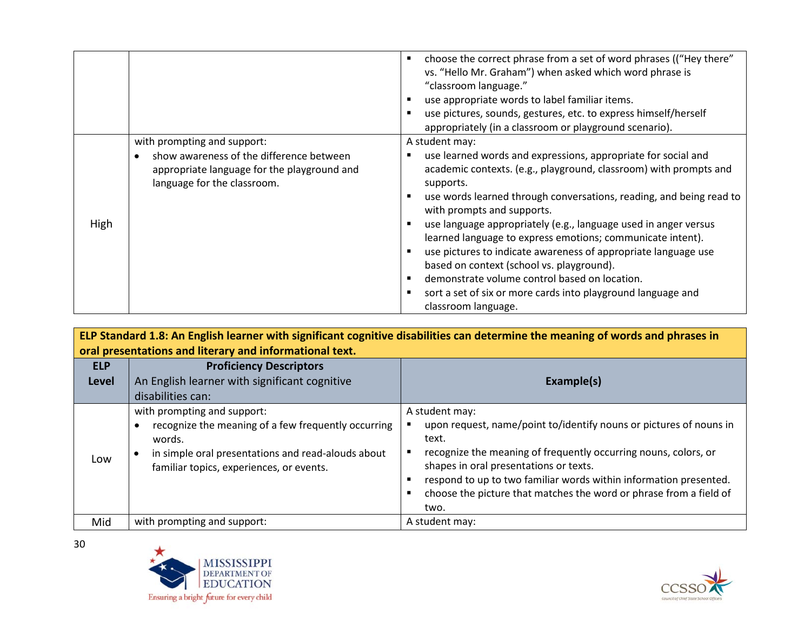|      |                                                                                                                                                       | choose the correct phrase from a set of word phrases (("Hey there"<br>٠<br>vs. "Hello Mr. Graham") when asked which word phrase is<br>"classroom language."<br>use appropriate words to label familiar items.<br>use pictures, sounds, gestures, etc. to express himself/herself<br>appropriately (in a classroom or playground scenario).                                                                                                                                                                                                                                                                                                                     |
|------|-------------------------------------------------------------------------------------------------------------------------------------------------------|----------------------------------------------------------------------------------------------------------------------------------------------------------------------------------------------------------------------------------------------------------------------------------------------------------------------------------------------------------------------------------------------------------------------------------------------------------------------------------------------------------------------------------------------------------------------------------------------------------------------------------------------------------------|
| High | with prompting and support:<br>show awareness of the difference between<br>appropriate language for the playground and<br>language for the classroom. | A student may:<br>use learned words and expressions, appropriate for social and<br>academic contexts. (e.g., playground, classroom) with prompts and<br>supports.<br>use words learned through conversations, reading, and being read to<br>with prompts and supports.<br>use language appropriately (e.g., language used in anger versus<br>learned language to express emotions; communicate intent).<br>use pictures to indicate awareness of appropriate language use<br>based on context (school vs. playground).<br>demonstrate volume control based on location.<br>sort a set of six or more cards into playground language and<br>classroom language. |

**ELP Standard 1.8: An English learner with significant cognitive disabilities can determine the meaning of words and phrases in oral presentations and literary and informational text.**

| <b>ELP</b><br><b>Level</b> | <b>Proficiency Descriptors</b><br>An English learner with significant cognitive<br>disabilities can:                                                                                           | Example(s)                                                                                                                                                                                                                                                                                                                                                    |  |
|----------------------------|------------------------------------------------------------------------------------------------------------------------------------------------------------------------------------------------|---------------------------------------------------------------------------------------------------------------------------------------------------------------------------------------------------------------------------------------------------------------------------------------------------------------------------------------------------------------|--|
| Low                        | with prompting and support:<br>recognize the meaning of a few frequently occurring<br>words.<br>in simple oral presentations and read-alouds about<br>familiar topics, experiences, or events. | A student may:<br>upon request, name/point to/identify nouns or pictures of nouns in<br>text.<br>recognize the meaning of frequently occurring nouns, colors, or<br>shapes in oral presentations or texts.<br>respond to up to two familiar words within information presented.<br>choose the picture that matches the word or phrase from a field of<br>two. |  |
| Mid                        | with prompting and support:                                                                                                                                                                    | A student may:                                                                                                                                                                                                                                                                                                                                                |  |



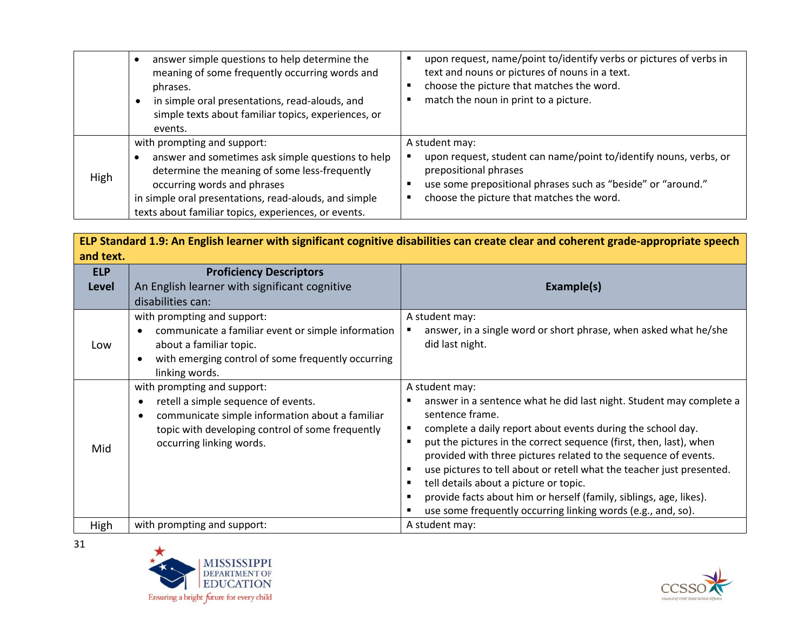|      | answer simple questions to help determine the<br>meaning of some frequently occurring words and<br>phrases.<br>in simple oral presentations, read-alouds, and<br>simple texts about familiar topics, experiences, or<br>events.                                                   | upon request, name/point to/identify verbs or pictures of verbs in<br>text and nouns or pictures of nouns in a text.<br>choose the picture that matches the word.<br>match the noun in print to a picture.                |
|------|-----------------------------------------------------------------------------------------------------------------------------------------------------------------------------------------------------------------------------------------------------------------------------------|---------------------------------------------------------------------------------------------------------------------------------------------------------------------------------------------------------------------------|
| High | with prompting and support:<br>answer and sometimes ask simple questions to help<br>determine the meaning of some less-frequently<br>occurring words and phrases<br>in simple oral presentations, read-alouds, and simple<br>texts about familiar topics, experiences, or events. | A student may:<br>upon request, student can name/point to/identify nouns, verbs, or<br>prepositional phrases<br>use some prepositional phrases such as "beside" or "around."<br>choose the picture that matches the word. |

**ELP Standard 1.9: An English learner with significant cognitive disabilities can create clear and coherent grade-appropriate speech and text.**

| <b>ELP</b><br><b>Level</b> | <b>Proficiency Descriptors</b><br>An English learner with significant cognitive<br>disabilities can:                                                                                                                            | Example(s)                                                                                                                                                                                                                                                                                                                                                                                                                                                                                                                                                                |
|----------------------------|---------------------------------------------------------------------------------------------------------------------------------------------------------------------------------------------------------------------------------|---------------------------------------------------------------------------------------------------------------------------------------------------------------------------------------------------------------------------------------------------------------------------------------------------------------------------------------------------------------------------------------------------------------------------------------------------------------------------------------------------------------------------------------------------------------------------|
| Low                        | with prompting and support:<br>communicate a familiar event or simple information<br>about a familiar topic.<br>with emerging control of some frequently occurring<br>$\bullet$<br>linking words.                               | A student may:<br>answer, in a single word or short phrase, when asked what he/she<br>did last night.                                                                                                                                                                                                                                                                                                                                                                                                                                                                     |
| Mid                        | with prompting and support:<br>retell a simple sequence of events.<br>$\bullet$<br>communicate simple information about a familiar<br>$\bullet$<br>topic with developing control of some frequently<br>occurring linking words. | A student may:<br>answer in a sentence what he did last night. Student may complete a<br>sentence frame.<br>complete a daily report about events during the school day.<br>put the pictures in the correct sequence (first, then, last), when<br>provided with three pictures related to the sequence of events.<br>use pictures to tell about or retell what the teacher just presented.<br>tell details about a picture or topic.<br>provide facts about him or herself (family, siblings, age, likes).<br>use some frequently occurring linking words (e.g., and, so). |
| High                       | with prompting and support:                                                                                                                                                                                                     | A student may:                                                                                                                                                                                                                                                                                                                                                                                                                                                                                                                                                            |



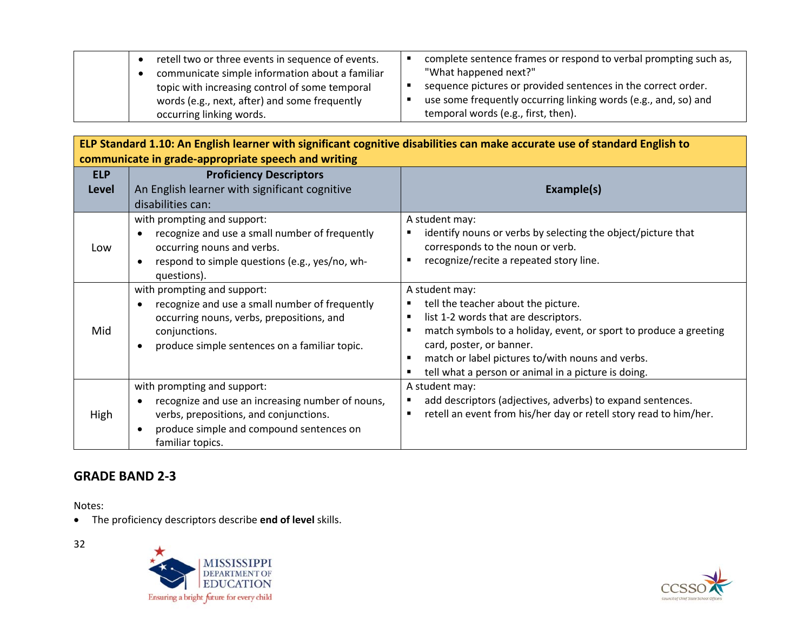|  | retell two or three events in sequence of events. | complete sentence frames or respond to verbal prompting such as, |
|--|---------------------------------------------------|------------------------------------------------------------------|
|  | communicate simple information about a familiar   | "What happened next?"                                            |
|  | topic with increasing control of some temporal    | sequence pictures or provided sentences in the correct order.    |
|  | words (e.g., next, after) and some frequently     | use some frequently occurring linking words (e.g., and, so) and  |
|  | occurring linking words.                          | temporal words (e.g., first, then).                              |

**ELP Standard 1.10: An English learner with significant cognitive disabilities can make accurate use of standard English to communicate in grade-appropriate speech and writing**

| <b>ELP</b><br>Level | <b>Proficiency Descriptors</b><br>An English learner with significant cognitive<br>disabilities can:<br>with prompting and support:                                                                                    | Example(s)<br>A student may:                                                                                                                                                                                                                                                                                                          |
|---------------------|------------------------------------------------------------------------------------------------------------------------------------------------------------------------------------------------------------------------|---------------------------------------------------------------------------------------------------------------------------------------------------------------------------------------------------------------------------------------------------------------------------------------------------------------------------------------|
| Low                 | recognize and use a small number of frequently<br>$\bullet$<br>occurring nouns and verbs.<br>respond to simple questions (e.g., yes/no, wh-<br>$\bullet$<br>questions).                                                | identify nouns or verbs by selecting the object/picture that<br>п<br>corresponds to the noun or verb.<br>recognize/recite a repeated story line.                                                                                                                                                                                      |
| Mid                 | with prompting and support:<br>recognize and use a small number of frequently<br>$\bullet$<br>occurring nouns, verbs, prepositions, and<br>conjunctions.<br>produce simple sentences on a familiar topic.<br>$\bullet$ | A student may:<br>tell the teacher about the picture.<br>٠<br>list 1-2 words that are descriptors.<br>$\blacksquare$<br>match symbols to a holiday, event, or sport to produce a greeting<br>card, poster, or banner.<br>match or label pictures to/with nouns and verbs.<br>٠<br>tell what a person or animal in a picture is doing. |
| High                | with prompting and support:<br>recognize and use an increasing number of nouns,<br>$\bullet$<br>verbs, prepositions, and conjunctions.<br>produce simple and compound sentences on<br>$\bullet$<br>familiar topics.    | A student may:<br>add descriptors (adjectives, adverbs) to expand sentences.<br>$\blacksquare$<br>retell an event from his/her day or retell story read to him/her.<br>٠                                                                                                                                                              |

## **GRADE BAND 2-3**

Notes:

• The proficiency descriptors describe **end of level** skills.



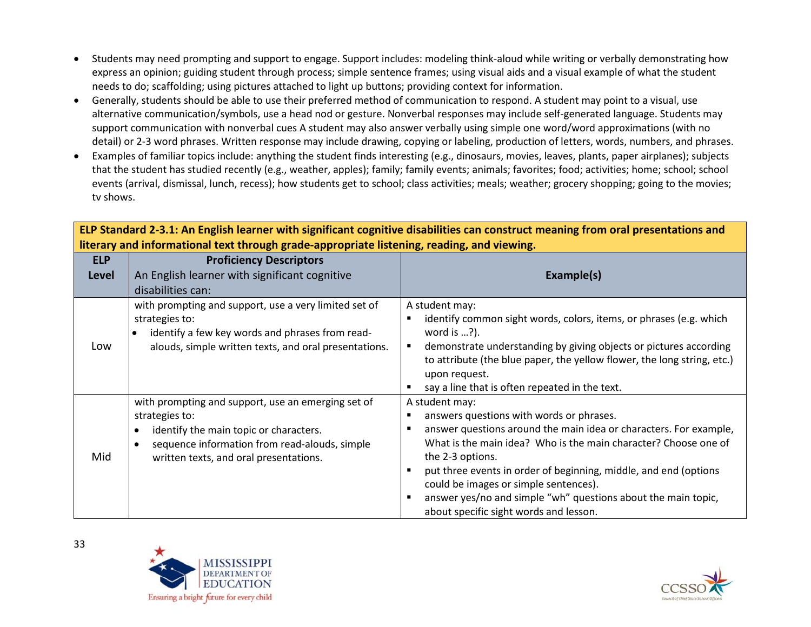- Students may need prompting and support to engage. Support includes: modeling think-aloud while writing or verbally demonstrating how express an opinion; guiding student through process; simple sentence frames; using visual aids and a visual example of what the student needs to do; scaffolding; using pictures attached to light up buttons; providing context for information.
- Generally, students should be able to use their preferred method of communication to respond. A student may point to a visual, use alternative communication/symbols, use a head nod or gesture. Nonverbal responses may include self-generated language. Students may support communication with nonverbal cues A student may also answer verbally using simple one word/word approximations (with no detail) or 2-3 word phrases. Written response may include drawing, copying or labeling, production of letters, words, numbers, and phrases.
- Examples of familiar topics include: anything the student finds interesting (e.g., dinosaurs, movies, leaves, plants, paper airplanes); subjects that the student has studied recently (e.g., weather, apples); family; family events; animals; favorites; food; activities; home; school; school events (arrival, dismissal, lunch, recess); how students get to school; class activities; meals; weather; grocery shopping; going to the movies; tv shows.

| בנו שנמחממות בשובו אחד בחקושה וכמוחכר אחנה שקחותמות נטקוותונט מושמאוותכשעמה נטחשנותכו ווכמחווק חשום טומו ארכשנותמוטוש מחמ<br>literary and informational text through grade-appropriate listening, reading, and viewing. |                                                                                                                                                                                                           |                                                                                                                                                                                                                                                                                                                                                                                                                                  |
|-------------------------------------------------------------------------------------------------------------------------------------------------------------------------------------------------------------------------|-----------------------------------------------------------------------------------------------------------------------------------------------------------------------------------------------------------|----------------------------------------------------------------------------------------------------------------------------------------------------------------------------------------------------------------------------------------------------------------------------------------------------------------------------------------------------------------------------------------------------------------------------------|
| <b>ELP</b><br><b>Level</b>                                                                                                                                                                                              | <b>Proficiency Descriptors</b><br>An English learner with significant cognitive<br>disabilities can:                                                                                                      | Example(s)                                                                                                                                                                                                                                                                                                                                                                                                                       |
| Low                                                                                                                                                                                                                     | with prompting and support, use a very limited set of<br>strategies to:<br>identify a few key words and phrases from read-<br>$\bullet$<br>alouds, simple written texts, and oral presentations.          | A student may:<br>identify common sight words, colors, items, or phrases (e.g. which<br>$\blacksquare$<br>word is $\ldots$ ?).<br>demonstrate understanding by giving objects or pictures according<br>٠<br>to attribute (the blue paper, the yellow flower, the long string, etc.)<br>upon request.<br>say a line that is often repeated in the text.                                                                           |
| Mid                                                                                                                                                                                                                     | with prompting and support, use an emerging set of<br>strategies to:<br>identify the main topic or characters.<br>sequence information from read-alouds, simple<br>written texts, and oral presentations. | A student may:<br>answers questions with words or phrases.<br>Е<br>answer questions around the main idea or characters. For example,<br>п<br>What is the main idea? Who is the main character? Choose one of<br>the 2-3 options.<br>put three events in order of beginning, middle, and end (options<br>$\blacksquare$<br>could be images or simple sentences).<br>answer yes/no and simple "wh" questions about the main topic. |

about specific sight words and lesson.

**ELP Standard 2-3.1: An English learner with significant cognitive disabilities can construct meaning from oral presentations and** 



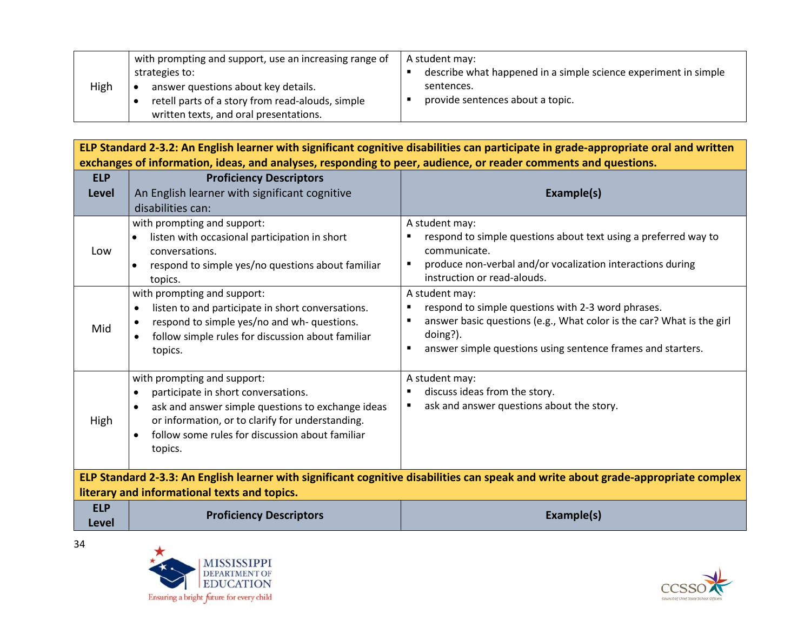|      | with prompting and support, use an increasing range of | A student may:                                                  |
|------|--------------------------------------------------------|-----------------------------------------------------------------|
|      | strategies to:                                         | describe what happened in a simple science experiment in simple |
| High | answer questions about key details.                    | sentences.                                                      |
|      | retell parts of a story from read-alouds, simple       | provide sentences about a topic.                                |
|      | written texts, and oral presentations.                 |                                                                 |

**ELP Standard 2-3.2: An English learner with significant cognitive disabilities can participate in grade-appropriate oral and written exchanges of information, ideas, and analyses, responding to peer, audience, or reader comments and questions.**

| An English learner with significant cognitive<br>Example(s)<br>Level<br>disabilities can:<br>with prompting and support:<br>A student may:<br>respond to simple questions about text using a preferred way to<br>listen with occasional participation in short<br>$\bullet$<br>conversations.<br>communicate.<br>Low<br>produce non-verbal and/or vocalization interactions during<br>respond to simple yes/no questions about familiar<br>$\blacksquare$<br>$\bullet$<br>instruction or read-alouds.<br>topics.<br>with prompting and support:<br>A student may:<br>respond to simple questions with 2-3 word phrases.<br>listen to and participate in short conversations.<br>$\blacksquare$<br>$\bullet$<br>answer basic questions (e.g., What color is the car? What is the girl<br>respond to simple yes/no and wh- questions.<br>٠<br>Mid<br>doing?).<br>follow simple rules for discussion about familiar<br>answer simple questions using sentence frames and starters.<br>$\blacksquare$<br>topics.<br>with prompting and support:<br>A student may:<br>discuss ideas from the story.<br>participate in short conversations.<br>٠<br>ask and answer questions about the story.<br>ask and answer simple questions to exchange ideas<br>High<br>or information, or to clarify for understanding.<br>follow some rules for discussion about familiar<br>$\bullet$ | <b>ELP</b> | <b>Proficiency Descriptors</b> |  |
|--------------------------------------------------------------------------------------------------------------------------------------------------------------------------------------------------------------------------------------------------------------------------------------------------------------------------------------------------------------------------------------------------------------------------------------------------------------------------------------------------------------------------------------------------------------------------------------------------------------------------------------------------------------------------------------------------------------------------------------------------------------------------------------------------------------------------------------------------------------------------------------------------------------------------------------------------------------------------------------------------------------------------------------------------------------------------------------------------------------------------------------------------------------------------------------------------------------------------------------------------------------------------------------------------------------------------------------------------------------------------|------------|--------------------------------|--|
|                                                                                                                                                                                                                                                                                                                                                                                                                                                                                                                                                                                                                                                                                                                                                                                                                                                                                                                                                                                                                                                                                                                                                                                                                                                                                                                                                                          |            |                                |  |
|                                                                                                                                                                                                                                                                                                                                                                                                                                                                                                                                                                                                                                                                                                                                                                                                                                                                                                                                                                                                                                                                                                                                                                                                                                                                                                                                                                          |            |                                |  |
|                                                                                                                                                                                                                                                                                                                                                                                                                                                                                                                                                                                                                                                                                                                                                                                                                                                                                                                                                                                                                                                                                                                                                                                                                                                                                                                                                                          |            |                                |  |
|                                                                                                                                                                                                                                                                                                                                                                                                                                                                                                                                                                                                                                                                                                                                                                                                                                                                                                                                                                                                                                                                                                                                                                                                                                                                                                                                                                          |            |                                |  |
|                                                                                                                                                                                                                                                                                                                                                                                                                                                                                                                                                                                                                                                                                                                                                                                                                                                                                                                                                                                                                                                                                                                                                                                                                                                                                                                                                                          |            | topics.                        |  |
| ELP Standard 2-3.3: An English learner with significant cognitive disabilities can speak and write about grade-appropriate complex                                                                                                                                                                                                                                                                                                                                                                                                                                                                                                                                                                                                                                                                                                                                                                                                                                                                                                                                                                                                                                                                                                                                                                                                                                       |            |                                |  |
| literary and informational texts and topics.                                                                                                                                                                                                                                                                                                                                                                                                                                                                                                                                                                                                                                                                                                                                                                                                                                                                                                                                                                                                                                                                                                                                                                                                                                                                                                                             |            |                                |  |
| <b>ELP</b><br><b>Proficiency Descriptors</b><br>Example(s)                                                                                                                                                                                                                                                                                                                                                                                                                                                                                                                                                                                                                                                                                                                                                                                                                                                                                                                                                                                                                                                                                                                                                                                                                                                                                                               |            |                                |  |
| <b>Level</b>                                                                                                                                                                                                                                                                                                                                                                                                                                                                                                                                                                                                                                                                                                                                                                                                                                                                                                                                                                                                                                                                                                                                                                                                                                                                                                                                                             |            |                                |  |



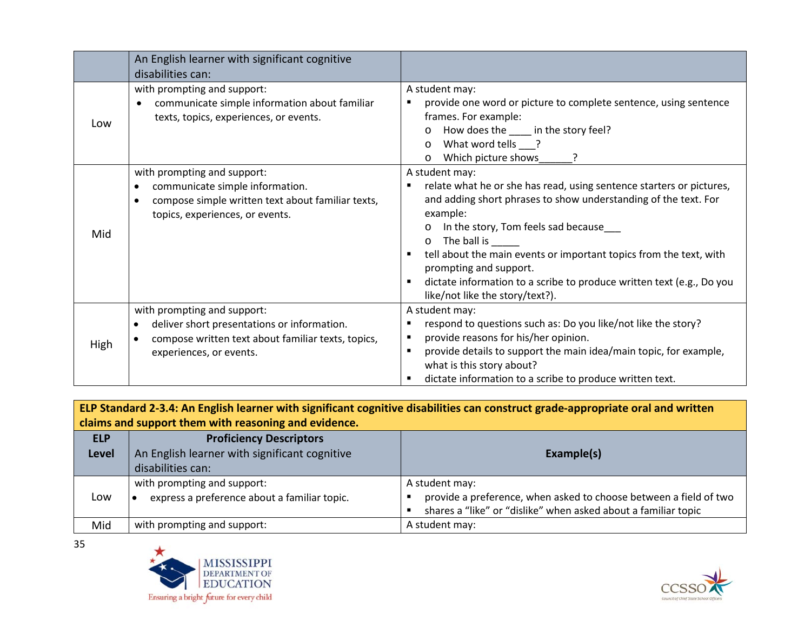|      | An English learner with significant cognitive<br>disabilities can:                                                                                          |                                                                                                                                                                                                                                                                                                                                                                                                                                                                         |
|------|-------------------------------------------------------------------------------------------------------------------------------------------------------------|-------------------------------------------------------------------------------------------------------------------------------------------------------------------------------------------------------------------------------------------------------------------------------------------------------------------------------------------------------------------------------------------------------------------------------------------------------------------------|
| Low  | with prompting and support:<br>communicate simple information about familiar<br>٠<br>texts, topics, experiences, or events.                                 | A student may:<br>provide one word or picture to complete sentence, using sentence<br>frames. For example:<br>How does the _____ in the story feel?<br>O<br>What word tells ?<br>$\circ$<br>Which picture shows<br>$\circ$                                                                                                                                                                                                                                              |
| Mid  | with prompting and support:<br>communicate simple information.<br>compose simple written text about familiar texts,<br>topics, experiences, or events.      | A student may:<br>relate what he or she has read, using sentence starters or pictures,<br>٠<br>and adding short phrases to show understanding of the text. For<br>example:<br>In the story, Tom feels sad because<br>$\circ$<br>The ball is<br>$\circ$<br>tell about the main events or important topics from the text, with<br>prompting and support.<br>dictate information to a scribe to produce written text (e.g., Do you<br>٠<br>like/not like the story/text?). |
| High | with prompting and support:<br>deliver short presentations or information.<br>compose written text about familiar texts, topics,<br>experiences, or events. | A student may:<br>respond to questions such as: Do you like/not like the story?<br>provide reasons for his/her opinion.<br>$\blacksquare$<br>provide details to support the main idea/main topic, for example,<br>$\blacksquare$<br>what is this story about?<br>dictate information to a scribe to produce written text.                                                                                                                                               |

**ELP Standard 2-3.4: An English learner with significant cognitive disabilities can construct grade-appropriate oral and written claims and support them with reasoning and evidence.**

| <b>ELP</b><br><b>Level</b> | <b>Proficiency Descriptors</b><br>An English learner with significant cognitive<br>disabilities can: | Example(s)                                                                                                                                            |
|----------------------------|------------------------------------------------------------------------------------------------------|-------------------------------------------------------------------------------------------------------------------------------------------------------|
| Low                        | with prompting and support:<br>express a preference about a familiar topic.                          | A student may:<br>provide a preference, when asked to choose between a field of two<br>shares a "like" or "dislike" when asked about a familiar topic |
| Mid                        | with prompting and support:                                                                          | A student may:                                                                                                                                        |



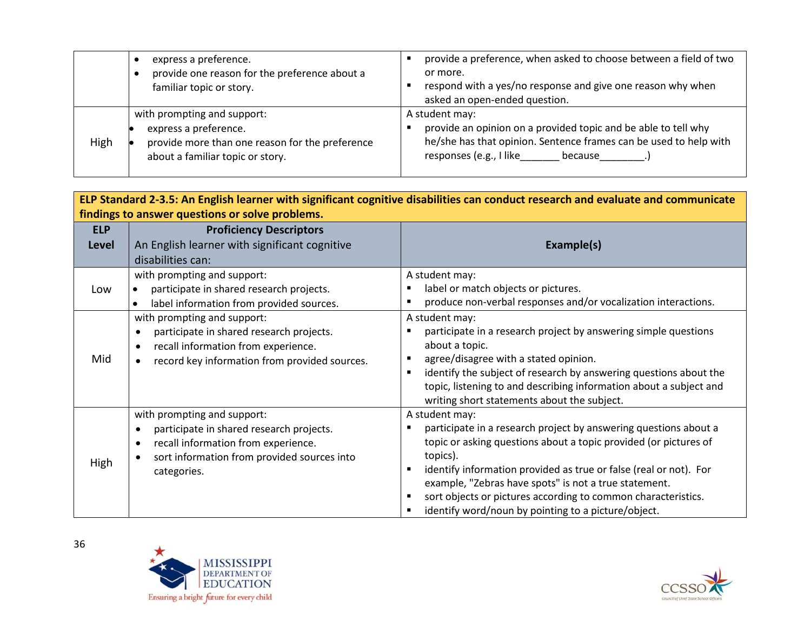|      | express a preference.<br>provide one reason for the preference about a<br>familiar topic or story.                                          | provide a preference, when asked to choose between a field of two<br>or more.<br>respond with a yes/no response and give one reason why when<br>asked an open-ended question.               |
|------|---------------------------------------------------------------------------------------------------------------------------------------------|---------------------------------------------------------------------------------------------------------------------------------------------------------------------------------------------|
| High | with prompting and support:<br>express a preference.<br>provide more than one reason for the preference<br>about a familiar topic or story. | A student may:<br>provide an opinion on a provided topic and be able to tell why<br>he/she has that opinion. Sentence frames can be used to help with<br>responses (e.g., I like<br>because |

| ELP Standard 2-3.5: An English learner with significant cognitive disabilities can conduct research and evaluate and communicate |                                                       |                                                                                 |
|----------------------------------------------------------------------------------------------------------------------------------|-------------------------------------------------------|---------------------------------------------------------------------------------|
| findings to answer questions or solve problems.                                                                                  |                                                       |                                                                                 |
| <b>ELP</b>                                                                                                                       | <b>Proficiency Descriptors</b>                        |                                                                                 |
| Level                                                                                                                            | An English learner with significant cognitive         | Example(s)                                                                      |
|                                                                                                                                  | disabilities can:                                     |                                                                                 |
|                                                                                                                                  | with prompting and support:                           | A student may:                                                                  |
| Low                                                                                                                              | participate in shared research projects.              | label or match objects or pictures.                                             |
|                                                                                                                                  | label information from provided sources.              | produce non-verbal responses and/or vocalization interactions.                  |
|                                                                                                                                  | with prompting and support:                           | A student may:                                                                  |
| Mid                                                                                                                              | participate in shared research projects.<br>$\bullet$ | participate in a research project by answering simple questions                 |
|                                                                                                                                  | recall information from experience.<br>$\bullet$      | about a topic.                                                                  |
|                                                                                                                                  | record key information from provided sources.         | agree/disagree with a stated opinion.<br>٠                                      |
|                                                                                                                                  |                                                       | identify the subject of research by answering questions about the               |
|                                                                                                                                  |                                                       | topic, listening to and describing information about a subject and              |
|                                                                                                                                  |                                                       | writing short statements about the subject.                                     |
|                                                                                                                                  | with prompting and support:                           | A student may:                                                                  |
| High                                                                                                                             | participate in shared research projects.              | participate in a research project by answering questions about a                |
|                                                                                                                                  | recall information from experience.<br>$\bullet$      | topic or asking questions about a topic provided (or pictures of                |
|                                                                                                                                  | sort information from provided sources into           | topics).                                                                        |
|                                                                                                                                  | categories.                                           | identify information provided as true or false (real or not). For               |
|                                                                                                                                  |                                                       | example, "Zebras have spots" is not a true statement.                           |
|                                                                                                                                  |                                                       | sort objects or pictures according to common characteristics.<br>$\blacksquare$ |
|                                                                                                                                  |                                                       | identify word/noun by pointing to a picture/object.                             |



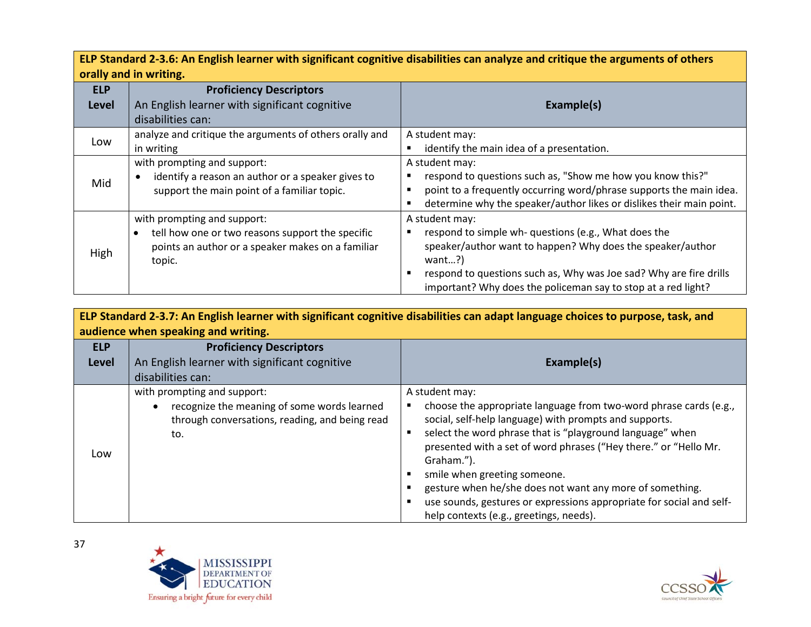**ELP Standard 2-3.6: An English learner with significant cognitive disabilities can analyze and critique the arguments of others orally and in writing.**

| <b>ELP</b> | <b>Proficiency Descriptors</b>                          |                                                                      |  |
|------------|---------------------------------------------------------|----------------------------------------------------------------------|--|
| Level      | An English learner with significant cognitive           | Example(s)                                                           |  |
|            | disabilities can:                                       |                                                                      |  |
| Low        | analyze and critique the arguments of others orally and | A student may:                                                       |  |
|            | in writing                                              | identify the main idea of a presentation.                            |  |
|            | with prompting and support:                             | A student may:                                                       |  |
| Mid        | identify a reason an author or a speaker gives to       | respond to questions such as, "Show me how you know this?"           |  |
|            | support the main point of a familiar topic.             | point to a frequently occurring word/phrase supports the main idea.  |  |
|            |                                                         | determine why the speaker/author likes or dislikes their main point. |  |
|            | with prompting and support:                             | A student may:                                                       |  |
|            | tell how one or two reasons support the specific        | respond to simple wh- questions (e.g., What does the                 |  |
| High       | points an author or a speaker makes on a familiar       | speaker/author want to happen? Why does the speaker/author           |  |
|            | topic.                                                  | want?                                                                |  |
|            |                                                         | respond to questions such as, Why was Joe sad? Why are fire drills   |  |
|            |                                                         | important? Why does the policeman say to stop at a red light?        |  |

| ELP Standard 2-3.7: An English learner with significant cognitive disabilities can adapt language choices to purpose, task, and<br>audience when speaking and writing. |                                                                                                                                     |                                                                                                                                                                                                                                                                                                                                                                                                                                                                                                             |
|------------------------------------------------------------------------------------------------------------------------------------------------------------------------|-------------------------------------------------------------------------------------------------------------------------------------|-------------------------------------------------------------------------------------------------------------------------------------------------------------------------------------------------------------------------------------------------------------------------------------------------------------------------------------------------------------------------------------------------------------------------------------------------------------------------------------------------------------|
| <b>ELP</b><br><b>Level</b>                                                                                                                                             | <b>Proficiency Descriptors</b><br>An English learner with significant cognitive<br>disabilities can:                                | Example(s)                                                                                                                                                                                                                                                                                                                                                                                                                                                                                                  |
| Low                                                                                                                                                                    | with prompting and support:<br>recognize the meaning of some words learned<br>through conversations, reading, and being read<br>to. | A student may:<br>choose the appropriate language from two-word phrase cards (e.g.,<br>social, self-help language) with prompts and supports.<br>select the word phrase that is "playground language" when<br>presented with a set of word phrases ("Hey there." or "Hello Mr.<br>Graham.").<br>smile when greeting someone.<br>gesture when he/she does not want any more of something.<br>use sounds, gestures or expressions appropriate for social and self-<br>help contexts (e.g., greetings, needs). |



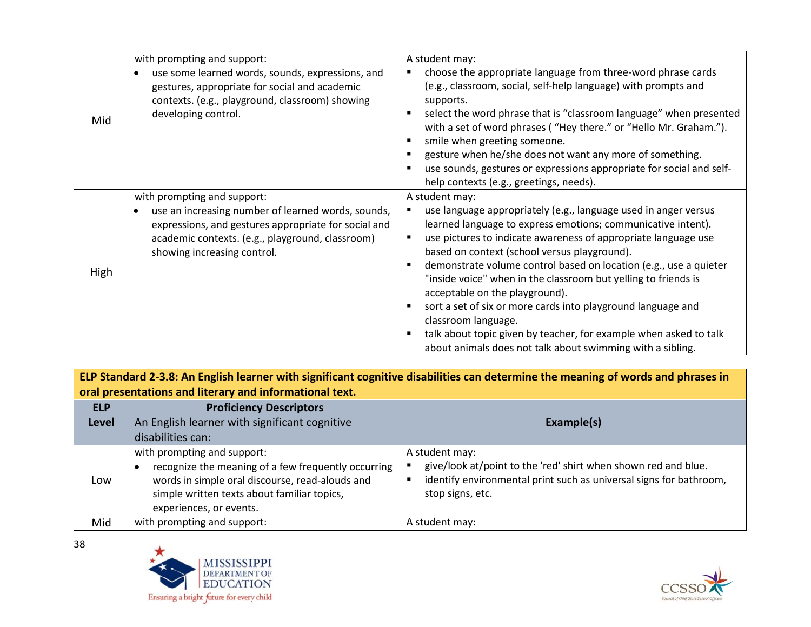| Mid  | with prompting and support:<br>use some learned words, sounds, expressions, and<br>gestures, appropriate for social and academic<br>contexts. (e.g., playground, classroom) showing<br>developing control.                   | A student may:<br>choose the appropriate language from three-word phrase cards<br>(e.g., classroom, social, self-help language) with prompts and<br>supports.<br>select the word phrase that is "classroom language" when presented<br>with a set of word phrases ("Hey there." or "Hello Mr. Graham.").<br>smile when greeting someone.<br>gesture when he/she does not want any more of something.<br>use sounds, gestures or expressions appropriate for social and self-                                                                                                                                                                                                                                           |
|------|------------------------------------------------------------------------------------------------------------------------------------------------------------------------------------------------------------------------------|------------------------------------------------------------------------------------------------------------------------------------------------------------------------------------------------------------------------------------------------------------------------------------------------------------------------------------------------------------------------------------------------------------------------------------------------------------------------------------------------------------------------------------------------------------------------------------------------------------------------------------------------------------------------------------------------------------------------|
| High | with prompting and support:<br>use an increasing number of learned words, sounds,<br>expressions, and gestures appropriate for social and<br>academic contexts. (e.g., playground, classroom)<br>showing increasing control. | help contexts (e.g., greetings, needs).<br>A student may:<br>use language appropriately (e.g., language used in anger versus<br>learned language to express emotions; communicative intent).<br>use pictures to indicate awareness of appropriate language use<br>п<br>based on context (school versus playground).<br>demonstrate volume control based on location (e.g., use a quieter<br>"inside voice" when in the classroom but yelling to friends is<br>acceptable on the playground).<br>sort a set of six or more cards into playground language and<br>classroom language.<br>talk about topic given by teacher, for example when asked to talk<br>about animals does not talk about swimming with a sibling. |

**ELP Standard 2-3.8: An English learner with significant cognitive disabilities can determine the meaning of words and phrases in oral presentations and literary and informational text.**

| <b>ELP</b><br><b>Level</b> | <b>Proficiency Descriptors</b><br>An English learner with significant cognitive<br>disabilities can:                                                                                                            | Example(s)                                                                                                                                                                 |
|----------------------------|-----------------------------------------------------------------------------------------------------------------------------------------------------------------------------------------------------------------|----------------------------------------------------------------------------------------------------------------------------------------------------------------------------|
| Low                        | with prompting and support:<br>recognize the meaning of a few frequently occurring<br>words in simple oral discourse, read-alouds and<br>simple written texts about familiar topics,<br>experiences, or events. | A student may:<br>give/look at/point to the 'red' shirt when shown red and blue.<br>identify environmental print such as universal signs for bathroom,<br>stop signs, etc. |
| Mid                        | with prompting and support:                                                                                                                                                                                     | A student may:                                                                                                                                                             |



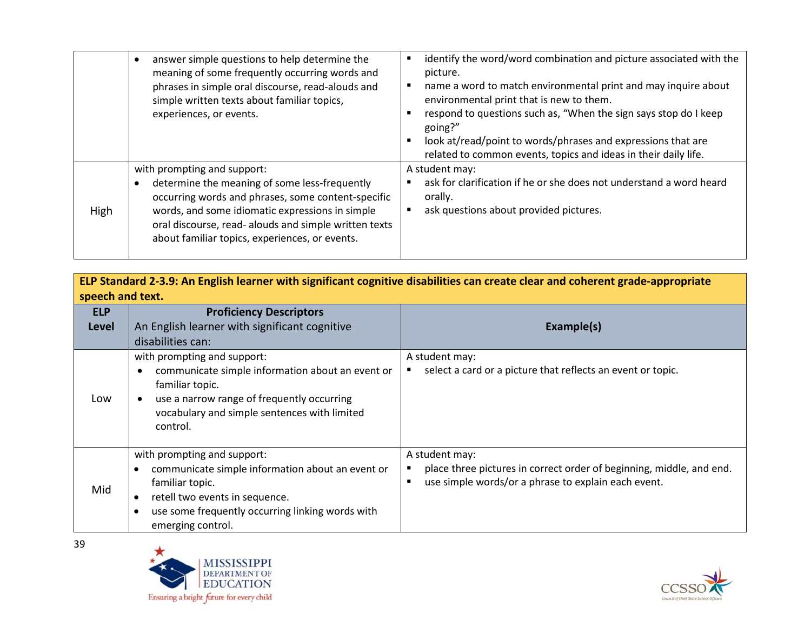|      | answer simple questions to help determine the<br>meaning of some frequently occurring words and<br>phrases in simple oral discourse, read-alouds and<br>simple written texts about familiar topics,<br>experiences, or events.                                                                   | identify the word/word combination and picture associated with the<br>picture.<br>name a word to match environmental print and may inquire about<br>environmental print that is new to them.<br>respond to questions such as, "When the sign says stop do I keep<br>going?"<br>look at/read/point to words/phrases and expressions that are<br>related to common events, topics and ideas in their daily life. |
|------|--------------------------------------------------------------------------------------------------------------------------------------------------------------------------------------------------------------------------------------------------------------------------------------------------|----------------------------------------------------------------------------------------------------------------------------------------------------------------------------------------------------------------------------------------------------------------------------------------------------------------------------------------------------------------------------------------------------------------|
| High | with prompting and support:<br>determine the meaning of some less-frequently<br>occurring words and phrases, some content-specific<br>words, and some idiomatic expressions in simple<br>oral discourse, read- alouds and simple written texts<br>about familiar topics, experiences, or events. | A student may:<br>ask for clarification if he or she does not understand a word heard<br>orally.<br>ask questions about provided pictures.                                                                                                                                                                                                                                                                     |

| ELP Standard 2-3.9: An English learner with significant cognitive disabilities can create clear and coherent grade-appropriate<br>speech and text. |                                                                                                                                                                                                                            |                                                                                                                                               |
|----------------------------------------------------------------------------------------------------------------------------------------------------|----------------------------------------------------------------------------------------------------------------------------------------------------------------------------------------------------------------------------|-----------------------------------------------------------------------------------------------------------------------------------------------|
| <b>ELP</b><br><b>Level</b>                                                                                                                         | <b>Proficiency Descriptors</b><br>An English learner with significant cognitive<br>disabilities can:                                                                                                                       | Example(s)                                                                                                                                    |
| Low                                                                                                                                                | with prompting and support:<br>communicate simple information about an event or<br>familiar topic.<br>use a narrow range of frequently occurring<br>vocabulary and simple sentences with limited<br>control.               | A student may:<br>select a card or a picture that reflects an event or topic.                                                                 |
| Mid                                                                                                                                                | with prompting and support:<br>communicate simple information about an event or<br>familiar topic.<br>retell two events in sequence.<br>$\bullet$<br>use some frequently occurring linking words with<br>emerging control. | A student may:<br>place three pictures in correct order of beginning, middle, and end.<br>use simple words/or a phrase to explain each event. |



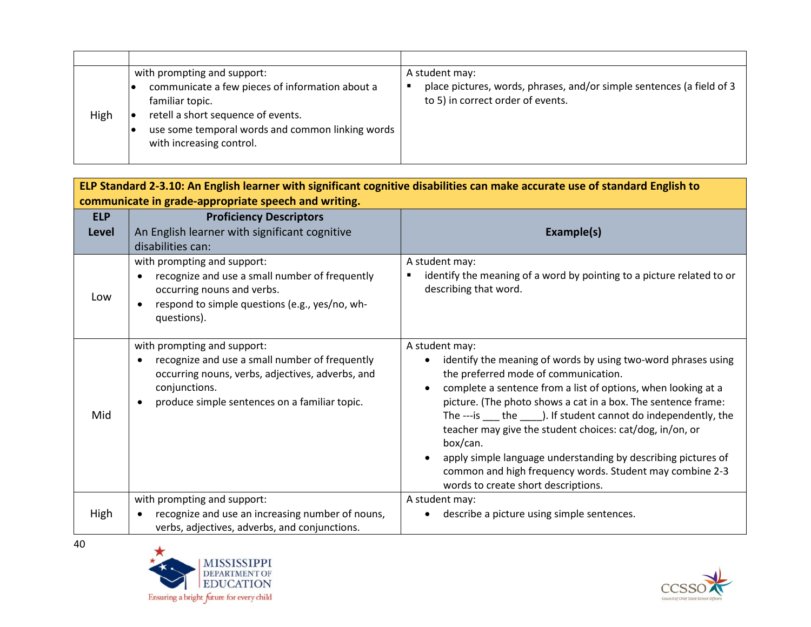| High | with prompting and support:<br>communicate a few pieces of information about a<br>familiar topic.<br>retell a short sequence of events.<br>use some temporal words and common linking words<br>with increasing control. | A student may:<br>place pictures, words, phrases, and/or simple sentences (a field of 3<br>to 5) in correct order of events. |
|------|-------------------------------------------------------------------------------------------------------------------------------------------------------------------------------------------------------------------------|------------------------------------------------------------------------------------------------------------------------------|

| ELP Standard 2-3.10: An English learner with significant cognitive disabilities can make accurate use of standard English to |                                                                                                                                                                                                                  |                                                                                                                                                                                                                                                                                                                                                                                                                                                                                                                                                                              |  |
|------------------------------------------------------------------------------------------------------------------------------|------------------------------------------------------------------------------------------------------------------------------------------------------------------------------------------------------------------|------------------------------------------------------------------------------------------------------------------------------------------------------------------------------------------------------------------------------------------------------------------------------------------------------------------------------------------------------------------------------------------------------------------------------------------------------------------------------------------------------------------------------------------------------------------------------|--|
|                                                                                                                              | communicate in grade-appropriate speech and writing.                                                                                                                                                             |                                                                                                                                                                                                                                                                                                                                                                                                                                                                                                                                                                              |  |
| <b>ELP</b><br><b>Level</b>                                                                                                   | <b>Proficiency Descriptors</b><br>An English learner with significant cognitive<br>disabilities can:                                                                                                             | Example(s)                                                                                                                                                                                                                                                                                                                                                                                                                                                                                                                                                                   |  |
| Low                                                                                                                          | with prompting and support:<br>recognize and use a small number of frequently<br>$\bullet$<br>occurring nouns and verbs.<br>respond to simple questions (e.g., yes/no, wh-<br>$\bullet$<br>questions).           | A student may:<br>identify the meaning of a word by pointing to a picture related to or<br>describing that word.                                                                                                                                                                                                                                                                                                                                                                                                                                                             |  |
| Mid                                                                                                                          | with prompting and support:<br>recognize and use a small number of frequently<br>$\bullet$<br>occurring nouns, verbs, adjectives, adverbs, and<br>conjunctions.<br>produce simple sentences on a familiar topic. | A student may:<br>identify the meaning of words by using two-word phrases using<br>the preferred mode of communication.<br>complete a sentence from a list of options, when looking at a<br>picture. (The photo shows a cat in a box. The sentence frame:<br>The ---is ____ the ______). If student cannot do independently, the<br>teacher may give the student choices: cat/dog, in/on, or<br>box/can.<br>apply simple language understanding by describing pictures of<br>common and high frequency words. Student may combine 2-3<br>words to create short descriptions. |  |
| High                                                                                                                         | with prompting and support:<br>recognize and use an increasing number of nouns,<br>verbs, adjectives, adverbs, and conjunctions.                                                                                 | A student may:<br>describe a picture using simple sentences.                                                                                                                                                                                                                                                                                                                                                                                                                                                                                                                 |  |





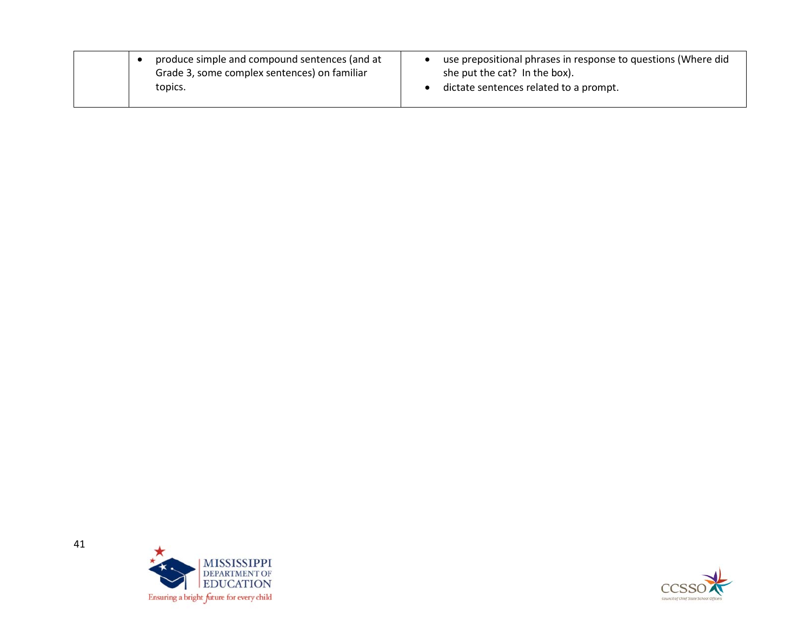| produce simple and compound sentences (and at<br>Grade 3, some complex sentences) on familiar | use prepositional phrases in response to questions (Where did<br>she put the cat? In the box). |
|-----------------------------------------------------------------------------------------------|------------------------------------------------------------------------------------------------|
| topics.                                                                                       | dictate sentences related to a prompt.                                                         |



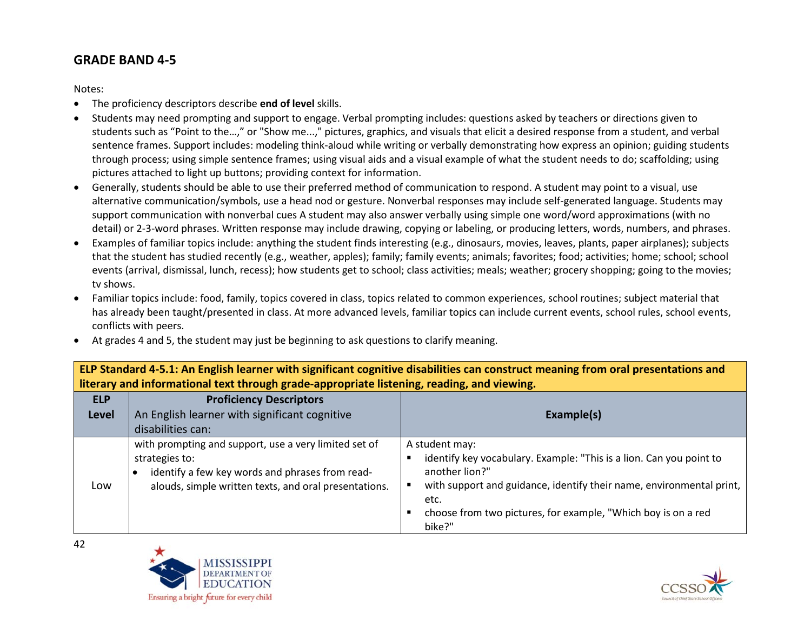## **GRADE BAND 4-5**

Notes:

- The proficiency descriptors describe **end of level** skills.
- Students may need prompting and support to engage. Verbal prompting includes: questions asked by teachers or directions given to students such as "Point to the…," or "Show me...," pictures, graphics, and visuals that elicit a desired response from a student, and verbal sentence frames. Support includes: modeling think-aloud while writing or verbally demonstrating how express an opinion; guiding students through process; using simple sentence frames; using visual aids and a visual example of what the student needs to do; scaffolding; using pictures attached to light up buttons; providing context for information.
- Generally, students should be able to use their preferred method of communication to respond. A student may point to a visual, use alternative communication/symbols, use a head nod or gesture. Nonverbal responses may include self-generated language. Students may support communication with nonverbal cues A student may also answer verbally using simple one word/word approximations (with no detail) or 2-3-word phrases. Written response may include drawing, copying or labeling, or producing letters, words, numbers, and phrases.
- Examples of familiar topics include: anything the student finds interesting (e.g., dinosaurs, movies, leaves, plants, paper airplanes); subjects that the student has studied recently (e.g., weather, apples); family; family events; animals; favorites; food; activities; home; school; school events (arrival, dismissal, lunch, recess); how students get to school; class activities; meals; weather; grocery shopping; going to the movies; tv shows.
- Familiar topics include: food, family, topics covered in class, topics related to common experiences, school routines; subject material that has already been taught/presented in class. At more advanced levels, familiar topics can include current events, school rules, school events, conflicts with peers.
- At grades 4 and 5, the student may just be beginning to ask questions to clarify meaning.

**ELP Standard 4-5.1: An English learner with significant cognitive disabilities can construct meaning from oral presentations and literary and informational text through grade-appropriate listening, reading, and viewing.**

| <b>ELP</b><br><b>Level</b> | <b>Proficiency Descriptors</b><br>An English learner with significant cognitive<br>disabilities can:                                                                                | Example(s)                                                                                                                                                                                                                                                         |
|----------------------------|-------------------------------------------------------------------------------------------------------------------------------------------------------------------------------------|--------------------------------------------------------------------------------------------------------------------------------------------------------------------------------------------------------------------------------------------------------------------|
| Low                        | with prompting and support, use a very limited set of<br>strategies to:<br>identify a few key words and phrases from read-<br>alouds, simple written texts, and oral presentations. | A student may:<br>identify key vocabulary. Example: "This is a lion. Can you point to<br>another lion?"<br>with support and guidance, identify their name, environmental print,<br>etc.<br>choose from two pictures, for example, "Which boy is on a red<br>bike?" |



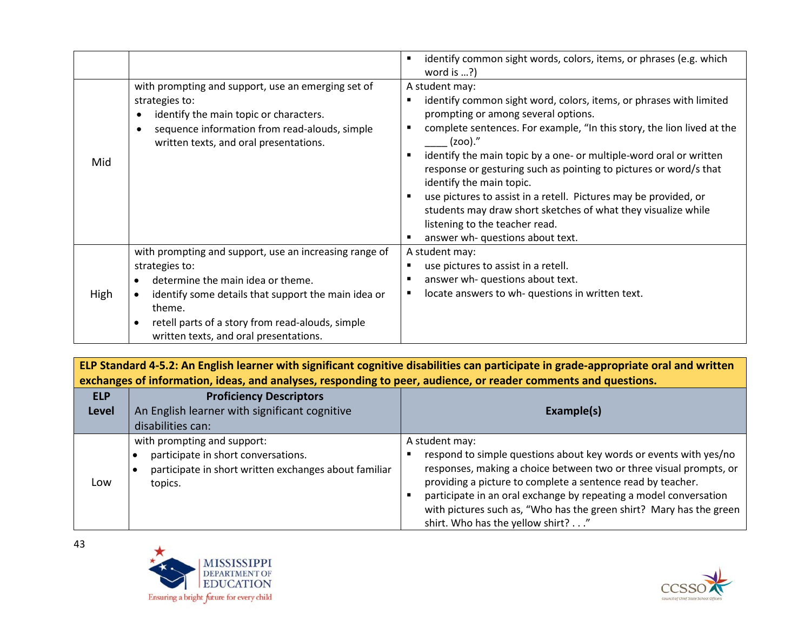|      |                                                                                                                                                                                                                                                                              | identify common sight words, colors, items, or phrases (e.g. which<br>word is ?)                                                                                                                                                                                                                                                                                                                                                                                                                                                                                                                      |
|------|------------------------------------------------------------------------------------------------------------------------------------------------------------------------------------------------------------------------------------------------------------------------------|-------------------------------------------------------------------------------------------------------------------------------------------------------------------------------------------------------------------------------------------------------------------------------------------------------------------------------------------------------------------------------------------------------------------------------------------------------------------------------------------------------------------------------------------------------------------------------------------------------|
| Mid  | with prompting and support, use an emerging set of<br>strategies to:<br>identify the main topic or characters.<br>sequence information from read-alouds, simple<br>written texts, and oral presentations.                                                                    | A student may:<br>identify common sight word, colors, items, or phrases with limited<br>prompting or among several options.<br>complete sentences. For example, "In this story, the lion lived at the<br>$(200).$ "<br>identify the main topic by a one- or multiple-word oral or written<br>response or gesturing such as pointing to pictures or word/s that<br>identify the main topic.<br>use pictures to assist in a retell. Pictures may be provided, or<br>students may draw short sketches of what they visualize while<br>listening to the teacher read.<br>answer wh- questions about text. |
| High | with prompting and support, use an increasing range of<br>strategies to:<br>determine the main idea or theme.<br>identify some details that support the main idea or<br>theme.<br>retell parts of a story from read-alouds, simple<br>written texts, and oral presentations. | A student may:<br>use pictures to assist in a retell.<br>answer wh- questions about text.<br>locate answers to wh- questions in written text.                                                                                                                                                                                                                                                                                                                                                                                                                                                         |

**ELP Standard 4-5.2: An English learner with significant cognitive disabilities can participate in grade-appropriate oral and written exchanges of information, ideas, and analyses, responding to peer, audience, or reader comments and questions.**

| <b>ELP</b><br><b>Level</b> | <b>Proficiency Descriptors</b><br>An English learner with significant cognitive<br>disabilities can:                                   | Example(s)                                                                                                                                                                                                                                                                                                                                                                                                |
|----------------------------|----------------------------------------------------------------------------------------------------------------------------------------|-----------------------------------------------------------------------------------------------------------------------------------------------------------------------------------------------------------------------------------------------------------------------------------------------------------------------------------------------------------------------------------------------------------|
| Low                        | with prompting and support:<br>participate in short conversations.<br>participate in short written exchanges about familiar<br>topics. | A student may:<br>respond to simple questions about key words or events with yes/no<br>responses, making a choice between two or three visual prompts, or<br>providing a picture to complete a sentence read by teacher.<br>participate in an oral exchange by repeating a model conversation<br>with pictures such as, "Who has the green shirt? Mary has the green<br>shirt. Who has the yellow shirt?" |



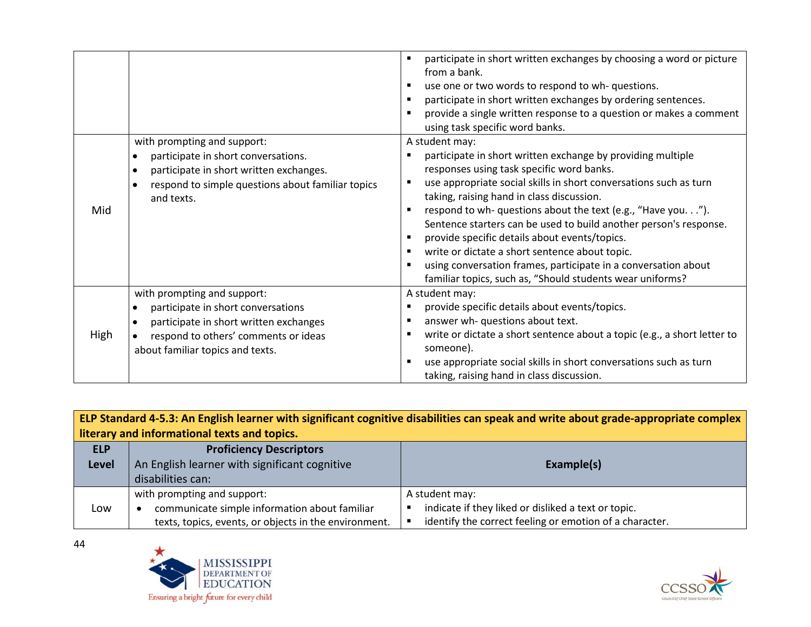| Mid  | with prompting and support:<br>participate in short conversations.<br>$\bullet$<br>participate in short written exchanges.<br>٠<br>respond to simple questions about familiar topics<br>and texts.   | participate in short written exchanges by choosing a word or picture<br>from a bank.<br>use one or two words to respond to wh- questions.<br>participate in short written exchanges by ordering sentences.<br>provide a single written response to a question or makes a comment<br>using task specific word banks.<br>A student may:<br>participate in short written exchange by providing multiple<br>responses using task specific word banks.<br>use appropriate social skills in short conversations such as turn<br>taking, raising hand in class discussion.<br>respond to wh- questions about the text (e.g., "Have you.").<br>Sentence starters can be used to build another person's response.<br>provide specific details about events/topics.<br>write or dictate a short sentence about topic.<br>using conversation frames, participate in a conversation about |
|------|------------------------------------------------------------------------------------------------------------------------------------------------------------------------------------------------------|-------------------------------------------------------------------------------------------------------------------------------------------------------------------------------------------------------------------------------------------------------------------------------------------------------------------------------------------------------------------------------------------------------------------------------------------------------------------------------------------------------------------------------------------------------------------------------------------------------------------------------------------------------------------------------------------------------------------------------------------------------------------------------------------------------------------------------------------------------------------------------|
|      |                                                                                                                                                                                                      | familiar topics, such as, "Should students wear uniforms?                                                                                                                                                                                                                                                                                                                                                                                                                                                                                                                                                                                                                                                                                                                                                                                                                     |
| High | with prompting and support:<br>participate in short conversations<br>$\bullet$<br>participate in short written exchanges<br>respond to others' comments or ideas<br>about familiar topics and texts. | A student may:<br>provide specific details about events/topics.<br>answer wh- questions about text.<br>write or dictate a short sentence about a topic (e.g., a short letter to<br>someone).<br>use appropriate social skills in short conversations such as turn<br>taking, raising hand in class discussion.                                                                                                                                                                                                                                                                                                                                                                                                                                                                                                                                                                |

| ELP Standard 4-5.3: An English learner with significant cognitive disabilities can speak and write about grade-appropriate complex |                                                       |                                                         |  |
|------------------------------------------------------------------------------------------------------------------------------------|-------------------------------------------------------|---------------------------------------------------------|--|
| literary and informational texts and topics.                                                                                       |                                                       |                                                         |  |
| <b>ELP</b>                                                                                                                         | <b>Proficiency Descriptors</b>                        |                                                         |  |
| <b>Level</b>                                                                                                                       | An English learner with significant cognitive         | Example(s)                                              |  |
|                                                                                                                                    | disabilities can:                                     |                                                         |  |
|                                                                                                                                    | with prompting and support:                           | A student may:                                          |  |
| Low                                                                                                                                | communicate simple information about familiar         | indicate if they liked or disliked a text or topic.     |  |
|                                                                                                                                    | texts, topics, events, or objects in the environment. | identify the correct feeling or emotion of a character. |  |



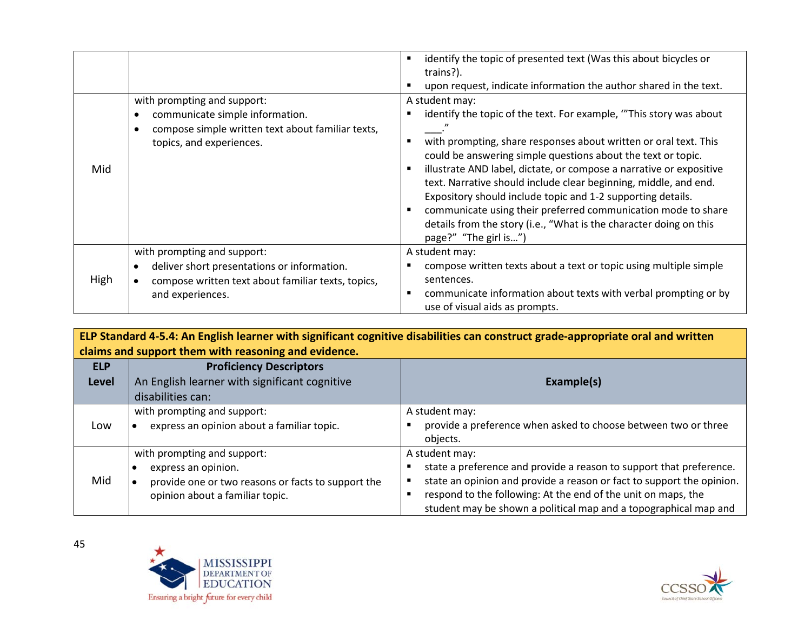| Mid  | with prompting and support:<br>communicate simple information.<br>compose simple written text about familiar texts,<br>topics, and experiences.      | identify the topic of presented text (Was this about bicycles or<br>trains?).<br>upon request, indicate information the author shared in the text.<br>A student may:<br>identify the topic of the text. For example, "This story was about<br>with prompting, share responses about written or oral text. This<br>could be answering simple questions about the text or topic.<br>illustrate AND label, dictate, or compose a narrative or expositive<br>text. Narrative should include clear beginning, middle, and end.<br>Expository should include topic and 1-2 supporting details.<br>communicate using their preferred communication mode to share<br>details from the story (i.e., "What is the character doing on this<br>page?" "The girl is") |
|------|------------------------------------------------------------------------------------------------------------------------------------------------------|----------------------------------------------------------------------------------------------------------------------------------------------------------------------------------------------------------------------------------------------------------------------------------------------------------------------------------------------------------------------------------------------------------------------------------------------------------------------------------------------------------------------------------------------------------------------------------------------------------------------------------------------------------------------------------------------------------------------------------------------------------|
| High | with prompting and support:<br>deliver short presentations or information.<br>compose written text about familiar texts, topics,<br>and experiences. | A student may:<br>compose written texts about a text or topic using multiple simple<br>sentences.<br>communicate information about texts with verbal prompting or by<br>use of visual aids as prompts.                                                                                                                                                                                                                                                                                                                                                                                                                                                                                                                                                   |

**ELP Standard 4-5.4: An English learner with significant cognitive disabilities can construct grade-appropriate oral and written claims and support them with reasoning and evidence. ELP Level Proficiency Descriptors** An English learner with significant cognitive disabilities can: **Example(s)** Low with prompting and support: • express an opinion about a familiar topic. A student may: **P** provide a preference when asked to choose between two or three objects. Mid with prompting and support: • express an opinion. • provide one or two reasons or facts to support the opinion about a familiar topic. A student may: state a preference and provide a reason to support that preference. state an opinion and provide a reason or fact to support the opinion. **F** respond to the following: At the end of the unit on maps, the student may be shown a political map and a topographical map and



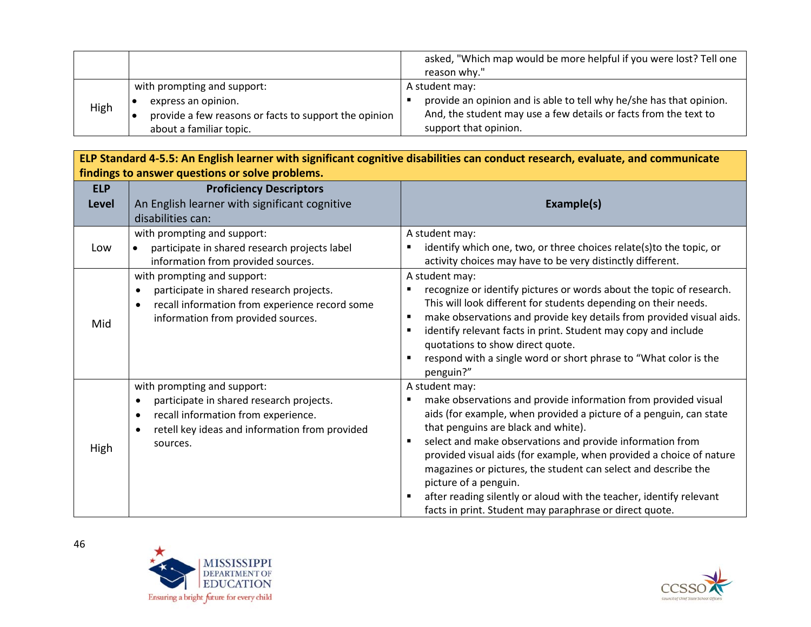|      |                                                                                                                                        | asked, "Which map would be more helpful if you were lost? Tell one<br>reason why."                                                                                                 |
|------|----------------------------------------------------------------------------------------------------------------------------------------|------------------------------------------------------------------------------------------------------------------------------------------------------------------------------------|
| High | with prompting and support:<br>express an opinion.<br>provide a few reasons or facts to support the opinion<br>about a familiar topic. | A student may:<br>provide an opinion and is able to tell why he/she has that opinion.<br>And, the student may use a few details or facts from the text to<br>support that opinion. |

| ELP Standard 4-5.5: An English learner with significant cognitive disabilities can conduct research, evaluate, and communicate |                                                                                                                                                                                                                     |                                                                                                                                                                                                                                                                                                                                                                                                                                                                                                                                                                     |  |
|--------------------------------------------------------------------------------------------------------------------------------|---------------------------------------------------------------------------------------------------------------------------------------------------------------------------------------------------------------------|---------------------------------------------------------------------------------------------------------------------------------------------------------------------------------------------------------------------------------------------------------------------------------------------------------------------------------------------------------------------------------------------------------------------------------------------------------------------------------------------------------------------------------------------------------------------|--|
|                                                                                                                                | findings to answer questions or solve problems.                                                                                                                                                                     |                                                                                                                                                                                                                                                                                                                                                                                                                                                                                                                                                                     |  |
| <b>ELP</b><br>Level                                                                                                            | <b>Proficiency Descriptors</b><br>An English learner with significant cognitive                                                                                                                                     | Example(s)                                                                                                                                                                                                                                                                                                                                                                                                                                                                                                                                                          |  |
|                                                                                                                                | disabilities can:                                                                                                                                                                                                   |                                                                                                                                                                                                                                                                                                                                                                                                                                                                                                                                                                     |  |
| Low                                                                                                                            | with prompting and support:<br>participate in shared research projects label<br>information from provided sources.                                                                                                  | A student may:<br>identify which one, two, or three choices relate(s)to the topic, or<br>activity choices may have to be very distinctly different.                                                                                                                                                                                                                                                                                                                                                                                                                 |  |
| Mid                                                                                                                            | with prompting and support:<br>participate in shared research projects.<br>$\bullet$<br>recall information from experience record some<br>$\bullet$<br>information from provided sources.                           | A student may:<br>recognize or identify pictures or words about the topic of research.<br>This will look different for students depending on their needs.<br>make observations and provide key details from provided visual aids.<br>٠<br>identify relevant facts in print. Student may copy and include<br>٠<br>quotations to show direct quote.<br>respond with a single word or short phrase to "What color is the<br>$\blacksquare$<br>penguin?"                                                                                                                |  |
| High                                                                                                                           | with prompting and support:<br>participate in shared research projects.<br>$\bullet$<br>recall information from experience.<br>$\bullet$<br>retell key ideas and information from provided<br>$\bullet$<br>sources. | A student may:<br>make observations and provide information from provided visual<br>aids (for example, when provided a picture of a penguin, can state<br>that penguins are black and white).<br>select and make observations and provide information from<br>٠<br>provided visual aids (for example, when provided a choice of nature<br>magazines or pictures, the student can select and describe the<br>picture of a penguin.<br>after reading silently or aloud with the teacher, identify relevant<br>facts in print. Student may paraphrase or direct quote. |  |



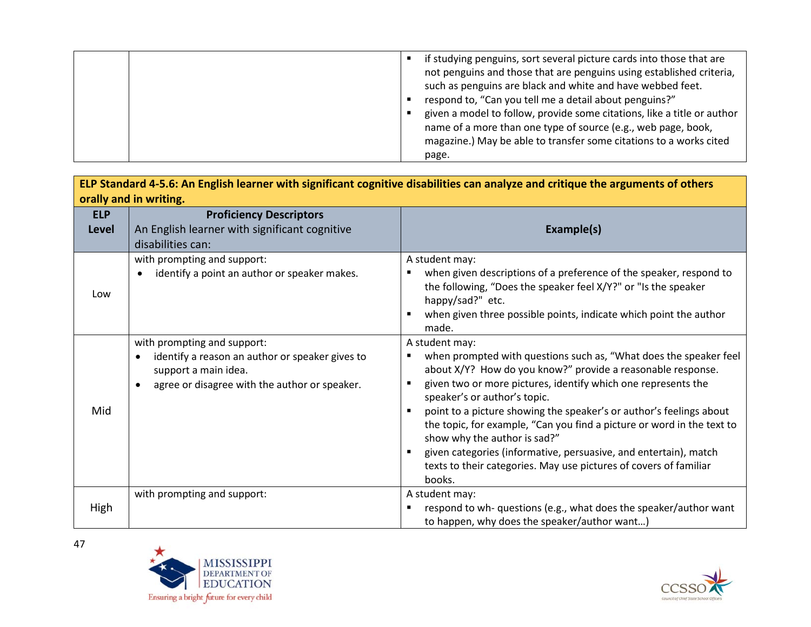|  | if studying penguins, sort several picture cards into those that are<br>not penguins and those that are penguins using established criteria,<br>such as penguins are black and white and have webbed feet.<br>respond to, "Can you tell me a detail about penguins?"<br>given a model to follow, provide some citations, like a title or author<br>name of a more than one type of source (e.g., web page, book,<br>magazine.) May be able to transfer some citations to a works cited<br>page. |
|--|-------------------------------------------------------------------------------------------------------------------------------------------------------------------------------------------------------------------------------------------------------------------------------------------------------------------------------------------------------------------------------------------------------------------------------------------------------------------------------------------------|
|--|-------------------------------------------------------------------------------------------------------------------------------------------------------------------------------------------------------------------------------------------------------------------------------------------------------------------------------------------------------------------------------------------------------------------------------------------------------------------------------------------------|

| ELP Standard 4-5.6: An English learner with significant cognitive disabilities can analyze and critique the arguments of others |                                                                                                                                                                      |                                                                                                                                                                                                                                                                                                                                                                                                                                                                                                                                                                                                  |  |  |
|---------------------------------------------------------------------------------------------------------------------------------|----------------------------------------------------------------------------------------------------------------------------------------------------------------------|--------------------------------------------------------------------------------------------------------------------------------------------------------------------------------------------------------------------------------------------------------------------------------------------------------------------------------------------------------------------------------------------------------------------------------------------------------------------------------------------------------------------------------------------------------------------------------------------------|--|--|
| orally and in writing.                                                                                                          |                                                                                                                                                                      |                                                                                                                                                                                                                                                                                                                                                                                                                                                                                                                                                                                                  |  |  |
| <b>ELP</b>                                                                                                                      | <b>Proficiency Descriptors</b>                                                                                                                                       |                                                                                                                                                                                                                                                                                                                                                                                                                                                                                                                                                                                                  |  |  |
| Level                                                                                                                           | An English learner with significant cognitive                                                                                                                        | Example(s)                                                                                                                                                                                                                                                                                                                                                                                                                                                                                                                                                                                       |  |  |
|                                                                                                                                 | disabilities can:                                                                                                                                                    |                                                                                                                                                                                                                                                                                                                                                                                                                                                                                                                                                                                                  |  |  |
| Low                                                                                                                             | with prompting and support:<br>identify a point an author or speaker makes.<br>$\bullet$                                                                             | A student may:<br>when given descriptions of a preference of the speaker, respond to<br>the following, "Does the speaker feel X/Y?" or "Is the speaker<br>happy/sad?" etc.<br>when given three possible points, indicate which point the author                                                                                                                                                                                                                                                                                                                                                  |  |  |
| Mid                                                                                                                             | with prompting and support:<br>identify a reason an author or speaker gives to<br>$\bullet$<br>support a main idea.<br>agree or disagree with the author or speaker. | made.<br>A student may:<br>when prompted with questions such as, "What does the speaker feel<br>about X/Y? How do you know?" provide a reasonable response.<br>given two or more pictures, identify which one represents the<br>speaker's or author's topic.<br>point to a picture showing the speaker's or author's feelings about<br>the topic, for example, "Can you find a picture or word in the text to<br>show why the author is sad?"<br>given categories (informative, persuasive, and entertain), match<br>texts to their categories. May use pictures of covers of familiar<br>books. |  |  |
| High                                                                                                                            | with prompting and support:                                                                                                                                          | A student may:<br>respond to wh- questions (e.g., what does the speaker/author want<br>to happen, why does the speaker/author want)                                                                                                                                                                                                                                                                                                                                                                                                                                                              |  |  |



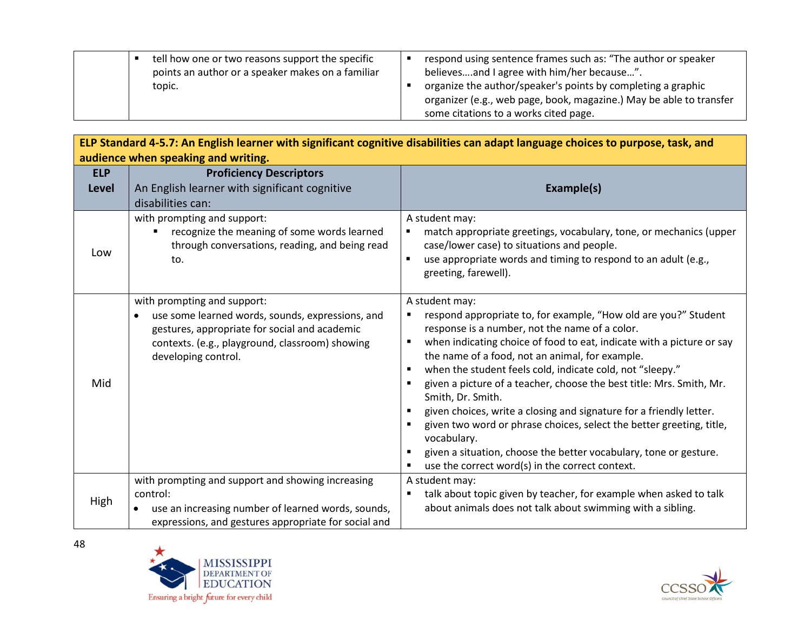|  | tell how one or two reasons support the specific<br>points an author or a speaker makes on a familiar | respond using sentence frames such as: "The author or speaker<br>believesand I agree with him/her because". |
|--|-------------------------------------------------------------------------------------------------------|-------------------------------------------------------------------------------------------------------------|
|  | topic.                                                                                                | organize the author/speaker's points by completing a graphic                                                |
|  |                                                                                                       | organizer (e.g., web page, book, magazine.) May be able to transfer                                         |
|  |                                                                                                       | some citations to a works cited page.                                                                       |

| ELP Standard 4-5.7: An English learner with significant cognitive disabilities can adapt language choices to purpose, task, and |                                                                                                                                                                                                            |                                                                                                                                                                                                                                                                                                                                                                                                                                                                                                                                                                                                                                                                                                                                |  |  |
|---------------------------------------------------------------------------------------------------------------------------------|------------------------------------------------------------------------------------------------------------------------------------------------------------------------------------------------------------|--------------------------------------------------------------------------------------------------------------------------------------------------------------------------------------------------------------------------------------------------------------------------------------------------------------------------------------------------------------------------------------------------------------------------------------------------------------------------------------------------------------------------------------------------------------------------------------------------------------------------------------------------------------------------------------------------------------------------------|--|--|
|                                                                                                                                 | audience when speaking and writing.                                                                                                                                                                        |                                                                                                                                                                                                                                                                                                                                                                                                                                                                                                                                                                                                                                                                                                                                |  |  |
| <b>ELP</b><br><b>Level</b>                                                                                                      | <b>Proficiency Descriptors</b><br>An English learner with significant cognitive<br>disabilities can:                                                                                                       | Example(s)                                                                                                                                                                                                                                                                                                                                                                                                                                                                                                                                                                                                                                                                                                                     |  |  |
| Low                                                                                                                             | with prompting and support:<br>recognize the meaning of some words learned<br>through conversations, reading, and being read<br>to.                                                                        | A student may:<br>match appropriate greetings, vocabulary, tone, or mechanics (upper<br>case/lower case) to situations and people.<br>use appropriate words and timing to respond to an adult (e.g.,<br>greeting, farewell).                                                                                                                                                                                                                                                                                                                                                                                                                                                                                                   |  |  |
| Mid                                                                                                                             | with prompting and support:<br>use some learned words, sounds, expressions, and<br>gestures, appropriate for social and academic<br>contexts. (e.g., playground, classroom) showing<br>developing control. | A student may:<br>respond appropriate to, for example, "How old are you?" Student<br>٠<br>response is a number, not the name of a color.<br>when indicating choice of food to eat, indicate with a picture or say<br>٠<br>the name of a food, not an animal, for example.<br>when the student feels cold, indicate cold, not "sleepy."<br>given a picture of a teacher, choose the best title: Mrs. Smith, Mr.<br>Smith, Dr. Smith.<br>given choices, write a closing and signature for a friendly letter.<br>given two word or phrase choices, select the better greeting, title,<br>vocabulary.<br>given a situation, choose the better vocabulary, tone or gesture.<br>use the correct word(s) in the correct context.<br>٠ |  |  |
| High                                                                                                                            | with prompting and support and showing increasing<br>control:<br>use an increasing number of learned words, sounds,<br>expressions, and gestures appropriate for social and                                | A student may:<br>talk about topic given by teacher, for example when asked to talk<br>٠<br>about animals does not talk about swimming with a sibling.                                                                                                                                                                                                                                                                                                                                                                                                                                                                                                                                                                         |  |  |



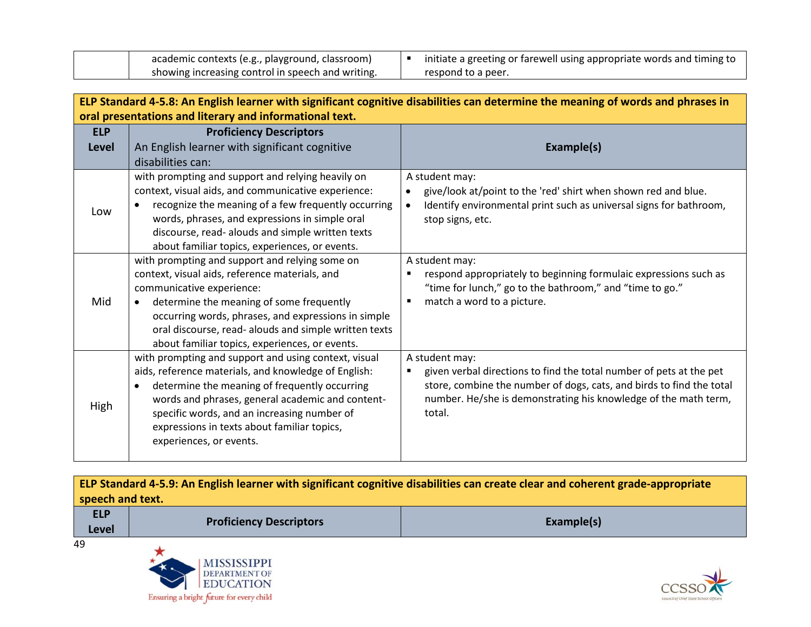| academic contexts (e.g., playground, classroom)   | initiate a greeting or farewell using appropriate words and timing to |
|---------------------------------------------------|-----------------------------------------------------------------------|
| showing increasing control in speech and writing. | respond to a peer.                                                    |

| ELP Standard 4-5.8: An English learner with significant cognitive disabilities can determine the meaning of words and phrases in |                                                                                                                                                                                                                                                                                                                                                 |                                                                                                                                                                                                                                            |  |  |
|----------------------------------------------------------------------------------------------------------------------------------|-------------------------------------------------------------------------------------------------------------------------------------------------------------------------------------------------------------------------------------------------------------------------------------------------------------------------------------------------|--------------------------------------------------------------------------------------------------------------------------------------------------------------------------------------------------------------------------------------------|--|--|
| oral presentations and literary and informational text.                                                                          |                                                                                                                                                                                                                                                                                                                                                 |                                                                                                                                                                                                                                            |  |  |
| <b>ELP</b>                                                                                                                       | <b>Proficiency Descriptors</b>                                                                                                                                                                                                                                                                                                                  |                                                                                                                                                                                                                                            |  |  |
| Level                                                                                                                            | An English learner with significant cognitive                                                                                                                                                                                                                                                                                                   | Example(s)                                                                                                                                                                                                                                 |  |  |
|                                                                                                                                  | disabilities can:                                                                                                                                                                                                                                                                                                                               |                                                                                                                                                                                                                                            |  |  |
| Low                                                                                                                              | with prompting and support and relying heavily on<br>context, visual aids, and communicative experience:<br>recognize the meaning of a few frequently occurring<br>words, phrases, and expressions in simple oral<br>discourse, read- alouds and simple written texts<br>about familiar topics, experiences, or events.                         | A student may:<br>give/look at/point to the 'red' shirt when shown red and blue.<br>Identify environmental print such as universal signs for bathroom,<br>stop signs, etc.                                                                 |  |  |
| Mid                                                                                                                              | with prompting and support and relying some on<br>context, visual aids, reference materials, and<br>communicative experience:<br>determine the meaning of some frequently<br>occurring words, phrases, and expressions in simple<br>oral discourse, read- alouds and simple written texts<br>about familiar topics, experiences, or events.     | A student may:<br>respond appropriately to beginning formulaic expressions such as<br>"time for lunch," go to the bathroom," and "time to go."<br>match a word to a picture.                                                               |  |  |
| High                                                                                                                             | with prompting and support and using context, visual<br>aids, reference materials, and knowledge of English:<br>determine the meaning of frequently occurring<br>٠<br>words and phrases, general academic and content-<br>specific words, and an increasing number of<br>expressions in texts about familiar topics,<br>experiences, or events. | A student may:<br>given verbal directions to find the total number of pets at the pet<br>store, combine the number of dogs, cats, and birds to find the total<br>number. He/she is demonstrating his knowledge of the math term,<br>total. |  |  |

**ELP Standard 4-5.9: An English learner with significant cognitive disabilities can create clear and coherent grade-appropriate speech and text. ELP** 

| .<br><b>Level</b> | <b>Proficiency Descriptors</b> | Example(s) |
|-------------------|--------------------------------|------------|
| 49                | <b>MISSISSIPPI</b>             |            |



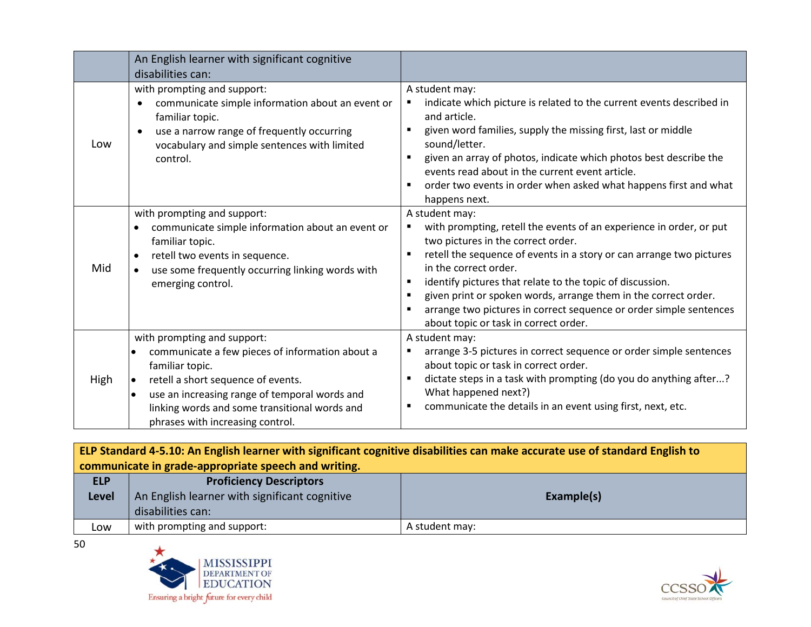|      | An English learner with significant cognitive<br>disabilities can:                                                                                                                                                                                                            |                                                                                                                                                                                                                                                                                                                                                                                                                                                                                                 |
|------|-------------------------------------------------------------------------------------------------------------------------------------------------------------------------------------------------------------------------------------------------------------------------------|-------------------------------------------------------------------------------------------------------------------------------------------------------------------------------------------------------------------------------------------------------------------------------------------------------------------------------------------------------------------------------------------------------------------------------------------------------------------------------------------------|
| Low  | with prompting and support:<br>communicate simple information about an event or<br>$\bullet$<br>familiar topic.<br>use a narrow range of frequently occurring<br>$\bullet$<br>vocabulary and simple sentences with limited<br>control.                                        | A student may:<br>indicate which picture is related to the current events described in<br>٠<br>and article.<br>given word families, supply the missing first, last or middle<br>sound/letter.<br>given an array of photos, indicate which photos best describe the<br>٠<br>events read about in the current event article.<br>order two events in order when asked what happens first and what<br>٠<br>happens next.                                                                            |
| Mid  | with prompting and support:<br>communicate simple information about an event or<br>familiar topic.<br>retell two events in sequence.<br>$\bullet$<br>use some frequently occurring linking words with<br>emerging control.                                                    | A student may:<br>with prompting, retell the events of an experience in order, or put<br>٠<br>two pictures in the correct order.<br>retell the sequence of events in a story or can arrange two pictures<br>٠<br>in the correct order.<br>identify pictures that relate to the topic of discussion.<br>٠<br>given print or spoken words, arrange them in the correct order.<br>٠<br>arrange two pictures in correct sequence or order simple sentences<br>about topic or task in correct order. |
| High | with prompting and support:<br>communicate a few pieces of information about a<br>familiar topic.<br>retell a short sequence of events.<br>use an increasing range of temporal words and<br>linking words and some transitional words and<br>phrases with increasing control. | A student may:<br>arrange 3-5 pictures in correct sequence or order simple sentences<br>٠<br>about topic or task in correct order.<br>dictate steps in a task with prompting (do you do anything after?<br>٠<br>What happened next?)<br>communicate the details in an event using first, next, etc.                                                                                                                                                                                             |

|                                                      | ELP Standard 4-5.10: An English learner with significant cognitive disabilities can make accurate use of standard English to |                |
|------------------------------------------------------|------------------------------------------------------------------------------------------------------------------------------|----------------|
| communicate in grade-appropriate speech and writing. |                                                                                                                              |                |
| <b>ELP</b>                                           | <b>Proficiency Descriptors</b>                                                                                               |                |
| <b>Level</b>                                         | An English learner with significant cognitive                                                                                | Example(s)     |
|                                                      | disabilities can:                                                                                                            |                |
| Low                                                  | with prompting and support:                                                                                                  | A student may: |





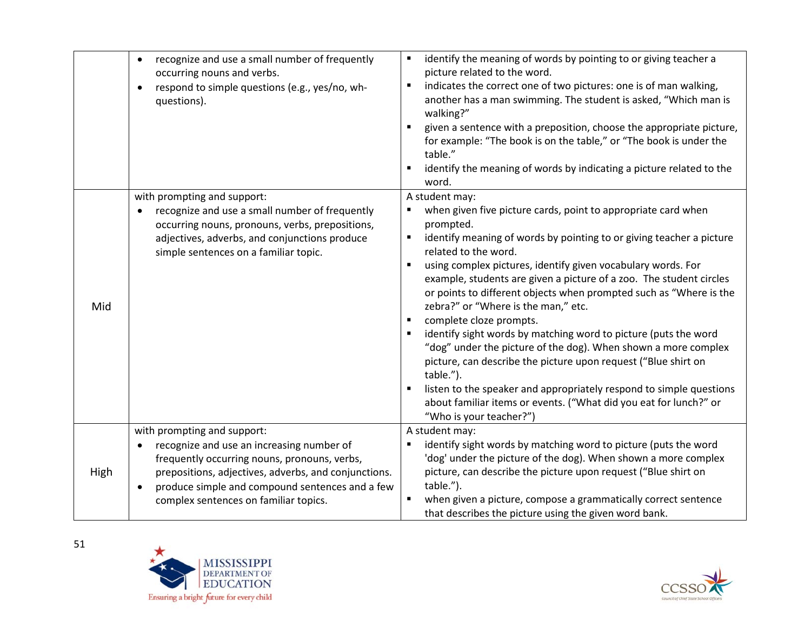|      | recognize and use a small number of frequently<br>$\bullet$<br>occurring nouns and verbs.<br>respond to simple questions (e.g., yes/no, wh-<br>$\bullet$<br>questions).                                                                                                                   | identify the meaning of words by pointing to or giving teacher a<br>٠<br>picture related to the word.<br>indicates the correct one of two pictures: one is of man walking,<br>٠<br>another has a man swimming. The student is asked, "Which man is<br>walking?"<br>given a sentence with a preposition, choose the appropriate picture,<br>for example: "The book is on the table," or "The book is under the<br>table."<br>identify the meaning of words by indicating a picture related to the<br>word.                                                                                                                                                                                                                                                                                                                                                              |
|------|-------------------------------------------------------------------------------------------------------------------------------------------------------------------------------------------------------------------------------------------------------------------------------------------|------------------------------------------------------------------------------------------------------------------------------------------------------------------------------------------------------------------------------------------------------------------------------------------------------------------------------------------------------------------------------------------------------------------------------------------------------------------------------------------------------------------------------------------------------------------------------------------------------------------------------------------------------------------------------------------------------------------------------------------------------------------------------------------------------------------------------------------------------------------------|
| Mid  | with prompting and support:<br>recognize and use a small number of frequently<br>$\bullet$<br>occurring nouns, pronouns, verbs, prepositions,<br>adjectives, adverbs, and conjunctions produce<br>simple sentences on a familiar topic.                                                   | A student may:<br>when given five picture cards, point to appropriate card when<br>prompted.<br>identify meaning of words by pointing to or giving teacher a picture<br>related to the word.<br>using complex pictures, identify given vocabulary words. For<br>example, students are given a picture of a zoo. The student circles<br>or points to different objects when prompted such as "Where is the<br>zebra?" or "Where is the man," etc.<br>complete cloze prompts.<br>identify sight words by matching word to picture (puts the word<br>"dog" under the picture of the dog). When shown a more complex<br>picture, can describe the picture upon request ("Blue shirt on<br>table.").<br>listen to the speaker and appropriately respond to simple questions<br>about familiar items or events. ("What did you eat for lunch?" or<br>"Who is your teacher?") |
| High | with prompting and support:<br>recognize and use an increasing number of<br>frequently occurring nouns, pronouns, verbs,<br>prepositions, adjectives, adverbs, and conjunctions.<br>produce simple and compound sentences and a few<br>$\bullet$<br>complex sentences on familiar topics. | A student may:<br>identify sight words by matching word to picture (puts the word<br>'dog' under the picture of the dog). When shown a more complex<br>picture, can describe the picture upon request ("Blue shirt on<br>table.").<br>when given a picture, compose a grammatically correct sentence<br>that describes the picture using the given word bank.                                                                                                                                                                                                                                                                                                                                                                                                                                                                                                          |



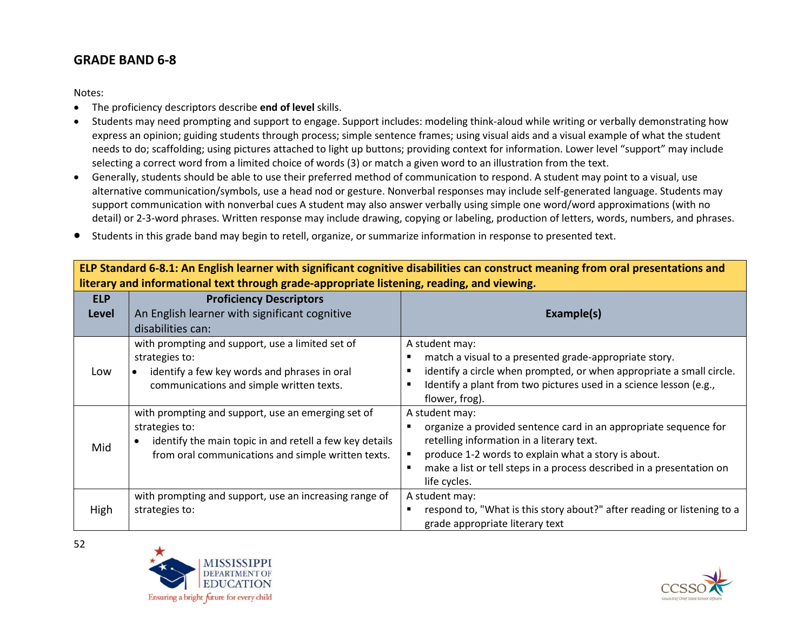## **GRADE BAND 6-8**

Notes:

- The proficiency descriptors describe **end of level** skills.
- Students may need prompting and support to engage. Support includes: modeling think-aloud while writing or verbally demonstrating how express an opinion; guiding students through process; simple sentence frames; using visual aids and a visual example of what the student needs to do; scaffolding; using pictures attached to light up buttons; providing context for information. Lower level "support" may include selecting a correct word from a limited choice of words (3) or match a given word to an illustration from the text.
- Generally, students should be able to use their preferred method of communication to respond. A student may point to a visual, use alternative communication/symbols, use a head nod or gesture. Nonverbal responses may include self-generated language. Students may support communication with nonverbal cues A student may also answer verbally using simple one word/word approximations (with no detail) or 2-3-word phrases. Written response may include drawing, copying or labeling, production of letters, words, numbers, and phrases.
- Students in this grade band may begin to retell, organize, or summarize information in response to presented text.

**ELP Standard 6-8.1: An English learner with significant cognitive disabilities can construct meaning from oral presentations and literary and informational text through grade-appropriate listening, reading, and viewing.**

| <b>ELP</b><br><b>Level</b> | <b>Proficiency Descriptors</b><br>An English learner with significant cognitive<br>disabilities can:                                                                                  | Example(s)                                                                                                                                                                                                                                                                      |
|----------------------------|---------------------------------------------------------------------------------------------------------------------------------------------------------------------------------------|---------------------------------------------------------------------------------------------------------------------------------------------------------------------------------------------------------------------------------------------------------------------------------|
| Low                        | with prompting and support, use a limited set of<br>strategies to:<br>identify a few key words and phrases in oral<br>communications and simple written texts.                        | A student may:<br>match a visual to a presented grade-appropriate story.<br>identify a circle when prompted, or when appropriate a small circle.<br>Identify a plant from two pictures used in a science lesson (e.g.,<br>flower, frog).                                        |
| Mid                        | with prompting and support, use an emerging set of<br>strategies to:<br>identify the main topic in and retell a few key details<br>from oral communications and simple written texts. | A student may:<br>organize a provided sentence card in an appropriate sequence for<br>retelling information in a literary text.<br>produce 1-2 words to explain what a story is about.<br>make a list or tell steps in a process described in a presentation on<br>life cycles. |
| High                       | with prompting and support, use an increasing range of<br>strategies to:                                                                                                              | A student may:<br>respond to, "What is this story about?" after reading or listening to a<br>grade appropriate literary text                                                                                                                                                    |



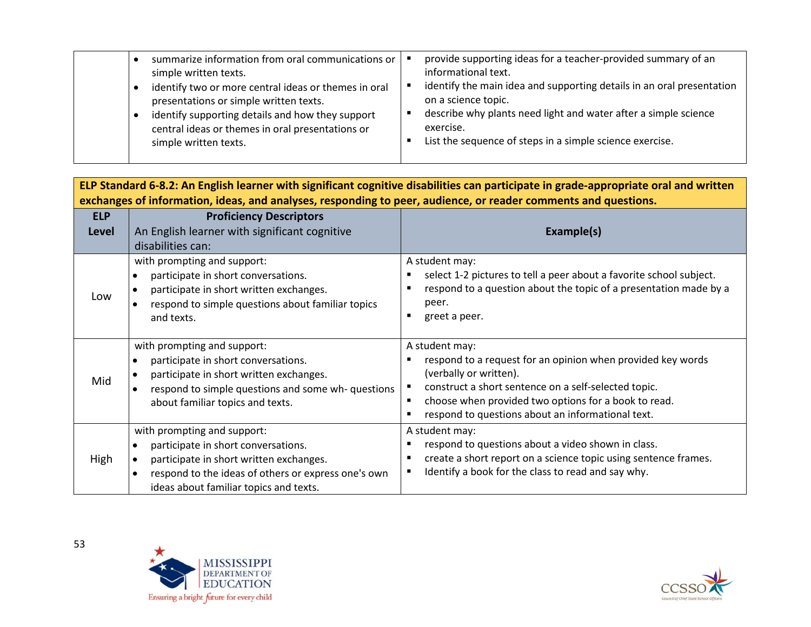**ELP Standard 6-8.2: An English learner with significant cognitive disabilities can participate in grade-appropriate oral and written exchanges of information, ideas, and analyses, responding to peer, audience, or reader comments and questions.**

| <b>ELP</b><br><b>Level</b> | <b>Proficiency Descriptors</b><br>An English learner with significant cognitive<br>disabilities can:                                                                                                           | Example(s)                                                                                                                                                                                                                                                                   |
|----------------------------|----------------------------------------------------------------------------------------------------------------------------------------------------------------------------------------------------------------|------------------------------------------------------------------------------------------------------------------------------------------------------------------------------------------------------------------------------------------------------------------------------|
| Low                        | with prompting and support:<br>participate in short conversations.<br>participate in short written exchanges.<br>respond to simple questions about familiar topics<br>and texts.                               | A student may:<br>select 1-2 pictures to tell a peer about a favorite school subject.<br>respond to a question about the topic of a presentation made by a<br>peer.<br>greet a peer.                                                                                         |
| Mid                        | with prompting and support:<br>participate in short conversations.<br>participate in short written exchanges.<br>respond to simple questions and some wh-questions<br>about familiar topics and texts.         | A student may:<br>respond to a request for an opinion when provided key words<br>(verbally or written).<br>construct a short sentence on a self-selected topic.<br>choose when provided two options for a book to read.<br>respond to questions about an informational text. |
| High                       | with prompting and support:<br>participate in short conversations.<br>participate in short written exchanges.<br>respond to the ideas of others or express one's own<br>ideas about familiar topics and texts. | A student may:<br>respond to questions about a video shown in class.<br>create a short report on a science topic using sentence frames.<br>Identify a book for the class to read and say why.                                                                                |



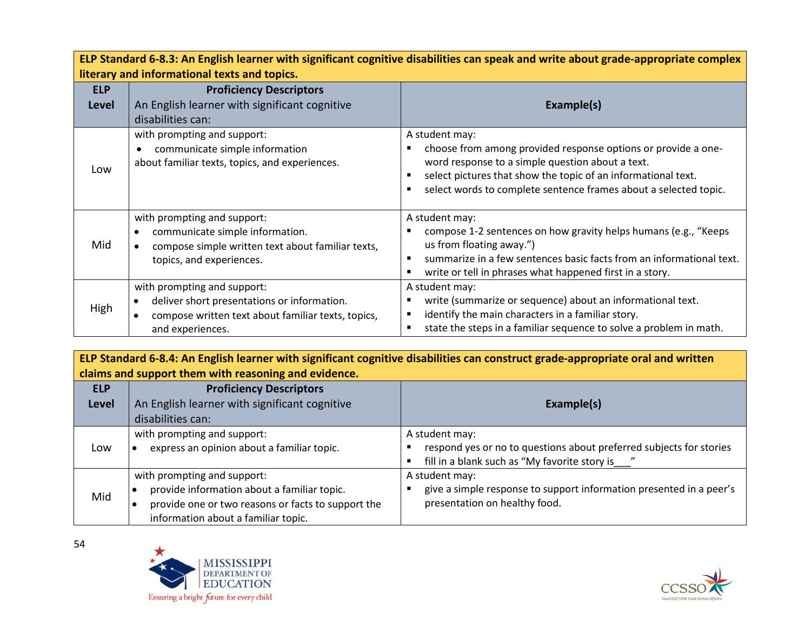| ELP Standard 6-8.3: An English learner with significant cognitive disabilities can speak and write about grade-appropriate complex |                                                                                                                                                      |                                                                                                                                                                                                                                                                          |  |
|------------------------------------------------------------------------------------------------------------------------------------|------------------------------------------------------------------------------------------------------------------------------------------------------|--------------------------------------------------------------------------------------------------------------------------------------------------------------------------------------------------------------------------------------------------------------------------|--|
|                                                                                                                                    | literary and informational texts and topics.                                                                                                         |                                                                                                                                                                                                                                                                          |  |
| <b>ELP</b>                                                                                                                         | <b>Proficiency Descriptors</b>                                                                                                                       |                                                                                                                                                                                                                                                                          |  |
| <b>Level</b>                                                                                                                       | An English learner with significant cognitive                                                                                                        | Example(s)                                                                                                                                                                                                                                                               |  |
|                                                                                                                                    | disabilities can:                                                                                                                                    |                                                                                                                                                                                                                                                                          |  |
| Low                                                                                                                                | with prompting and support:<br>communicate simple information<br>about familiar texts, topics, and experiences.                                      | A student may:<br>choose from among provided response options or provide a one-<br>word response to a simple question about a text.<br>select pictures that show the topic of an informational text.<br>select words to complete sentence frames about a selected topic. |  |
| Mid                                                                                                                                | with prompting and support:<br>communicate simple information.<br>compose simple written text about familiar texts,<br>topics, and experiences.      | A student may:<br>compose 1-2 sentences on how gravity helps humans (e.g., "Keeps<br>us from floating away.")<br>summarize in a few sentences basic facts from an informational text.<br>write or tell in phrases what happened first in a story.                        |  |
| High                                                                                                                               | with prompting and support:<br>deliver short presentations or information.<br>compose written text about familiar texts, topics,<br>and experiences. | A student may:<br>write (summarize or sequence) about an informational text.<br>identify the main characters in a familiar story.<br>state the steps in a familiar sequence to solve a problem in math.                                                                  |  |

**ELP Standard 6-8.4: An English learner with significant cognitive disabilities can construct grade-appropriate oral and written claims and support them with reasoning and evidence.**

| <b>ELP</b><br><b>Level</b> | <b>Proficiency Descriptors</b><br>An English learner with significant cognitive                                                          |                                                                                                                      |
|----------------------------|------------------------------------------------------------------------------------------------------------------------------------------|----------------------------------------------------------------------------------------------------------------------|
|                            |                                                                                                                                          | Example(s)                                                                                                           |
|                            | disabilities can:                                                                                                                        |                                                                                                                      |
|                            | with prompting and support:                                                                                                              | A student may:                                                                                                       |
| Low                        | express an opinion about a familiar topic.                                                                                               | respond yes or no to questions about preferred subjects for stories<br>fill in a blank such as "My favorite story is |
|                            | with prompting and support:                                                                                                              | A student may:                                                                                                       |
| Mid                        | provide information about a familiar topic.<br>provide one or two reasons or facts to support the<br>information about a familiar topic. | give a simple response to support information presented in a peer's<br>presentation on healthy food.                 |



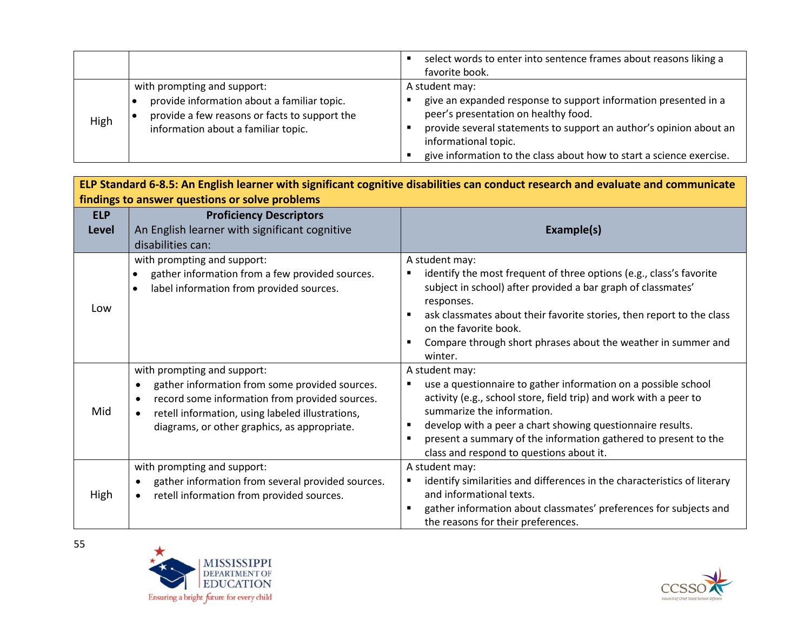|      |                                                                                                                                     | select words to enter into sentence frames about reasons liking a<br>favorite book.                                                                                                                                                                                           |
|------|-------------------------------------------------------------------------------------------------------------------------------------|-------------------------------------------------------------------------------------------------------------------------------------------------------------------------------------------------------------------------------------------------------------------------------|
|      | with prompting and support:                                                                                                         | A student may:                                                                                                                                                                                                                                                                |
| High | provide information about a familiar topic.<br>provide a few reasons or facts to support the<br>information about a familiar topic. | give an expanded response to support information presented in a<br>peer's presentation on healthy food.<br>provide several statements to support an author's opinion about an<br>informational topic.<br>give information to the class about how to start a science exercise. |

| ELP Standard 6-8.5: An English learner with significant cognitive disabilities can conduct research and evaluate and communicate |                                                                                                                                                                                                                                                                            |                                                                                                                                                                                                                                                                                                                                                                  |
|----------------------------------------------------------------------------------------------------------------------------------|----------------------------------------------------------------------------------------------------------------------------------------------------------------------------------------------------------------------------------------------------------------------------|------------------------------------------------------------------------------------------------------------------------------------------------------------------------------------------------------------------------------------------------------------------------------------------------------------------------------------------------------------------|
|                                                                                                                                  | findings to answer questions or solve problems                                                                                                                                                                                                                             |                                                                                                                                                                                                                                                                                                                                                                  |
| <b>ELP</b><br><b>Level</b>                                                                                                       | <b>Proficiency Descriptors</b><br>An English learner with significant cognitive<br>disabilities can:                                                                                                                                                                       | Example(s)                                                                                                                                                                                                                                                                                                                                                       |
| Low                                                                                                                              | with prompting and support:<br>gather information from a few provided sources.<br>label information from provided sources.                                                                                                                                                 | A student may:<br>identify the most frequent of three options (e.g., class's favorite<br>subject in school) after provided a bar graph of classmates'<br>responses.<br>ask classmates about their favorite stories, then report to the class<br>on the favorite book.<br>Compare through short phrases about the weather in summer and<br>winter.                |
| Mid                                                                                                                              | with prompting and support:<br>gather information from some provided sources.<br>$\bullet$<br>record some information from provided sources.<br>$\bullet$<br>retell information, using labeled illustrations,<br>$\bullet$<br>diagrams, or other graphics, as appropriate. | A student may:<br>use a questionnaire to gather information on a possible school<br>activity (e.g., school store, field trip) and work with a peer to<br>summarize the information.<br>develop with a peer a chart showing questionnaire results.<br>present a summary of the information gathered to present to the<br>class and respond to questions about it. |
| High                                                                                                                             | with prompting and support:<br>gather information from several provided sources.<br>retell information from provided sources.<br>$\bullet$                                                                                                                                 | A student may:<br>identify similarities and differences in the characteristics of literary<br>and informational texts.<br>gather information about classmates' preferences for subjects and<br>the reasons for their preferences.                                                                                                                                |



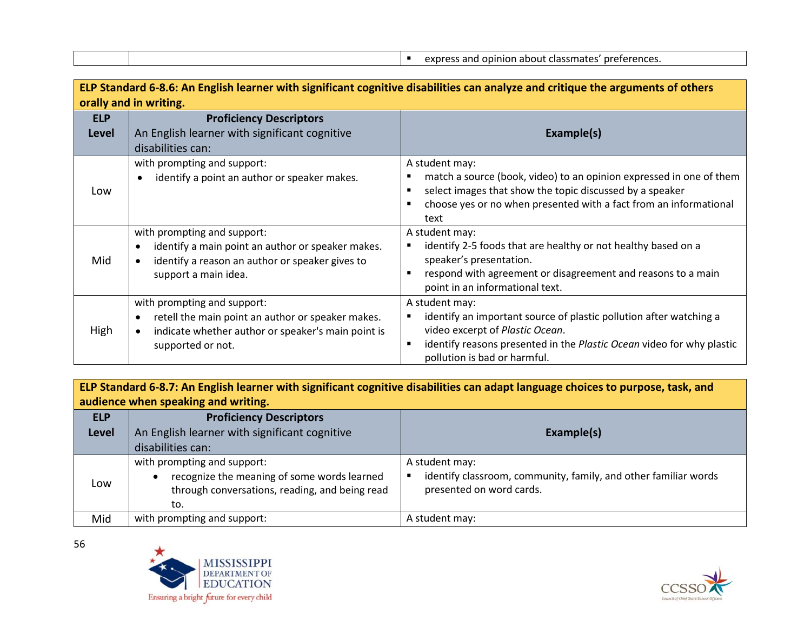express and opinion about classmates' preferences.

| ELP Standard 6-8.6: An English learner with significant cognitive disabilities can analyze and critique the arguments of others |                                                                                                                                                                          |                                                                                                                                                                                                                                  |  |
|---------------------------------------------------------------------------------------------------------------------------------|--------------------------------------------------------------------------------------------------------------------------------------------------------------------------|----------------------------------------------------------------------------------------------------------------------------------------------------------------------------------------------------------------------------------|--|
|                                                                                                                                 | orally and in writing.                                                                                                                                                   |                                                                                                                                                                                                                                  |  |
| <b>ELP</b>                                                                                                                      | <b>Proficiency Descriptors</b>                                                                                                                                           |                                                                                                                                                                                                                                  |  |
| <b>Level</b>                                                                                                                    | An English learner with significant cognitive                                                                                                                            | Example(s)                                                                                                                                                                                                                       |  |
|                                                                                                                                 | disabilities can:                                                                                                                                                        |                                                                                                                                                                                                                                  |  |
|                                                                                                                                 | with prompting and support:                                                                                                                                              | A student may:                                                                                                                                                                                                                   |  |
| Low                                                                                                                             | identify a point an author or speaker makes.<br>$\bullet$                                                                                                                | match a source (book, video) to an opinion expressed in one of them<br>select images that show the topic discussed by a speaker<br>choose yes or no when presented with a fact from an informational<br>text                     |  |
| Mid                                                                                                                             | with prompting and support:<br>identify a main point an author or speaker makes.<br>$\bullet$<br>identify a reason an author or speaker gives to<br>support a main idea. | A student may:<br>identify 2-5 foods that are healthy or not healthy based on a<br>٠<br>speaker's presentation.<br>respond with agreement or disagreement and reasons to a main<br>point in an informational text.               |  |
| High                                                                                                                            | with prompting and support:<br>retell the main point an author or speaker makes.<br>indicate whether author or speaker's main point is<br>$\bullet$<br>supported or not. | A student may:<br>identify an important source of plastic pollution after watching a<br>video excerpt of Plastic Ocean.<br>identify reasons presented in the Plastic Ocean video for why plastic<br>pollution is bad or harmful. |  |

**ELP Standard 6-8.7: An English learner with significant cognitive disabilities can adapt language choices to purpose, task, and audience when speaking and writing.**

| <b>ELP</b>   | <b>Proficiency Descriptors</b>                                                                                                      |                                                                                                               |
|--------------|-------------------------------------------------------------------------------------------------------------------------------------|---------------------------------------------------------------------------------------------------------------|
| <b>Level</b> | An English learner with significant cognitive                                                                                       | Example(s)                                                                                                    |
|              | disabilities can:                                                                                                                   |                                                                                                               |
| Low          | with prompting and support:<br>recognize the meaning of some words learned<br>through conversations, reading, and being read<br>to. | A student may:<br>identify classroom, community, family, and other familiar words<br>presented on word cards. |
| Mid          | with prompting and support:                                                                                                         | A student may:                                                                                                |



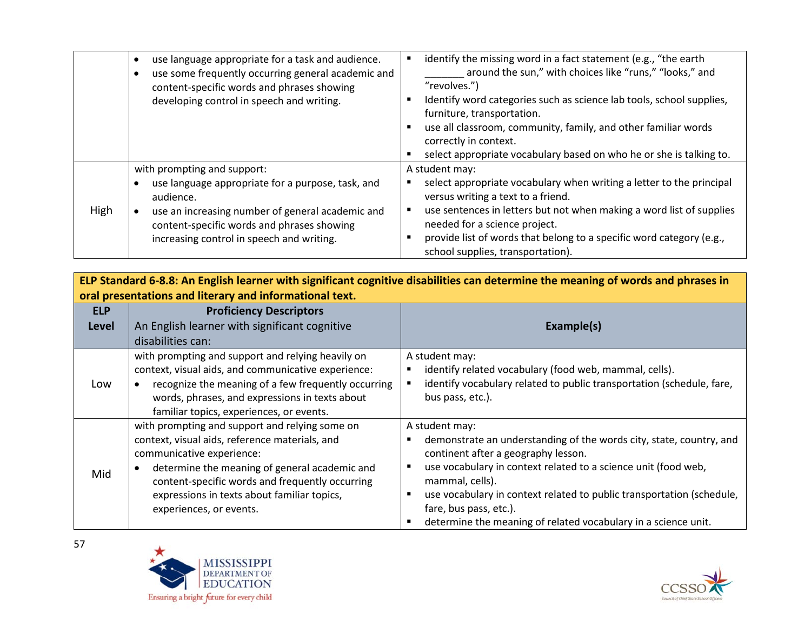|      | use language appropriate for a task and audience.<br>use some frequently occurring general academic and<br>content-specific words and phrases showing<br>developing control in speech and writing.                                           | identify the missing word in a fact statement (e.g., "the earth<br>around the sun," with choices like "runs," "looks," and<br>"revolves.")<br>Identify word categories such as science lab tools, school supplies,<br>furniture, transportation.<br>use all classroom, community, family, and other familiar words<br>correctly in context.<br>select appropriate vocabulary based on who he or she is talking to. |
|------|----------------------------------------------------------------------------------------------------------------------------------------------------------------------------------------------------------------------------------------------|--------------------------------------------------------------------------------------------------------------------------------------------------------------------------------------------------------------------------------------------------------------------------------------------------------------------------------------------------------------------------------------------------------------------|
| High | with prompting and support:<br>use language appropriate for a purpose, task, and<br>audience.<br>use an increasing number of general academic and<br>content-specific words and phrases showing<br>increasing control in speech and writing. | A student may:<br>select appropriate vocabulary when writing a letter to the principal<br>versus writing a text to a friend.<br>use sentences in letters but not when making a word list of supplies<br>needed for a science project.<br>provide list of words that belong to a specific word category (e.g.,<br>school supplies, transportation).                                                                 |

**ELP Standard 6-8.8: An English learner with significant cognitive disabilities can determine the meaning of words and phrases in oral presentations and literary and informational text.**

| <b>ELP</b><br><b>Level</b> | <b>Proficiency Descriptors</b><br>An English learner with significant cognitive                                                                                                                                                                                                                             | Example(s)                                                                                                                                                                                                                                                                                                                                                                             |
|----------------------------|-------------------------------------------------------------------------------------------------------------------------------------------------------------------------------------------------------------------------------------------------------------------------------------------------------------|----------------------------------------------------------------------------------------------------------------------------------------------------------------------------------------------------------------------------------------------------------------------------------------------------------------------------------------------------------------------------------------|
|                            | disabilities can:                                                                                                                                                                                                                                                                                           |                                                                                                                                                                                                                                                                                                                                                                                        |
| Low                        | with prompting and support and relying heavily on<br>context, visual aids, and communicative experience:<br>recognize the meaning of a few frequently occurring<br>words, phrases, and expressions in texts about<br>familiar topics, experiences, or events.                                               | A student may:<br>identify related vocabulary (food web, mammal, cells).<br>identify vocabulary related to public transportation (schedule, fare,<br>bus pass, etc.).                                                                                                                                                                                                                  |
| Mid                        | with prompting and support and relying some on<br>context, visual aids, reference materials, and<br>communicative experience:<br>determine the meaning of general academic and<br>content-specific words and frequently occurring<br>expressions in texts about familiar topics,<br>experiences, or events. | A student may:<br>demonstrate an understanding of the words city, state, country, and<br>continent after a geography lesson.<br>use vocabulary in context related to a science unit (food web,<br>mammal, cells).<br>use vocabulary in context related to public transportation (schedule,<br>fare, bus pass, etc.).<br>determine the meaning of related vocabulary in a science unit. |



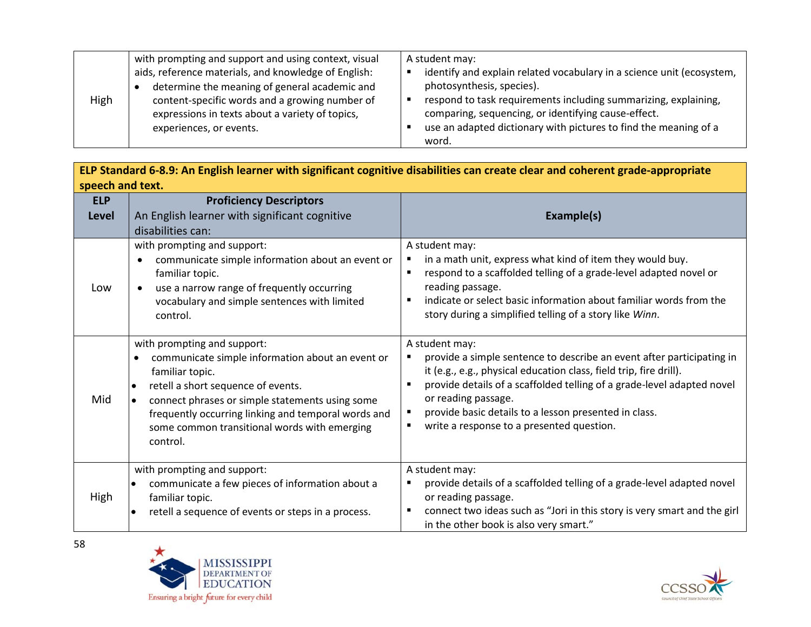| High | with prompting and support and using context, visual<br>aids, reference materials, and knowledge of English:<br>determine the meaning of general academic and<br>content-specific words and a growing number of<br>expressions in texts about a variety of topics,<br>experiences, or events. | A student may:<br>identify and explain related vocabulary in a science unit (ecosystem,<br>photosynthesis, species).<br>respond to task requirements including summarizing, explaining,<br>comparing, sequencing, or identifying cause-effect.<br>use an adapted dictionary with pictures to find the meaning of a |
|------|-----------------------------------------------------------------------------------------------------------------------------------------------------------------------------------------------------------------------------------------------------------------------------------------------|--------------------------------------------------------------------------------------------------------------------------------------------------------------------------------------------------------------------------------------------------------------------------------------------------------------------|
|      |                                                                                                                                                                                                                                                                                               | word.                                                                                                                                                                                                                                                                                                              |

| ELP Standard 6-8.9: An English learner with significant cognitive disabilities can create clear and coherent grade-appropriate |
|--------------------------------------------------------------------------------------------------------------------------------|
| speech and text.                                                                                                               |

| <b>ELP</b> | <b>Proficiency Descriptors</b>                                                                                                                                                                                                                                                                                 |                                                                                                                                                                                                                                                                                                                                                                           |
|------------|----------------------------------------------------------------------------------------------------------------------------------------------------------------------------------------------------------------------------------------------------------------------------------------------------------------|---------------------------------------------------------------------------------------------------------------------------------------------------------------------------------------------------------------------------------------------------------------------------------------------------------------------------------------------------------------------------|
| Level      | An English learner with significant cognitive                                                                                                                                                                                                                                                                  | Example(s)                                                                                                                                                                                                                                                                                                                                                                |
|            | disabilities can:                                                                                                                                                                                                                                                                                              |                                                                                                                                                                                                                                                                                                                                                                           |
| Low        | with prompting and support:<br>communicate simple information about an event or<br>familiar topic.<br>use a narrow range of frequently occurring<br>vocabulary and simple sentences with limited<br>control.                                                                                                   | A student may:<br>in a math unit, express what kind of item they would buy.<br>respond to a scaffolded telling of a grade-level adapted novel or<br>reading passage.<br>indicate or select basic information about familiar words from the<br>story during a simplified telling of a story like Winn.                                                                     |
| Mid        | with prompting and support:<br>communicate simple information about an event or<br>familiar topic.<br>retell a short sequence of events.<br>connect phrases or simple statements using some<br>frequently occurring linking and temporal words and<br>some common transitional words with emerging<br>control. | A student may:<br>provide a simple sentence to describe an event after participating in<br>it (e.g., e.g., physical education class, field trip, fire drill).<br>provide details of a scaffolded telling of a grade-level adapted novel<br>or reading passage.<br>provide basic details to a lesson presented in class.<br>write a response to a presented question.<br>٠ |
| High       | with prompting and support:<br>communicate a few pieces of information about a<br>familiar topic.<br>retell a sequence of events or steps in a process.                                                                                                                                                        | A student may:<br>provide details of a scaffolded telling of a grade-level adapted novel<br>٠<br>or reading passage.<br>connect two ideas such as "Jori in this story is very smart and the girl<br>in the other book is also very smart."                                                                                                                                |



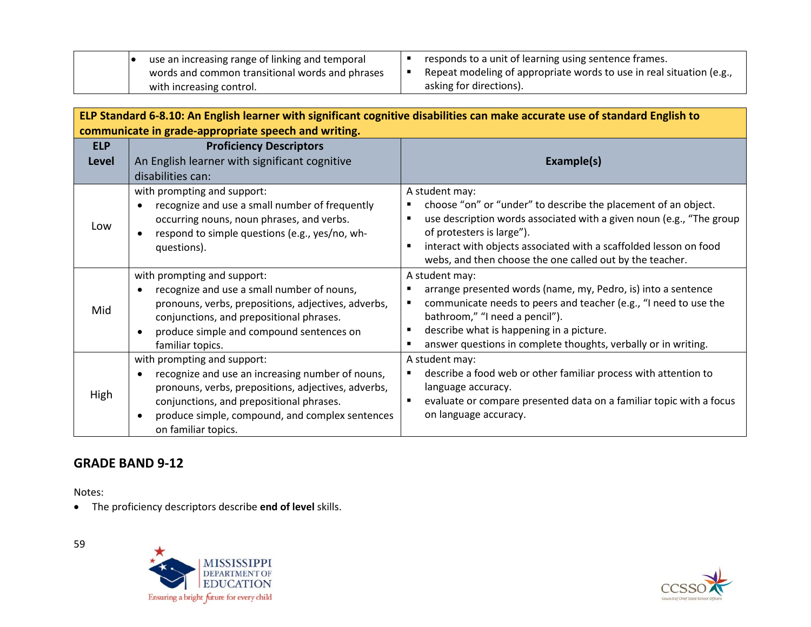| use an increasing range of linking and temporal | responds to a unit of learning using sentence frames.                |
|-------------------------------------------------|----------------------------------------------------------------------|
| words and common transitional words and phrases | Repeat modeling of appropriate words to use in real situation (e.g., |
| with increasing control.                        | asking for directions).                                              |

| ELP Standard 6-8.10: An English learner with significant cognitive disabilities can make accurate use of standard English to |                                                                                                                                                                                                                                                                                        |                                                                                                                                                                                                                                                                                                                                                            |  |  |  |
|------------------------------------------------------------------------------------------------------------------------------|----------------------------------------------------------------------------------------------------------------------------------------------------------------------------------------------------------------------------------------------------------------------------------------|------------------------------------------------------------------------------------------------------------------------------------------------------------------------------------------------------------------------------------------------------------------------------------------------------------------------------------------------------------|--|--|--|
|                                                                                                                              | communicate in grade-appropriate speech and writing.                                                                                                                                                                                                                                   |                                                                                                                                                                                                                                                                                                                                                            |  |  |  |
| <b>ELP</b>                                                                                                                   | <b>Proficiency Descriptors</b>                                                                                                                                                                                                                                                         |                                                                                                                                                                                                                                                                                                                                                            |  |  |  |
| <b>Level</b>                                                                                                                 | An English learner with significant cognitive                                                                                                                                                                                                                                          | Example(s)                                                                                                                                                                                                                                                                                                                                                 |  |  |  |
|                                                                                                                              | disabilities can:                                                                                                                                                                                                                                                                      |                                                                                                                                                                                                                                                                                                                                                            |  |  |  |
| Low                                                                                                                          | with prompting and support:<br>recognize and use a small number of frequently<br>$\bullet$<br>occurring nouns, noun phrases, and verbs.<br>respond to simple questions (e.g., yes/no, wh-<br>questions).                                                                               | A student may:<br>choose "on" or "under" to describe the placement of an object.<br>$\blacksquare$<br>use description words associated with a given noun (e.g., "The group<br>$\blacksquare$<br>of protesters is large").<br>interact with objects associated with a scaffolded lesson on food<br>webs, and then choose the one called out by the teacher. |  |  |  |
| Mid                                                                                                                          | with prompting and support:<br>recognize and use a small number of nouns,<br>pronouns, verbs, prepositions, adjectives, adverbs,<br>conjunctions, and prepositional phrases.<br>produce simple and compound sentences on<br>$\bullet$<br>familiar topics.                              | A student may:<br>arrange presented words (name, my, Pedro, is) into a sentence<br>communicate needs to peers and teacher (e.g., "I need to use the<br>٠<br>bathroom," "I need a pencil").<br>describe what is happening in a picture.<br>$\blacksquare$<br>answer questions in complete thoughts, verbally or in writing.<br>$\blacksquare$               |  |  |  |
| High                                                                                                                         | with prompting and support:<br>recognize and use an increasing number of nouns,<br>$\bullet$<br>pronouns, verbs, prepositions, adjectives, adverbs,<br>conjunctions, and prepositional phrases.<br>produce simple, compound, and complex sentences<br>$\bullet$<br>on familiar topics. | A student may:<br>describe a food web or other familiar process with attention to<br>٠<br>language accuracy.<br>evaluate or compare presented data on a familiar topic with a focus<br>$\blacksquare$<br>on language accuracy.                                                                                                                             |  |  |  |

## **GRADE BAND 9-12**

Notes:

• The proficiency descriptors describe **end of level** skills.



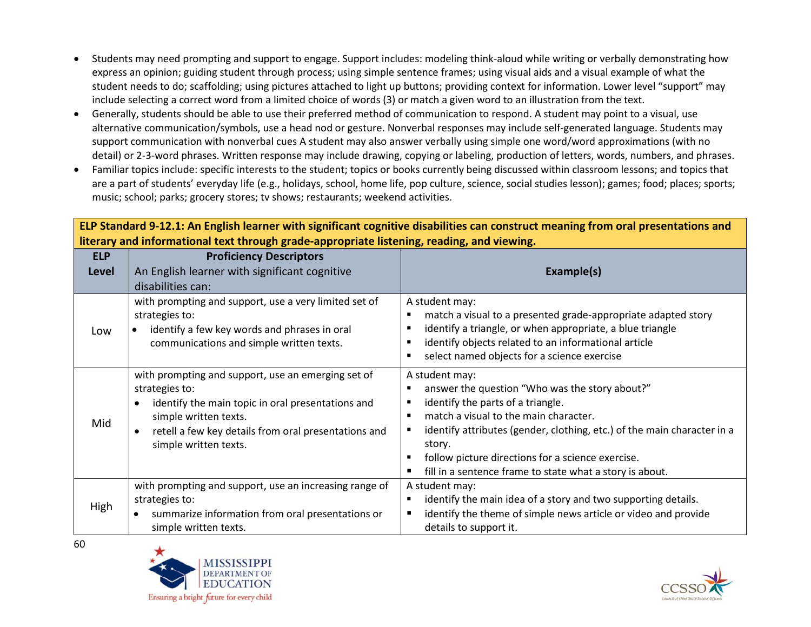- Students may need prompting and support to engage. Support includes: modeling think-aloud while writing or verbally demonstrating how express an opinion; guiding student through process; using simple sentence frames; using visual aids and a visual example of what the student needs to do; scaffolding; using pictures attached to light up buttons; providing context for information. Lower level "support" may include selecting a correct word from a limited choice of words (3) or match a given word to an illustration from the text.
- Generally, students should be able to use their preferred method of communication to respond. A student may point to a visual, use alternative communication/symbols, use a head nod or gesture. Nonverbal responses may include self-generated language. Students may support communication with nonverbal cues A student may also answer verbally using simple one word/word approximations (with no detail) or 2-3-word phrases. Written response may include drawing, copying or labeling, production of letters, words, numbers, and phrases.
- Familiar topics include: specific interests to the student; topics or books currently being discussed within classroom lessons; and topics that are a part of students' everyday life (e.g., holidays, school, home life, pop culture, science, social studies lesson); games; food; places; sports; music; school; parks; grocery stores; tv shows; restaurants; weekend activities.

|              | interary and informational text through grade-appropriate iisteming, reading, and viewing.                                                                                                                                          |                                                                                                                                                                                                                                                                                                                                                      |  |
|--------------|-------------------------------------------------------------------------------------------------------------------------------------------------------------------------------------------------------------------------------------|------------------------------------------------------------------------------------------------------------------------------------------------------------------------------------------------------------------------------------------------------------------------------------------------------------------------------------------------------|--|
| <b>ELP</b>   | <b>Proficiency Descriptors</b>                                                                                                                                                                                                      |                                                                                                                                                                                                                                                                                                                                                      |  |
| <b>Level</b> | An English learner with significant cognitive                                                                                                                                                                                       | Example(s)                                                                                                                                                                                                                                                                                                                                           |  |
|              | disabilities can:                                                                                                                                                                                                                   |                                                                                                                                                                                                                                                                                                                                                      |  |
| Low          | with prompting and support, use a very limited set of<br>strategies to:<br>identify a few key words and phrases in oral<br>communications and simple written texts.                                                                 | A student may:<br>match a visual to a presented grade-appropriate adapted story<br>identify a triangle, or when appropriate, a blue triangle<br>identify objects related to an informational article<br>select named objects for a science exercise                                                                                                  |  |
| Mid          | with prompting and support, use an emerging set of<br>strategies to:<br>identify the main topic in oral presentations and<br>simple written texts.<br>retell a few key details from oral presentations and<br>simple written texts. | A student may:<br>answer the question "Who was the story about?"<br>identify the parts of a triangle.<br>match a visual to the main character.<br>identify attributes (gender, clothing, etc.) of the main character in a<br>story.<br>follow picture directions for a science exercise.<br>fill in a sentence frame to state what a story is about. |  |
| High         | with prompting and support, use an increasing range of<br>strategies to:<br>summarize information from oral presentations or<br>simple written texts.                                                                               | A student may:<br>identify the main idea of a story and two supporting details.<br>п<br>identify the theme of simple news article or video and provide<br>details to support it.                                                                                                                                                                     |  |

**ELP Standard 9-12.1: An English learner with significant cognitive disabilities can construct meaning from oral presentations and literary and informational text through grade-appropriate listening, reading, and viewing.**



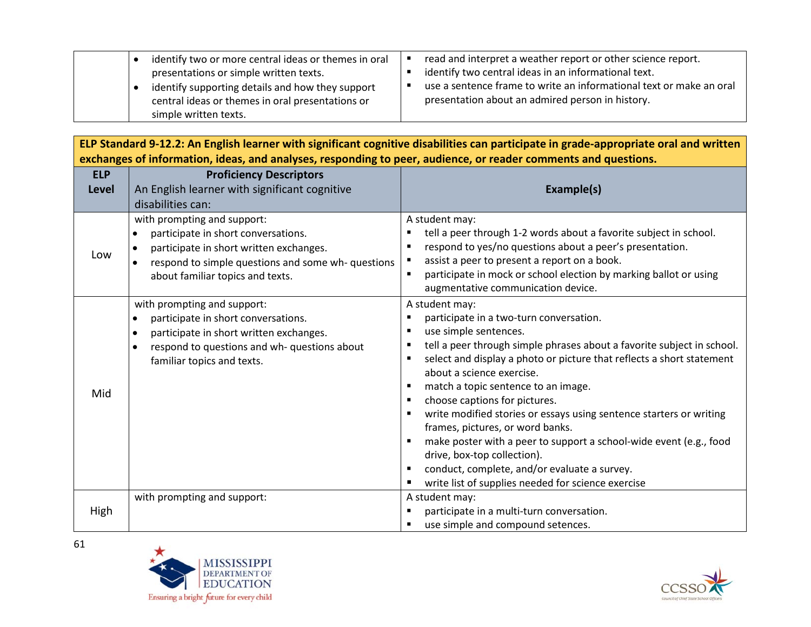|  | identify two or more central ideas or themes in oral | read and interpret a weather report or other science report.        |
|--|------------------------------------------------------|---------------------------------------------------------------------|
|  | presentations or simple written texts.               | identify two central ideas in an informational text.                |
|  | identify supporting details and how they support     | use a sentence frame to write an informational text or make an oral |
|  | central ideas or themes in oral presentations or     | presentation about an admired person in history.                    |
|  | simple written texts.                                |                                                                     |

**ELP Standard 9-12.2: An English learner with significant cognitive disabilities can participate in grade-appropriate oral and written exchanges of information, ideas, and analyses, responding to peer, audience, or reader comments and questions.**

| <b>ELP</b><br><b>Level</b> | <b>Proficiency Descriptors</b><br>An English learner with significant cognitive                                                                                                                                       | Example(s)                                                                                                                                                                                                                                                                                                                                                                                                                                                                                                                                                                                                                                                       |
|----------------------------|-----------------------------------------------------------------------------------------------------------------------------------------------------------------------------------------------------------------------|------------------------------------------------------------------------------------------------------------------------------------------------------------------------------------------------------------------------------------------------------------------------------------------------------------------------------------------------------------------------------------------------------------------------------------------------------------------------------------------------------------------------------------------------------------------------------------------------------------------------------------------------------------------|
|                            | disabilities can:                                                                                                                                                                                                     |                                                                                                                                                                                                                                                                                                                                                                                                                                                                                                                                                                                                                                                                  |
| Low                        | with prompting and support:<br>participate in short conversations.<br>participate in short written exchanges.<br>$\bullet$<br>respond to simple questions and some wh-questions<br>about familiar topics and texts.   | A student may:<br>tell a peer through 1-2 words about a favorite subject in school.<br>respond to yes/no questions about a peer's presentation.<br>assist a peer to present a report on a book.<br>participate in mock or school election by marking ballot or using<br>augmentative communication device.                                                                                                                                                                                                                                                                                                                                                       |
| Mid                        | with prompting and support:<br>participate in short conversations.<br>$\bullet$<br>participate in short written exchanges.<br>$\bullet$<br>respond to questions and wh- questions about<br>familiar topics and texts. | A student may:<br>participate in a two-turn conversation.<br>use simple sentences.<br>tell a peer through simple phrases about a favorite subject in school.<br>select and display a photo or picture that reflects a short statement<br>about a science exercise.<br>match a topic sentence to an image.<br>choose captions for pictures.<br>write modified stories or essays using sentence starters or writing<br>frames, pictures, or word banks.<br>make poster with a peer to support a school-wide event (e.g., food<br>drive, box-top collection).<br>conduct, complete, and/or evaluate a survey.<br>write list of supplies needed for science exercise |
| High                       | with prompting and support:                                                                                                                                                                                           | A student may:<br>participate in a multi-turn conversation.<br>use simple and compound setences.                                                                                                                                                                                                                                                                                                                                                                                                                                                                                                                                                                 |



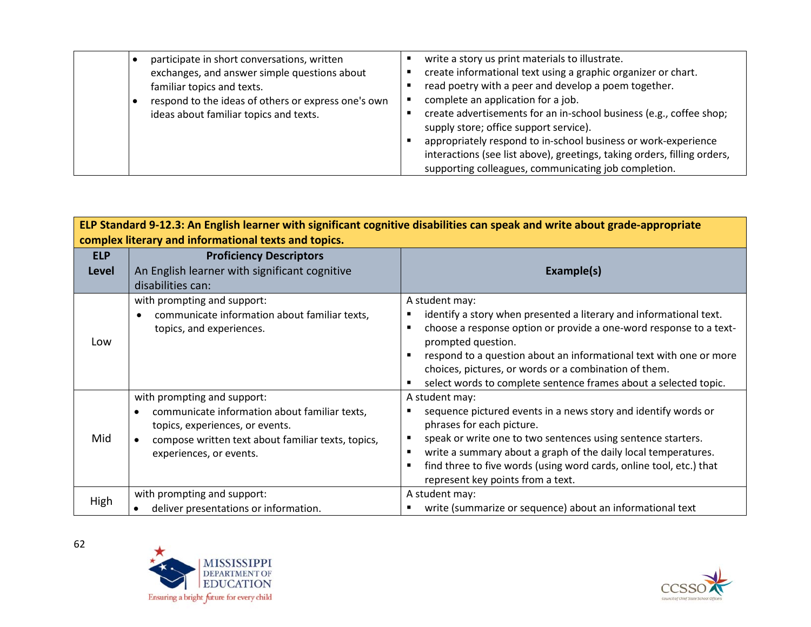| participate in short conversations, written         | write a story us print materials to illustrate.                                                                                                                                                    |
|-----------------------------------------------------|----------------------------------------------------------------------------------------------------------------------------------------------------------------------------------------------------|
| exchanges, and answer simple questions about        | create informational text using a graphic organizer or chart.                                                                                                                                      |
| familiar topics and texts.                          | read poetry with a peer and develop a poem together.                                                                                                                                               |
| respond to the ideas of others or express one's own | complete an application for a job.                                                                                                                                                                 |
| ideas about familiar topics and texts.              | create advertisements for an in-school business (e.g., coffee shop;<br>supply store; office support service).                                                                                      |
|                                                     | appropriately respond to in-school business or work-experience<br>interactions (see list above), greetings, taking orders, filling orders,<br>supporting colleagues, communicating job completion. |

| ELP Standard 9-12.3: An English learner with significant cognitive disabilities can speak and write about grade-appropriate<br>complex literary and informational texts and topics. |                                                    |                                                                     |  |
|-------------------------------------------------------------------------------------------------------------------------------------------------------------------------------------|----------------------------------------------------|---------------------------------------------------------------------|--|
| <b>ELP</b>                                                                                                                                                                          | <b>Proficiency Descriptors</b>                     |                                                                     |  |
| <b>Level</b>                                                                                                                                                                        | An English learner with significant cognitive      | Example(s)                                                          |  |
|                                                                                                                                                                                     | disabilities can:                                  |                                                                     |  |
|                                                                                                                                                                                     | with prompting and support:                        | A student may:                                                      |  |
|                                                                                                                                                                                     | communicate information about familiar texts,      | identify a story when presented a literary and informational text.  |  |
|                                                                                                                                                                                     | topics, and experiences.                           | choose a response option or provide a one-word response to a text-  |  |
| Low                                                                                                                                                                                 |                                                    | prompted question.                                                  |  |
|                                                                                                                                                                                     |                                                    | respond to a question about an informational text with one or more  |  |
|                                                                                                                                                                                     |                                                    | choices, pictures, or words or a combination of them.               |  |
|                                                                                                                                                                                     |                                                    | select words to complete sentence frames about a selected topic.    |  |
|                                                                                                                                                                                     | with prompting and support:                        | A student may:                                                      |  |
|                                                                                                                                                                                     | communicate information about familiar texts,      | sequence pictured events in a news story and identify words or      |  |
|                                                                                                                                                                                     | topics, experiences, or events.                    | phrases for each picture.                                           |  |
| Mid                                                                                                                                                                                 | compose written text about familiar texts, topics, | speak or write one to two sentences using sentence starters.        |  |
|                                                                                                                                                                                     | experiences, or events.                            | write a summary about a graph of the daily local temperatures.      |  |
|                                                                                                                                                                                     |                                                    | find three to five words (using word cards, online tool, etc.) that |  |
|                                                                                                                                                                                     |                                                    | represent key points from a text.                                   |  |
| High                                                                                                                                                                                | with prompting and support:                        | A student may:                                                      |  |
|                                                                                                                                                                                     | deliver presentations or information.              | write (summarize or sequence) about an informational text           |  |



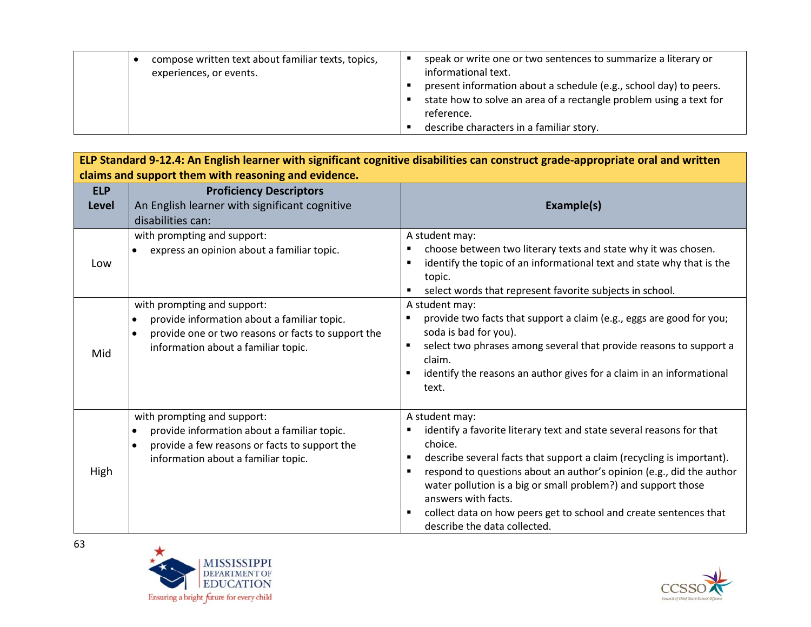|  | compose written text about familiar texts, topics,<br>experiences, or events. | speak or write one or two sentences to summarize a literary or<br>informational text.<br>present information about a schedule (e.g., school day) to peers.<br>state how to solve an area of a rectangle problem using a text for<br>reference.<br>describe characters in a familiar story. |
|--|-------------------------------------------------------------------------------|--------------------------------------------------------------------------------------------------------------------------------------------------------------------------------------------------------------------------------------------------------------------------------------------|
|--|-------------------------------------------------------------------------------|--------------------------------------------------------------------------------------------------------------------------------------------------------------------------------------------------------------------------------------------------------------------------------------------|

| ELP Standard 9-12.4: An English learner with significant cognitive disabilities can construct grade-appropriate oral and written |                                                                                                                                                                                                   |                                                                                                                                                                                                                                                                                                                                                                                                                                                                |  |
|----------------------------------------------------------------------------------------------------------------------------------|---------------------------------------------------------------------------------------------------------------------------------------------------------------------------------------------------|----------------------------------------------------------------------------------------------------------------------------------------------------------------------------------------------------------------------------------------------------------------------------------------------------------------------------------------------------------------------------------------------------------------------------------------------------------------|--|
| claims and support them with reasoning and evidence.                                                                             |                                                                                                                                                                                                   |                                                                                                                                                                                                                                                                                                                                                                                                                                                                |  |
| <b>ELP</b><br><b>Level</b>                                                                                                       | <b>Proficiency Descriptors</b><br>An English learner with significant cognitive<br>disabilities can:                                                                                              | Example(s)                                                                                                                                                                                                                                                                                                                                                                                                                                                     |  |
| Low                                                                                                                              | with prompting and support:<br>express an opinion about a familiar topic.                                                                                                                         | A student may:<br>choose between two literary texts and state why it was chosen.<br>п<br>identify the topic of an informational text and state why that is the<br>topic.<br>select words that represent favorite subjects in school.                                                                                                                                                                                                                           |  |
| Mid                                                                                                                              | with prompting and support:<br>provide information about a familiar topic.<br>$\bullet$<br>provide one or two reasons or facts to support the<br>$\bullet$<br>information about a familiar topic. | A student may:<br>provide two facts that support a claim (e.g., eggs are good for you;<br>soda is bad for you).<br>select two phrases among several that provide reasons to support a<br>٠<br>claim.<br>identify the reasons an author gives for a claim in an informational<br>text.                                                                                                                                                                          |  |
| High                                                                                                                             | with prompting and support:<br>provide information about a familiar topic.<br>$\bullet$<br>provide a few reasons or facts to support the<br>$\bullet$<br>information about a familiar topic.      | A student may:<br>identify a favorite literary text and state several reasons for that<br>choice.<br>describe several facts that support a claim (recycling is important).<br>п<br>respond to questions about an author's opinion (e.g., did the author<br>п<br>water pollution is a big or small problem?) and support those<br>answers with facts.<br>collect data on how peers get to school and create sentences that<br>٠<br>describe the data collected. |  |



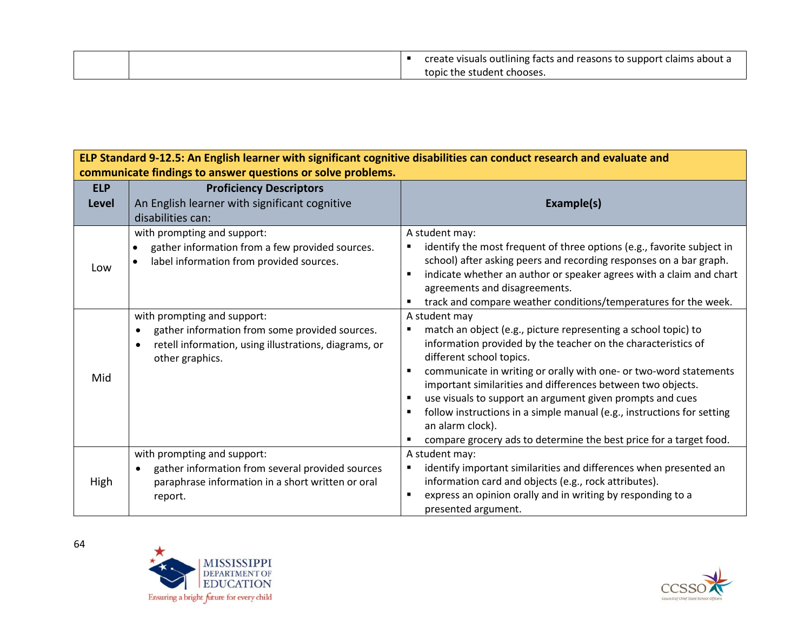|  | create visuals outlining facts and reasons to support claims about a |
|--|----------------------------------------------------------------------|
|  | topic the student chooses.                                           |

| ELP Standard 9-12.5: An English learner with significant cognitive disabilities can conduct research and evaluate and |                                                                                                                                                                        |                                                                                                                                                                                                                                                                                                                                                                                                                                                                                                                                                   |  |
|-----------------------------------------------------------------------------------------------------------------------|------------------------------------------------------------------------------------------------------------------------------------------------------------------------|---------------------------------------------------------------------------------------------------------------------------------------------------------------------------------------------------------------------------------------------------------------------------------------------------------------------------------------------------------------------------------------------------------------------------------------------------------------------------------------------------------------------------------------------------|--|
| communicate findings to answer questions or solve problems.                                                           |                                                                                                                                                                        |                                                                                                                                                                                                                                                                                                                                                                                                                                                                                                                                                   |  |
| <b>ELP</b>                                                                                                            | <b>Proficiency Descriptors</b>                                                                                                                                         |                                                                                                                                                                                                                                                                                                                                                                                                                                                                                                                                                   |  |
| Level                                                                                                                 | An English learner with significant cognitive                                                                                                                          | Example(s)                                                                                                                                                                                                                                                                                                                                                                                                                                                                                                                                        |  |
|                                                                                                                       | disabilities can:                                                                                                                                                      |                                                                                                                                                                                                                                                                                                                                                                                                                                                                                                                                                   |  |
| Low                                                                                                                   | with prompting and support:<br>gather information from a few provided sources.<br>label information from provided sources.                                             | A student may:<br>identify the most frequent of three options (e.g., favorite subject in<br>school) after asking peers and recording responses on a bar graph.<br>indicate whether an author or speaker agrees with a claim and chart<br>agreements and disagreements.<br>track and compare weather conditions/temperatures for the week.                                                                                                                                                                                                         |  |
| Mid                                                                                                                   | with prompting and support:<br>gather information from some provided sources.<br>retell information, using illustrations, diagrams, or<br>$\bullet$<br>other graphics. | A student may<br>match an object (e.g., picture representing a school topic) to<br>information provided by the teacher on the characteristics of<br>different school topics.<br>communicate in writing or orally with one- or two-word statements<br>important similarities and differences between two objects.<br>use visuals to support an argument given prompts and cues<br>follow instructions in a simple manual (e.g., instructions for setting<br>an alarm clock).<br>compare grocery ads to determine the best price for a target food. |  |
| High                                                                                                                  | with prompting and support:<br>gather information from several provided sources<br>paraphrase information in a short written or oral<br>report.                        | A student may:<br>identify important similarities and differences when presented an<br>information card and objects (e.g., rock attributes).<br>express an opinion orally and in writing by responding to a<br>presented argument.                                                                                                                                                                                                                                                                                                                |  |



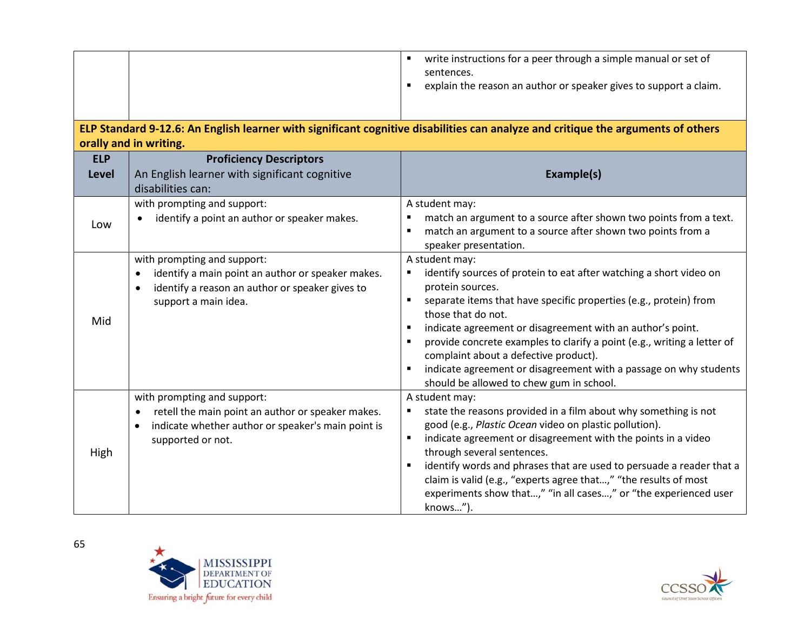| <b>ELP</b><br><b>Level</b> | orally and in writing.<br><b>Proficiency Descriptors</b><br>An English learner with significant cognitive                                                                             | write instructions for a peer through a simple manual or set of<br>sentences.<br>explain the reason an author or speaker gives to support a claim.<br>ELP Standard 9-12.6: An English learner with significant cognitive disabilities can analyze and critique the arguments of others<br>Example(s)                                                                                                                                                                                                   |
|----------------------------|---------------------------------------------------------------------------------------------------------------------------------------------------------------------------------------|--------------------------------------------------------------------------------------------------------------------------------------------------------------------------------------------------------------------------------------------------------------------------------------------------------------------------------------------------------------------------------------------------------------------------------------------------------------------------------------------------------|
| Low                        | disabilities can:<br>with prompting and support:<br>identify a point an author or speaker makes.                                                                                      | A student may:<br>match an argument to a source after shown two points from a text.<br>match an argument to a source after shown two points from a<br>speaker presentation.                                                                                                                                                                                                                                                                                                                            |
| Mid                        | with prompting and support:<br>identify a main point an author or speaker makes.<br>$\bullet$<br>identify a reason an author or speaker gives to<br>$\bullet$<br>support a main idea. | A student may:<br>identify sources of protein to eat after watching a short video on<br>protein sources.<br>separate items that have specific properties (e.g., protein) from<br>those that do not.<br>indicate agreement or disagreement with an author's point.<br>provide concrete examples to clarify a point (e.g., writing a letter of<br>complaint about a defective product).<br>indicate agreement or disagreement with a passage on why students<br>should be allowed to chew gum in school. |
| High                       | with prompting and support:<br>retell the main point an author or speaker makes.<br>indicate whether author or speaker's main point is<br>supported or not.                           | A student may:<br>state the reasons provided in a film about why something is not<br>good (e.g., Plastic Ocean video on plastic pollution).<br>indicate agreement or disagreement with the points in a video<br>through several sentences.<br>identify words and phrases that are used to persuade a reader that a<br>claim is valid (e.g., "experts agree that," "the results of most<br>experiments show that," "in all cases," or "the experienced user<br>knows").                                 |



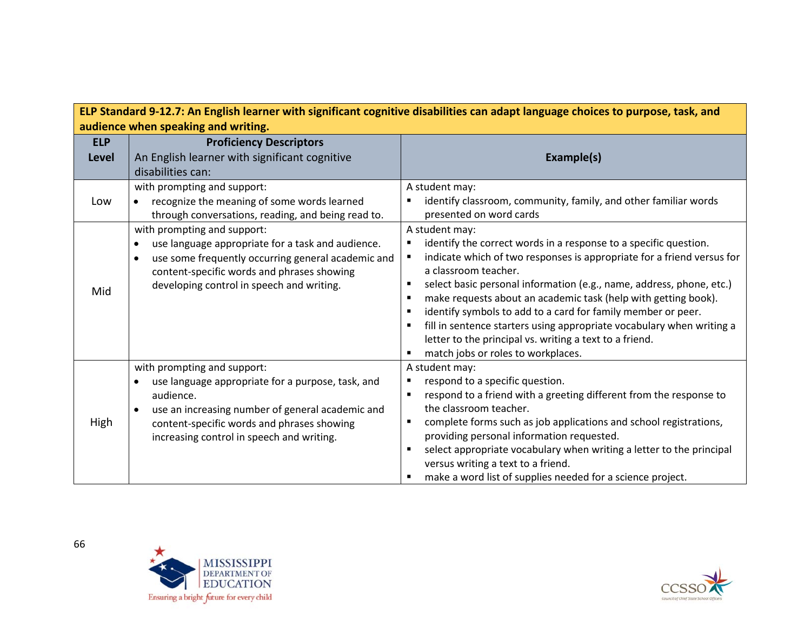| ELP Standard 9-12.7: An English learner with significant cognitive disabilities can adapt language choices to purpose, task, and |                                                                                                                                                                                                                                              |                                                                                                                                                                                                                                                                                                                                                                                                                                                                                                                                                                                                      |  |
|----------------------------------------------------------------------------------------------------------------------------------|----------------------------------------------------------------------------------------------------------------------------------------------------------------------------------------------------------------------------------------------|------------------------------------------------------------------------------------------------------------------------------------------------------------------------------------------------------------------------------------------------------------------------------------------------------------------------------------------------------------------------------------------------------------------------------------------------------------------------------------------------------------------------------------------------------------------------------------------------------|--|
| audience when speaking and writing.                                                                                              |                                                                                                                                                                                                                                              |                                                                                                                                                                                                                                                                                                                                                                                                                                                                                                                                                                                                      |  |
| <b>ELP</b><br>Level                                                                                                              | <b>Proficiency Descriptors</b><br>An English learner with significant cognitive<br>disabilities can:                                                                                                                                         | Example(s)                                                                                                                                                                                                                                                                                                                                                                                                                                                                                                                                                                                           |  |
| Low                                                                                                                              | with prompting and support:<br>recognize the meaning of some words learned<br>through conversations, reading, and being read to.                                                                                                             | A student may:<br>identify classroom, community, family, and other familiar words<br>presented on word cards                                                                                                                                                                                                                                                                                                                                                                                                                                                                                         |  |
| Mid                                                                                                                              | with prompting and support:<br>use language appropriate for a task and audience.<br>use some frequently occurring general academic and<br>content-specific words and phrases showing<br>developing control in speech and writing.            | A student may:<br>identify the correct words in a response to a specific question.<br>٠<br>indicate which of two responses is appropriate for a friend versus for<br>a classroom teacher.<br>select basic personal information (e.g., name, address, phone, etc.)<br>make requests about an academic task (help with getting book).<br>identify symbols to add to a card for family member or peer.<br>$\blacksquare$<br>fill in sentence starters using appropriate vocabulary when writing a<br>letter to the principal vs. writing a text to a friend.<br>match jobs or roles to workplaces.<br>٠ |  |
| High                                                                                                                             | with prompting and support:<br>use language appropriate for a purpose, task, and<br>audience.<br>use an increasing number of general academic and<br>content-specific words and phrases showing<br>increasing control in speech and writing. | A student may:<br>respond to a specific question.<br>п<br>respond to a friend with a greeting different from the response to<br>the classroom teacher.<br>complete forms such as job applications and school registrations,<br>providing personal information requested.<br>select appropriate vocabulary when writing a letter to the principal<br>٠<br>versus writing a text to a friend.<br>make a word list of supplies needed for a science project.<br>٠                                                                                                                                       |  |



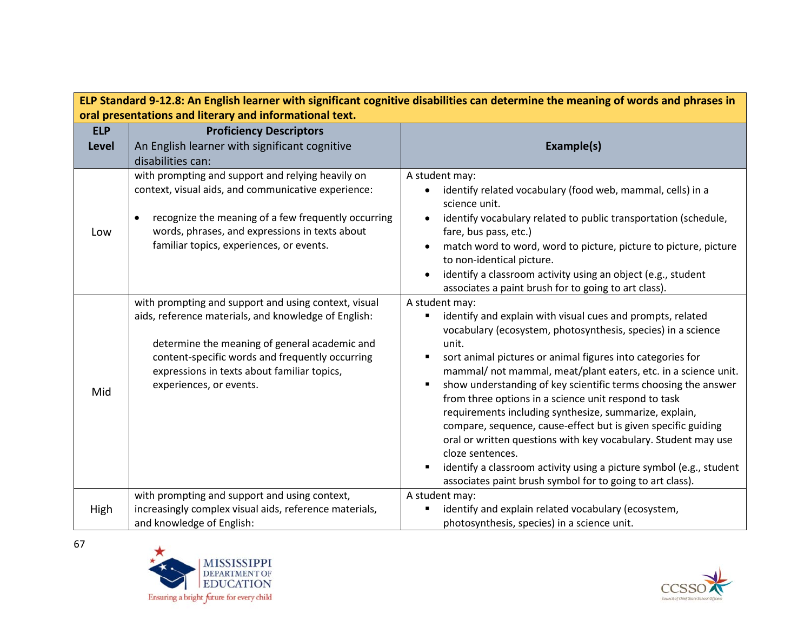| ELP Standard 9-12.8: An English learner with significant cognitive disabilities can determine the meaning of words and phrases in |                                                                                                                                                                                                                                                                                            |                                                                                                                                                                                                                                                                                                                                                                                                                                                                                                                                                                                                                                                                                                                                                                      |  |
|-----------------------------------------------------------------------------------------------------------------------------------|--------------------------------------------------------------------------------------------------------------------------------------------------------------------------------------------------------------------------------------------------------------------------------------------|----------------------------------------------------------------------------------------------------------------------------------------------------------------------------------------------------------------------------------------------------------------------------------------------------------------------------------------------------------------------------------------------------------------------------------------------------------------------------------------------------------------------------------------------------------------------------------------------------------------------------------------------------------------------------------------------------------------------------------------------------------------------|--|
| oral presentations and literary and informational text.                                                                           |                                                                                                                                                                                                                                                                                            |                                                                                                                                                                                                                                                                                                                                                                                                                                                                                                                                                                                                                                                                                                                                                                      |  |
| <b>ELP</b>                                                                                                                        | <b>Proficiency Descriptors</b>                                                                                                                                                                                                                                                             |                                                                                                                                                                                                                                                                                                                                                                                                                                                                                                                                                                                                                                                                                                                                                                      |  |
| <b>Level</b>                                                                                                                      | An English learner with significant cognitive                                                                                                                                                                                                                                              | Example(s)                                                                                                                                                                                                                                                                                                                                                                                                                                                                                                                                                                                                                                                                                                                                                           |  |
|                                                                                                                                   | disabilities can:                                                                                                                                                                                                                                                                          |                                                                                                                                                                                                                                                                                                                                                                                                                                                                                                                                                                                                                                                                                                                                                                      |  |
| Low                                                                                                                               | with prompting and support and relying heavily on<br>context, visual aids, and communicative experience:<br>recognize the meaning of a few frequently occurring<br>words, phrases, and expressions in texts about<br>familiar topics, experiences, or events.                              | A student may:<br>identify related vocabulary (food web, mammal, cells) in a<br>science unit.<br>identify vocabulary related to public transportation (schedule,<br>fare, bus pass, etc.)<br>match word to word, word to picture, picture to picture, picture<br>to non-identical picture.<br>identify a classroom activity using an object (e.g., student                                                                                                                                                                                                                                                                                                                                                                                                           |  |
|                                                                                                                                   |                                                                                                                                                                                                                                                                                            | associates a paint brush for to going to art class).                                                                                                                                                                                                                                                                                                                                                                                                                                                                                                                                                                                                                                                                                                                 |  |
| Mid                                                                                                                               | with prompting and support and using context, visual<br>aids, reference materials, and knowledge of English:<br>determine the meaning of general academic and<br>content-specific words and frequently occurring<br>expressions in texts about familiar topics,<br>experiences, or events. | A student may:<br>identify and explain with visual cues and prompts, related<br>vocabulary (ecosystem, photosynthesis, species) in a science<br>unit.<br>sort animal pictures or animal figures into categories for<br>mammal/ not mammal, meat/plant eaters, etc. in a science unit.<br>show understanding of key scientific terms choosing the answer<br>from three options in a science unit respond to task<br>requirements including synthesize, summarize, explain,<br>compare, sequence, cause-effect but is given specific guiding<br>oral or written questions with key vocabulary. Student may use<br>cloze sentences.<br>identify a classroom activity using a picture symbol (e.g., student<br>associates paint brush symbol for to going to art class). |  |
| High                                                                                                                              | with prompting and support and using context,<br>increasingly complex visual aids, reference materials,<br>and knowledge of English:                                                                                                                                                       | A student may:<br>identify and explain related vocabulary (ecosystem,<br>photosynthesis, species) in a science unit.                                                                                                                                                                                                                                                                                                                                                                                                                                                                                                                                                                                                                                                 |  |



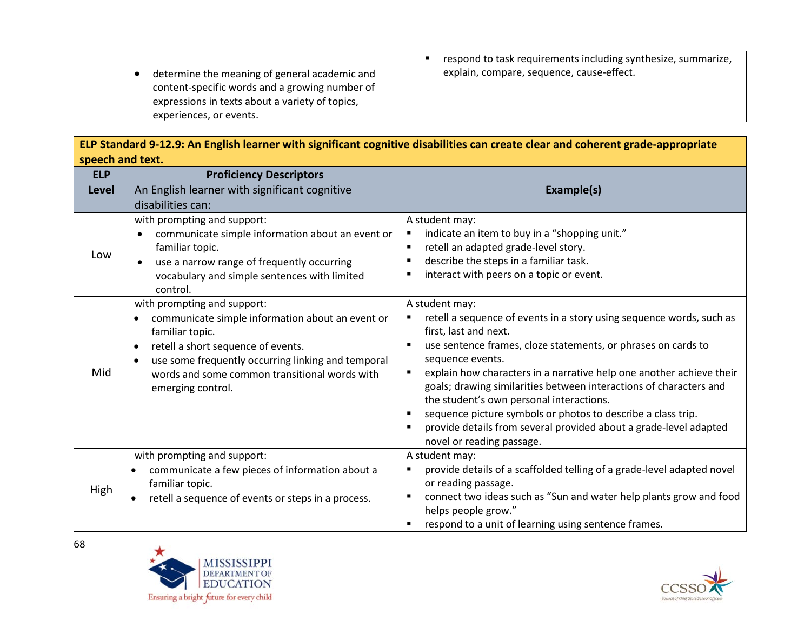| determine the meaning of general academic and<br>content-specific words and a growing number of<br>expressions in texts about a variety of topics,<br>experiences, or events. | respond to task requirements including synthesize, summarize,<br>explain, compare, sequence, cause-effect. |
|-------------------------------------------------------------------------------------------------------------------------------------------------------------------------------|------------------------------------------------------------------------------------------------------------|
|-------------------------------------------------------------------------------------------------------------------------------------------------------------------------------|------------------------------------------------------------------------------------------------------------|

**ELP Standard 9-12.9: An English learner with significant cognitive disabilities can create clear and coherent grade-appropriate speech and text.**

| <b>ELP</b>   | <b>Proficiency Descriptors</b>                                                                                                                                                                                                                                                    |                                                                                                                                                                                                                                                                                                                                                                                                                                                                                                                                                                            |
|--------------|-----------------------------------------------------------------------------------------------------------------------------------------------------------------------------------------------------------------------------------------------------------------------------------|----------------------------------------------------------------------------------------------------------------------------------------------------------------------------------------------------------------------------------------------------------------------------------------------------------------------------------------------------------------------------------------------------------------------------------------------------------------------------------------------------------------------------------------------------------------------------|
| <b>Level</b> | An English learner with significant cognitive                                                                                                                                                                                                                                     | Example(s)                                                                                                                                                                                                                                                                                                                                                                                                                                                                                                                                                                 |
|              | disabilities can:                                                                                                                                                                                                                                                                 |                                                                                                                                                                                                                                                                                                                                                                                                                                                                                                                                                                            |
| Low          | with prompting and support:<br>communicate simple information about an event or<br>$\bullet$<br>familiar topic.<br>use a narrow range of frequently occurring<br>$\bullet$<br>vocabulary and simple sentences with limited<br>control.                                            | A student may:<br>indicate an item to buy in a "shopping unit."<br>٠<br>retell an adapted grade-level story.<br>$\blacksquare$<br>describe the steps in a familiar task.<br>$\blacksquare$<br>interact with peers on a topic or event.<br>٠                                                                                                                                                                                                                                                                                                                                |
| Mid          | with prompting and support:<br>communicate simple information about an event or<br>familiar topic.<br>retell a short sequence of events.<br>$\bullet$<br>use some frequently occurring linking and temporal<br>words and some common transitional words with<br>emerging control. | A student may:<br>retell a sequence of events in a story using sequence words, such as<br>first, last and next.<br>use sentence frames, cloze statements, or phrases on cards to<br>٠<br>sequence events.<br>explain how characters in a narrative help one another achieve their<br>٠<br>goals; drawing similarities between interactions of characters and<br>the student's own personal interactions.<br>sequence picture symbols or photos to describe a class trip.<br>provide details from several provided about a grade-level adapted<br>novel or reading passage. |
| High         | with prompting and support:<br>communicate a few pieces of information about a<br>$\bullet$<br>familiar topic.<br>retell a sequence of events or steps in a process.<br>$\bullet$                                                                                                 | A student may:<br>provide details of a scaffolded telling of a grade-level adapted novel<br>٠<br>or reading passage.<br>connect two ideas such as "Sun and water help plants grow and food<br>٠<br>helps people grow."<br>respond to a unit of learning using sentence frames.                                                                                                                                                                                                                                                                                             |



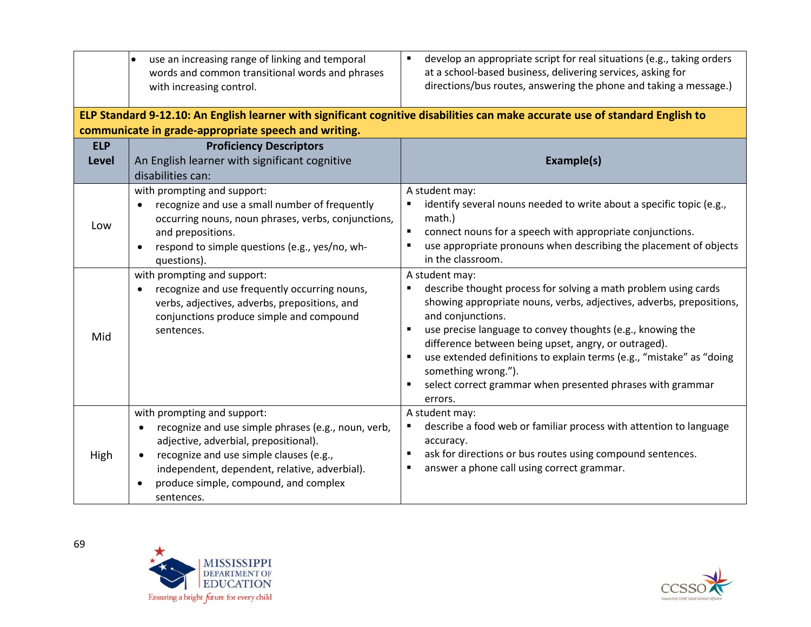|                     | use an increasing range of linking and temporal<br>words and common transitional words and phrases<br>with increasing control.                                                                                                                                                                                                                                                                                                                               | develop an appropriate script for real situations (e.g., taking orders<br>٠<br>at a school-based business, delivering services, asking for<br>directions/bus routes, answering the phone and taking a message.)                                                                                                                                                                                                                                                                                                                                                                                                                                                                                                                                                                                        |
|---------------------|--------------------------------------------------------------------------------------------------------------------------------------------------------------------------------------------------------------------------------------------------------------------------------------------------------------------------------------------------------------------------------------------------------------------------------------------------------------|--------------------------------------------------------------------------------------------------------------------------------------------------------------------------------------------------------------------------------------------------------------------------------------------------------------------------------------------------------------------------------------------------------------------------------------------------------------------------------------------------------------------------------------------------------------------------------------------------------------------------------------------------------------------------------------------------------------------------------------------------------------------------------------------------------|
|                     | communicate in grade-appropriate speech and writing.                                                                                                                                                                                                                                                                                                                                                                                                         | ELP Standard 9-12.10: An English learner with significant cognitive disabilities can make accurate use of standard English to                                                                                                                                                                                                                                                                                                                                                                                                                                                                                                                                                                                                                                                                          |
| <b>ELP</b><br>Level | <b>Proficiency Descriptors</b><br>An English learner with significant cognitive<br>disabilities can:                                                                                                                                                                                                                                                                                                                                                         | Example(s)                                                                                                                                                                                                                                                                                                                                                                                                                                                                                                                                                                                                                                                                                                                                                                                             |
| Low<br>Mid          | with prompting and support:<br>recognize and use a small number of frequently<br>$\bullet$<br>occurring nouns, noun phrases, verbs, conjunctions,<br>and prepositions.<br>respond to simple questions (e.g., yes/no, wh-<br>$\bullet$<br>questions).<br>with prompting and support:<br>recognize and use frequently occurring nouns,<br>$\bullet$<br>verbs, adjectives, adverbs, prepositions, and<br>conjunctions produce simple and compound<br>sentences. | A student may:<br>identify several nouns needed to write about a specific topic (e.g.,<br>$\blacksquare$<br>math.)<br>connect nouns for a speech with appropriate conjunctions.<br>$\blacksquare$<br>use appropriate pronouns when describing the placement of objects<br>٠<br>in the classroom.<br>A student may:<br>describe thought process for solving a math problem using cards<br>٠<br>showing appropriate nouns, verbs, adjectives, adverbs, prepositions,<br>and conjunctions.<br>use precise language to convey thoughts (e.g., knowing the<br>٠<br>difference between being upset, angry, or outraged).<br>use extended definitions to explain terms (e.g., "mistake" as "doing<br>$\blacksquare$<br>something wrong.").<br>select correct grammar when presented phrases with grammar<br>٠ |
| High                | with prompting and support:<br>recognize and use simple phrases (e.g., noun, verb,<br>adjective, adverbial, prepositional).<br>recognize and use simple clauses (e.g.,<br>independent, dependent, relative, adverbial).<br>produce simple, compound, and complex<br>$\bullet$<br>sentences.                                                                                                                                                                  | errors.<br>A student may:<br>describe a food web or familiar process with attention to language<br>accuracy.<br>ask for directions or bus routes using compound sentences.<br>٠<br>answer a phone call using correct grammar.                                                                                                                                                                                                                                                                                                                                                                                                                                                                                                                                                                          |



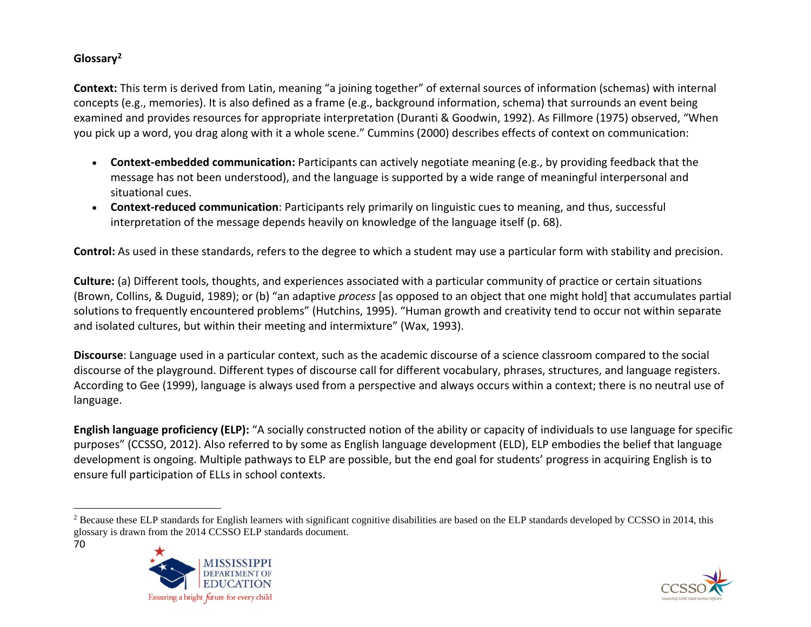## <span id="page-69-0"></span>**Glossary[2](#page-69-0)**

**Context:** This term is derived from Latin, meaning "a joining together" of external sources of information (schemas) with internal concepts (e.g., memories). It is also defined as a frame (e.g., background information, schema) that surrounds an event being examined and provides resources for appropriate interpretation (Duranti & Goodwin, 1992). As Fillmore (1975) observed, "When you pick up a word, you drag along with it a whole scene." Cummins (2000) describes effects of context on communication:

- **Context-embedded communication:** Participants can actively negotiate meaning (e.g., by providing feedback that the message has not been understood), and the language is supported by a wide range of meaningful interpersonal and situational cues.
- **Context-reduced communication**: Participants rely primarily on linguistic cues to meaning, and thus, successful interpretation of the message depends heavily on knowledge of the language itself (p. 68).

**Control:** As used in these standards, refers to the degree to which a student may use a particular form with stability and precision.

**Culture:** (a) Different tools, thoughts, and experiences associated with a particular community of practice or certain situations (Brown, Collins, & Duguid, 1989); or (b) "an adaptive *process* [as opposed to an object that one might hold] that accumulates partial solutions to frequently encountered problems" (Hutchins, 1995). "Human growth and creativity tend to occur not within separate and isolated cultures, but within their meeting and intermixture" (Wax, 1993).

**Discourse**: Language used in a particular context, such as the academic discourse of a science classroom compared to the social discourse of the playground. Different types of discourse call for different vocabulary, phrases, structures, and language registers. According to Gee (1999), language is always used from a perspective and always occurs within a context; there is no neutral use of language.

**English language proficiency (ELP):** "A socially constructed notion of the ability or capacity of individuals to use language for specific purposes" (CCSSO, 2012). Also referred to by some as English language development (ELD), ELP embodies the belief that language development is ongoing. Multiple pathways to ELP are possible, but the end goal for students' progress in acquiring English is to ensure full participation of ELLs in school contexts.

**EDUCATION** 

Ensuring a bright future for every child

<sup>70</sup> <sup>2</sup> Because these ELP standards for English learners with significant cognitive disabilities are based on the ELP standards developed by CCSSO in 2014, this glossary is drawn from the 2014 CCSSO ELP standards document.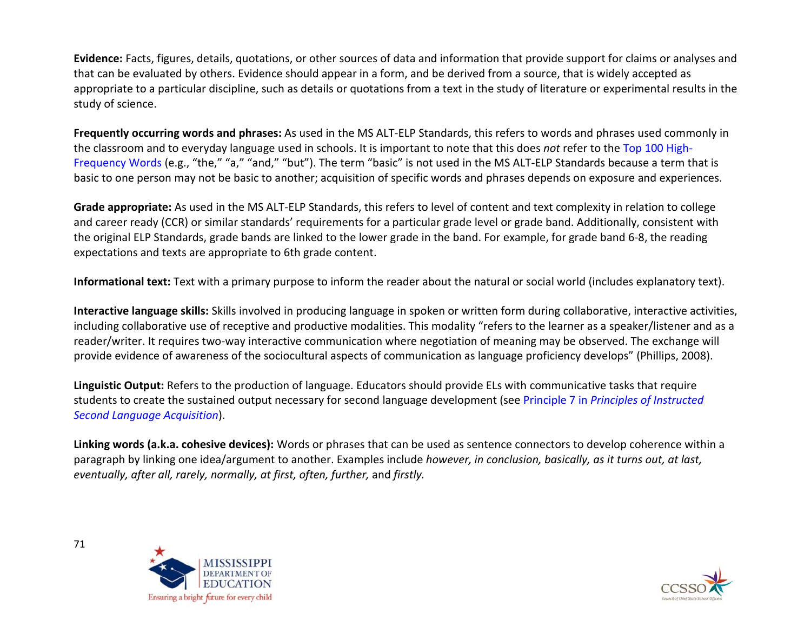**Evidence:** Facts, figures, details, quotations, or other sources of data and information that provide support for claims or analyses and that can be evaluated by others. Evidence should appear in a form, and be derived from a source, that is widely accepted as appropriate to a particular discipline, such as details or quotations from a text in the study of literature or experimental results in the study of science.

**Frequently occurring words and phrases:** As used in the MS ALT-ELP Standards, this refers to words and phrases used commonly in the classroom and to everyday language used in schools. It is important to note that this does *not* refer to the Top 100 High-Frequency Words (e.g., "the," "a," "and," "but"). The term "basic" is not used in the MS ALT-ELP Standards because a term that is basic to one person may not be basic to another; acquisition of specific words and phrases depends on exposure and experiences.

**Grade appropriate:** As used in the MS ALT-ELP Standards, this refers to level of content and text complexity in relation to college and career ready (CCR) or similar standards' requirements for a particular grade level or grade band. Additionally, consistent with the original ELP Standards, grade bands are linked to the lower grade in the band. For example, for grade band 6-8, the reading expectations and texts are appropriate to 6th grade content.

**Informational text:** Text with a primary purpose to inform the reader about the natural or social world (includes explanatory text).

**Interactive language skills:** Skills involved in producing language in spoken or written form during collaborative, interactive activities, including collaborative use of receptive and productive modalities. This modality "refers to the learner as a speaker/listener and as a reader/writer. It requires two-way interactive communication where negotiation of meaning may be observed. The exchange will provide evidence of awareness of the sociocultural aspects of communication as language proficiency develops" (Phillips, 2008).

**Linguistic Output:** Refers to the production of language. Educators should provide ELs with communicative tasks that require students to create the sustained output necessary for second language development (see Principle 7 in *Principles of Instructed Second Language Acquisition*).

**Linking words (a.k.a. cohesive devices):** Words or phrases that can be used as sentence connectors to develop coherence within a paragraph by linking one idea/argument to another. Examples include *however, in conclusion, basically, as it turns out, at last, eventually, after all, rarely, normally, at first, often, further,* and *firstly.* 



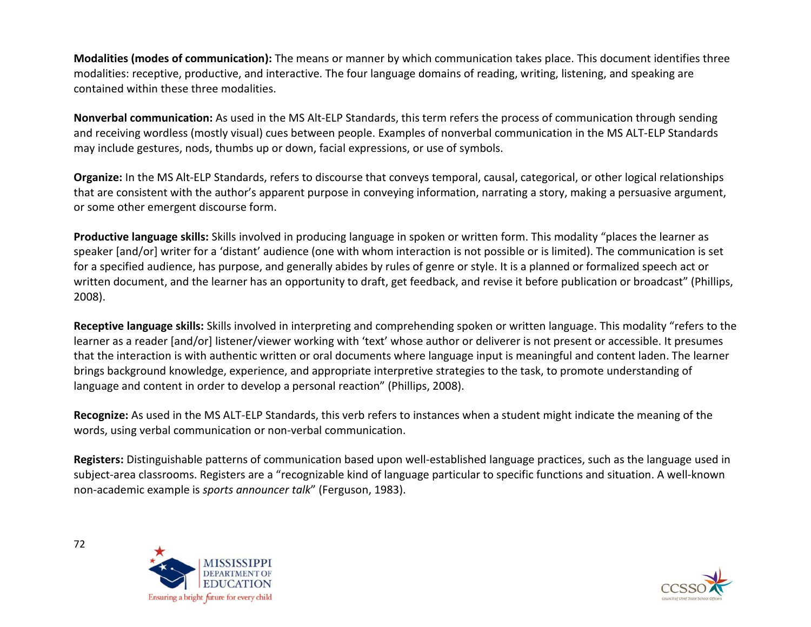**Modalities (modes of communication):** The means or manner by which communication takes place. This document identifies three modalities: receptive, productive, and interactive. The four language domains of reading, writing, listening, and speaking are contained within these three modalities.

**Nonverbal communication:** As used in the MS Alt-ELP Standards, this term refers the process of communication through sending and receiving wordless (mostly visual) cues between people. Examples of nonverbal communication in the MS ALT-ELP Standards may include gestures, nods, thumbs up or down, facial expressions, or use of symbols.

**Organize:** In the MS Alt-ELP Standards, refers to discourse that conveys temporal, causal, categorical, or other logical relationships that are consistent with the author's apparent purpose in conveying information, narrating a story, making a persuasive argument, or some other emergent discourse form.

**Productive language skills:** Skills involved in producing language in spoken or written form. This modality "places the learner as speaker [and/or] writer for a 'distant' audience (one with whom interaction is not possible or is limited). The communication is set for a specified audience, has purpose, and generally abides by rules of genre or style. It is a planned or formalized speech act or written document, and the learner has an opportunity to draft, get feedback, and revise it before publication or broadcast" (Phillips, 2008).

**Receptive language skills:** Skills involved in interpreting and comprehending spoken or written language. This modality "refers to the learner as a reader [and/or] listener/viewer working with 'text' whose author or deliverer is not present or accessible. It presumes that the interaction is with authentic written or oral documents where language input is meaningful and content laden. The learner brings background knowledge, experience, and appropriate interpretive strategies to the task, to promote understanding of language and content in order to develop a personal reaction" (Phillips, 2008).

**Recognize:** As used in the MS ALT-ELP Standards, this verb refers to instances when a student might indicate the meaning of the words, using verbal communication or non-verbal communication.

**Registers:** Distinguishable patterns of communication based upon well-established language practices, such as the language used in subject-area classrooms. Registers are a "recognizable kind of language particular to specific functions and situation. A well-known non-academic example is *sports announcer talk*" (Ferguson, 1983).



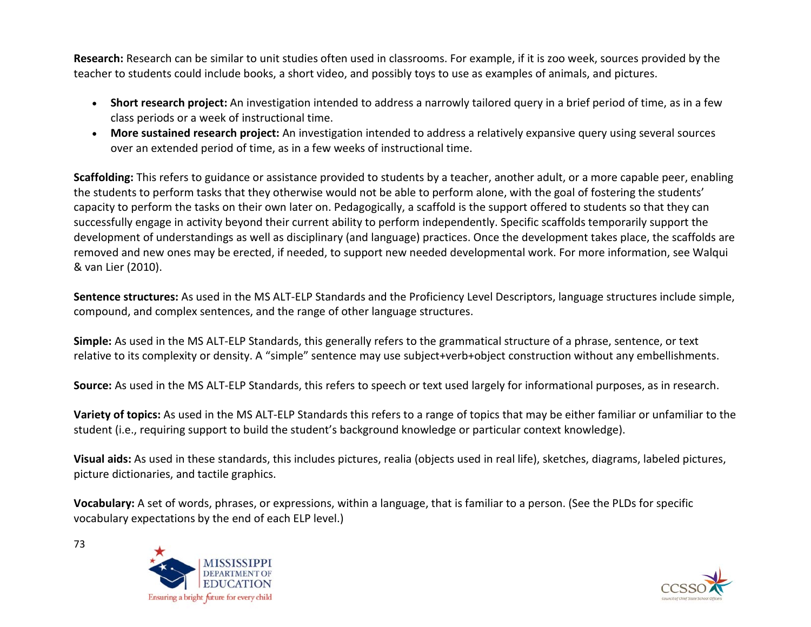**Research:** Research can be similar to unit studies often used in classrooms. For example, if it is zoo week, sources provided by the teacher to students could include books, a short video, and possibly toys to use as examples of animals, and pictures.

- **Short research project:** An investigation intended to address a narrowly tailored query in a brief period of time, as in a few class periods or a week of instructional time.
- **More sustained research project:** An investigation intended to address a relatively expansive query using several sources over an extended period of time, as in a few weeks of instructional time.

**Scaffolding:** This refers to guidance or assistance provided to students by a teacher, another adult, or a more capable peer, enabling the students to perform tasks that they otherwise would not be able to perform alone, with the goal of fostering the students' capacity to perform the tasks on their own later on. Pedagogically, a scaffold is the support offered to students so that they can successfully engage in activity beyond their current ability to perform independently. Specific scaffolds temporarily support the development of understandings as well as disciplinary (and language) practices. Once the development takes place, the scaffolds are removed and new ones may be erected, if needed, to support new needed developmental work. For more information, see Walqui & van Lier (2010).

**Sentence structures:** As used in the MS ALT-ELP Standards and the Proficiency Level Descriptors, language structures include simple, compound, and complex sentences, and the range of other language structures.

**Simple:** As used in the MS ALT-ELP Standards, this generally refers to the grammatical structure of a phrase, sentence, or text relative to its complexity or density. A "simple" sentence may use subject+verb+object construction without any embellishments.

**Source:** As used in the MS ALT-ELP Standards, this refers to speech or text used largely for informational purposes, as in research.

**Variety of topics:** As used in the MS ALT-ELP Standards this refers to a range of topics that may be either familiar or unfamiliar to the student (i.e., requiring support to build the student's background knowledge or particular context knowledge).

**Visual aids:** As used in these standards, this includes pictures, realia (objects used in real life), sketches, diagrams, labeled pictures, picture dictionaries, and tactile graphics.

**Vocabulary:** A set of words, phrases, or expressions, within a language, that is familiar to a person. (See the PLDs for specific vocabulary expectations by the end of each ELP level.)



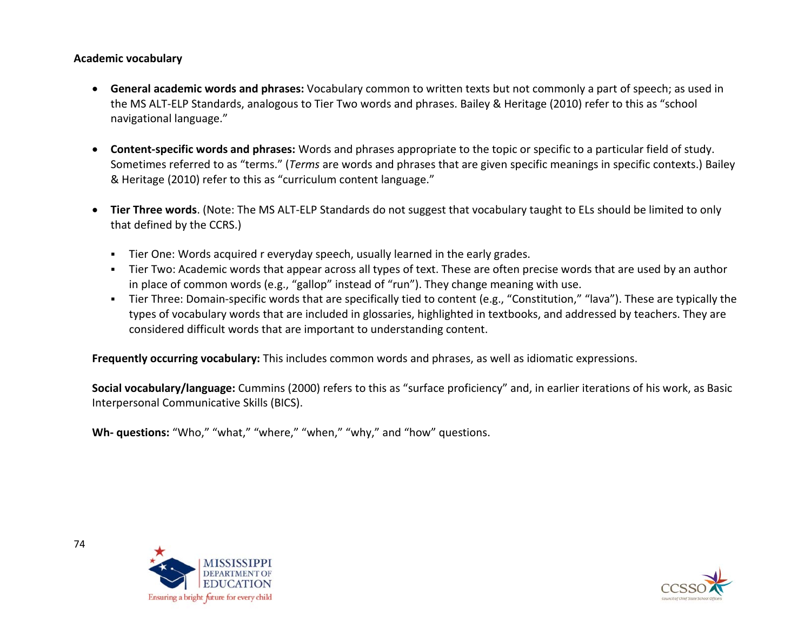## **Academic vocabulary**

- **General academic words and phrases:** Vocabulary common to written texts but not commonly a part of speech; as used in the MS ALT-ELP Standards, analogous to Tier Two words and phrases. Bailey & Heritage (2010) refer to this as "school navigational language."
- **Content-specific words and phrases:** Words and phrases appropriate to the topic or specific to a particular field of study. Sometimes referred to as "terms." (*Terms* are words and phrases that are given specific meanings in specific contexts.) Bailey & Heritage (2010) refer to this as "curriculum content language."
- **Tier Three words**. (Note: The MS ALT-ELP Standards do not suggest that vocabulary taught to ELs should be limited to only that defined by the CCRS.)
	- Tier One: Words acquired r everyday speech, usually learned in the early grades.
	- Tier Two: Academic words that appear across all types of text. These are often precise words that are used by an author in place of common words (e.g., "gallop" instead of "run"). They change meaning with use.
	- Tier Three: Domain-specific words that are specifically tied to content (e.g., "Constitution," "lava"). These are typically the types of vocabulary words that are included in glossaries, highlighted in textbooks, and addressed by teachers. They are considered difficult words that are important to understanding content.

**Frequently occurring vocabulary:** This includes common words and phrases, as well as idiomatic expressions.

**Social vocabulary/language:** Cummins (2000) refers to this as "surface proficiency" and, in earlier iterations of his work, as Basic Interpersonal Communicative Skills (BICS).

**Wh- questions:** "Who," "what," "where," "when," "why," and "how" questions.



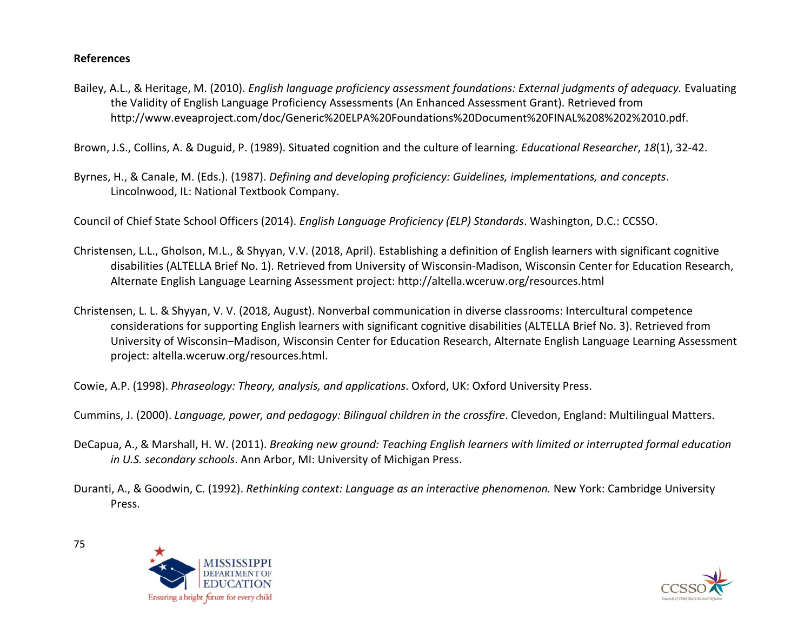## **References**

Bailey, A.L., & Heritage, M. (2010). *English language proficiency assessment foundations: External judgments of adequacy.* Evaluating the Validity of English Language Proficiency Assessments (An Enhanced Assessment Grant). Retrieved from http://www.eveaproject.com/doc/Generic%20ELPA%20Foundations%20Document%20FINAL%208%202%2010.pdf.

Brown, J.S., Collins, A. & Duguid, P. (1989). Situated cognition and the culture of learning. *Educational Researcher*, *18*(1), 32-42.

Byrnes, H., & Canale, M. (Eds.). (1987). *Defining and developing proficiency: Guidelines, implementations, and concepts*. Lincolnwood, IL: National Textbook Company.

Council of Chief State School Officers (2014). *English Language Proficiency (ELP) Standards*. Washington, D.C.: CCSSO.

- Christensen, L.L., Gholson, M.L., & Shyyan, V.V. (2018, April). Establishing a definition of English learners with significant cognitive disabilities (ALTELLA Brief No. 1). Retrieved from University of Wisconsin-Madison, Wisconsin Center for Education Research, Alternate English Language Learning Assessment project: http://altella.wceruw.org/resources.html
- Christensen, L. L. & Shyyan, V. V. (2018, August). Nonverbal communication in diverse classrooms: Intercultural competence considerations for supporting English learners with significant cognitive disabilities (ALTELLA Brief No. 3). Retrieved from University of Wisconsin–Madison, Wisconsin Center for Education Research, Alternate English Language Learning Assessment project: altella.wceruw.org/resources.html.
- Cowie, A.P. (1998). *Phraseology: Theory, analysis, and applications*. Oxford, UK: Oxford University Press.
- Cummins, J. (2000). *Language, power, and pedagogy: Bilingual children in the crossfire*. Clevedon, England: Multilingual Matters.
- DeCapua, A., & Marshall, H. W. (2011). *Breaking new ground: Teaching English learners with limited or interrupted formal education in U.S. secondary schools*. Ann Arbor, MI: University of Michigan Press.
- Duranti, A., & Goodwin, C. (1992). *Rethinking context: Language as an interactive phenomenon.* New York: Cambridge University Press.



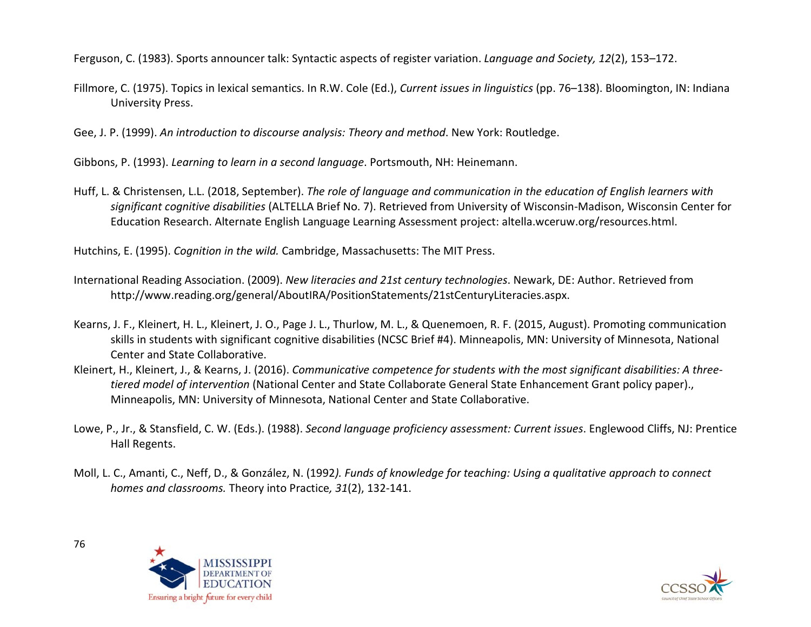Ferguson, C. (1983). Sports announcer talk: Syntactic aspects of register variation. *Language and Society, 12*(2), 153–172.

Fillmore, C. (1975). Topics in lexical semantics. In R.W. Cole (Ed.), *Current issues in linguistics* (pp. 76–138). Bloomington, IN: Indiana University Press.

Gee, J. P. (1999). *An introduction to discourse analysis: Theory and method*. New York: Routledge.

Gibbons, P. (1993). *Learning to learn in a second language*. Portsmouth, NH: Heinemann.

Huff, L. & Christensen, L.L. (2018, September). *The role of language and communication in the education of English learners with significant cognitive disabilities* (ALTELLA Brief No. 7). Retrieved from University of Wisconsin-Madison, Wisconsin Center for Education Research. Alternate English Language Learning Assessment project: altella.wceruw.org/resources.html.

Hutchins, E. (1995). *Cognition in the wild.* Cambridge, Massachusetts: The MIT Press.

- International Reading Association. (2009). *New literacies and 21st century technologies*. Newark, DE: Author. Retrieved from http://www.reading.org/general/AboutIRA/PositionStatements/21stCenturyLiteracies.aspx.
- Kearns, J. F., Kleinert, H. L., Kleinert, J. O., Page J. L., Thurlow, M. L., & Quenemoen, R. F. (2015, August). Promoting communication skills in students with significant cognitive disabilities (NCSC Brief #4). Minneapolis, MN: University of Minnesota, National Center and State Collaborative.
- Kleinert, H., Kleinert, J., & Kearns, J. (2016). *Communicative competence for students with the most significant disabilities: A threetiered model of intervention* (National Center and State Collaborate General State Enhancement Grant policy paper)., Minneapolis, MN: University of Minnesota, National Center and State Collaborative.
- Lowe, P., Jr., & Stansfield, C. W. (Eds.). (1988). *Second language proficiency assessment: Current issues*. Englewood Cliffs, NJ: Prentice Hall Regents.
- Moll, L. C., Amanti, C., Neff, D., & González, N. (1992*). Funds of knowledge for teaching: Using a qualitative approach to connect homes and classrooms.* Theory into Practice*, 31*(2), 132-141.



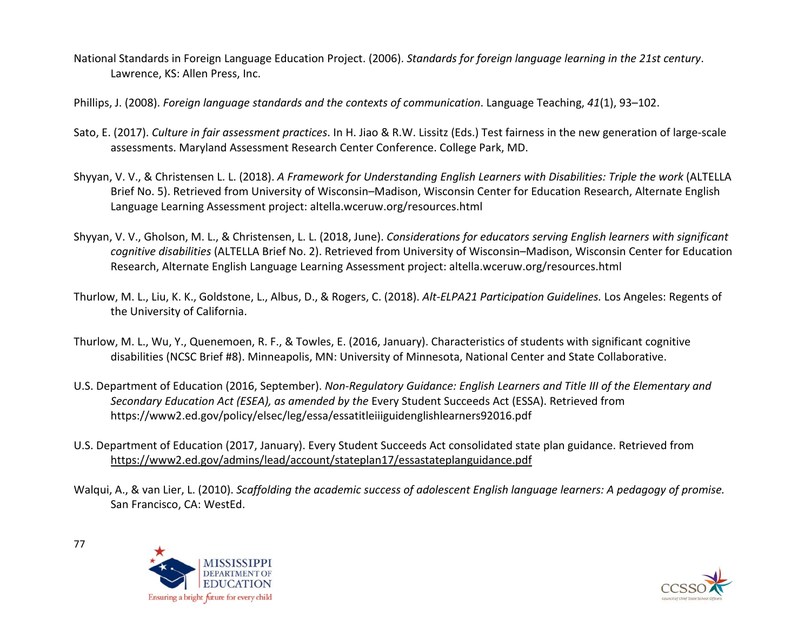- National Standards in Foreign Language Education Project. (2006). *Standards for foreign language learning in the 21st century*. Lawrence, KS: Allen Press, Inc.
- Phillips, J. (2008). *Foreign language standards and the contexts of communication*. Language Teaching, *41*(1), 93–102.
- Sato, E. (2017). *Culture in fair assessment practices*. In H. Jiao & R.W. Lissitz (Eds.) Test fairness in the new generation of large-scale assessments. Maryland Assessment Research Center Conference. College Park, MD.
- Shyyan, V. V., & Christensen L. L. (2018). *A Framework for Understanding English Learners with Disabilities: Triple the work* (ALTELLA Brief No. 5). Retrieved from University of Wisconsin–Madison, Wisconsin Center for Education Research, Alternate English Language Learning Assessment project: [altella.wceruw.org/resources.html](http://altella.wceruw.org/resources.html)
- Shyyan, V. V., Gholson, M. L., & Christensen, L. L. (2018, June). *Considerations for educators serving English learners with significant cognitive disabilities* (ALTELLA Brief No. 2). Retrieved from University of Wisconsin–Madison, Wisconsin Center for Education Research, Alternate English Language Learning Assessment project: altella.wceruw.org/resources.html
- Thurlow, M. L., Liu, K. K., Goldstone, L., Albus, D., & Rogers, C. (2018). *Alt-ELPA21 Participation Guidelines.* Los Angeles: Regents of the University of California.
- Thurlow, M. L., Wu, Y., Quenemoen, R. F., & Towles, E. (2016, January). Characteristics of students with significant cognitive disabilities (NCSC Brief #8). Minneapolis, MN: University of Minnesota, National Center and State Collaborative.
- U.S. Department of Education (2016, September). *Non-Regulatory Guidance: English Learners and Title III of the Elementary and Secondary Education Act (ESEA), as amended by the* Every Student Succeeds Act (ESSA). Retrieved from https://www2.ed.gov/policy/elsec/leg/essa/essatitleiiiguidenglishlearners92016.pdf
- U.S. Department of Education (2017, January). Every Student Succeeds Act consolidated state plan guidance. Retrieved from <https://www2.ed.gov/admins/lead/account/stateplan17/essastateplanguidance.pdf>
- Walqui, A., & van Lier, L. (2010). *Scaffolding the academic success of adolescent English language learners: A pedagogy of promise.*  San Francisco, CA: WestEd.